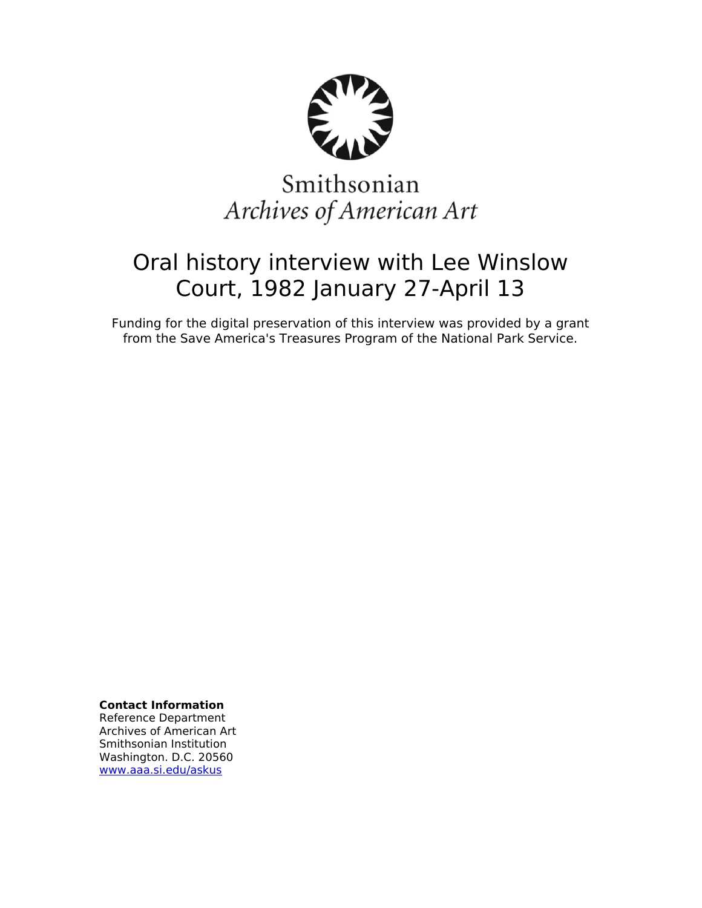

# Smithsonian Archives of American Art

# Oral history interview with Lee Winslow Court, 1982 January 27-April 13

Funding for the digital preservation of this interview was provided by a grant from the Save America's Treasures Program of the National Park Service.

**Contact Information**

Reference Department Archives of American Art Smithsonian Institution Washington. D.C. 20560 [www.aaa.si.edu/askus](http://www.aaa.si.edu/askus)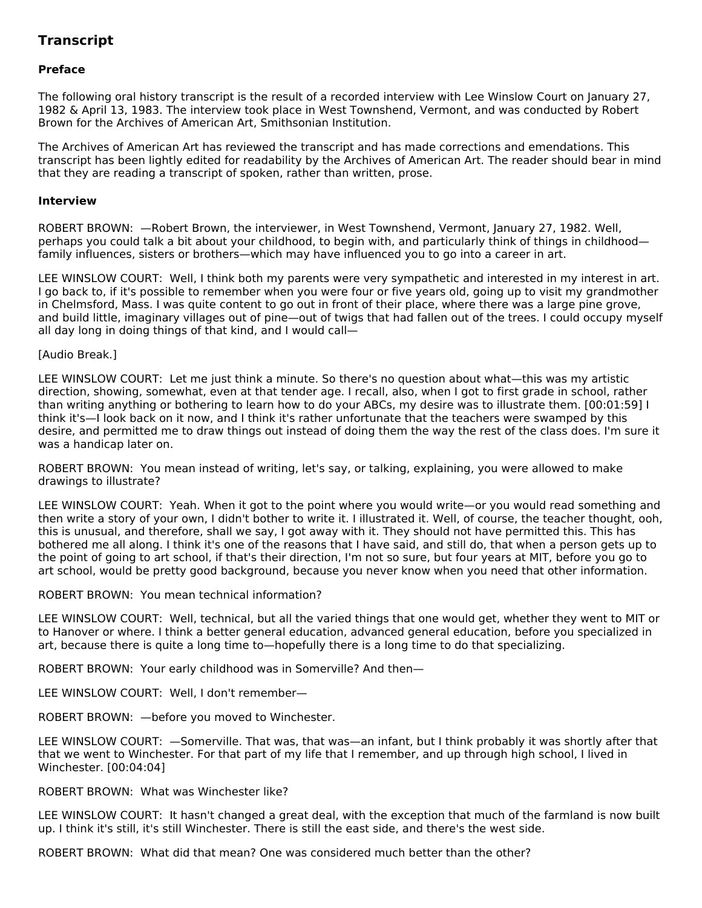# **Transcript**

# **Preface**

The following oral history transcript is the result of a recorded interview with Lee Winslow Court on January 27, 1982 & April 13, 1983. The interview took place in West Townshend, Vermont, and was conducted by Robert Brown for the Archives of American Art, Smithsonian Institution.

The Archives of American Art has reviewed the transcript and has made corrections and emendations. This transcript has been lightly edited for readability by the Archives of American Art. The reader should bear in mind that they are reading a transcript of spoken, rather than written, prose.

#### **Interview**

ROBERT BROWN: —Robert Brown, the interviewer, in West Townshend, Vermont, January 27, 1982. Well, perhaps you could talk a bit about your childhood, to begin with, and particularly think of things in childhood family influences, sisters or brothers—which may have influenced you to go into a career in art.

LEE WINSLOW COURT: Well, I think both my parents were very sympathetic and interested in my interest in art. I go back to, if it's possible to remember when you were four or five years old, going up to visit my grandmother in Chelmsford, Mass. I was quite content to go out in front of their place, where there was a large pine grove, and build little, imaginary villages out of pine—out of twigs that had fallen out of the trees. I could occupy myself all day long in doing things of that kind, and I would call—

[Audio Break.]

LEE WINSLOW COURT: Let me just think a minute. So there's no question about what—this was my artistic direction, showing, somewhat, even at that tender age. I recall, also, when I got to first grade in school, rather than writing anything or bothering to learn how to do your ABCs, my desire was to illustrate them. [00:01:59] I think it's—I look back on it now, and I think it's rather unfortunate that the teachers were swamped by this desire, and permitted me to draw things out instead of doing them the way the rest of the class does. I'm sure it was a handicap later on.

ROBERT BROWN: You mean instead of writing, let's say, or talking, explaining, you were allowed to make drawings to illustrate?

LEE WINSLOW COURT: Yeah. When it got to the point where you would write—or you would read something and then write a story of your own, I didn't bother to write it. I illustrated it. Well, of course, the teacher thought, ooh, this is unusual, and therefore, shall we say, I got away with it. They should not have permitted this. This has bothered me all along. I think it's one of the reasons that I have said, and still do, that when a person gets up to the point of going to art school, if that's their direction, I'm not so sure, but four years at MIT, before you go to art school, would be pretty good background, because you never know when you need that other information.

ROBERT BROWN: You mean technical information?

LEE WINSLOW COURT: Well, technical, but all the varied things that one would get, whether they went to MIT or to Hanover or where. I think a better general education, advanced general education, before you specialized in art, because there is quite a long time to—hopefully there is a long time to do that specializing.

ROBERT BROWN: Your early childhood was in Somerville? And then—

LEE WINSLOW COURT: Well, I don't remember—

ROBERT BROWN: —before you moved to Winchester.

LEE WINSLOW COURT: —Somerville. That was, that was—an infant, but I think probably it was shortly after that that we went to Winchester. For that part of my life that I remember, and up through high school, I lived in Winchester. [00:04:04]

ROBERT BROWN: What was Winchester like?

LEE WINSLOW COURT: It hasn't changed a great deal, with the exception that much of the farmland is now built up. I think it's still, it's still Winchester. There is still the east side, and there's the west side.

ROBERT BROWN: What did that mean? One was considered much better than the other?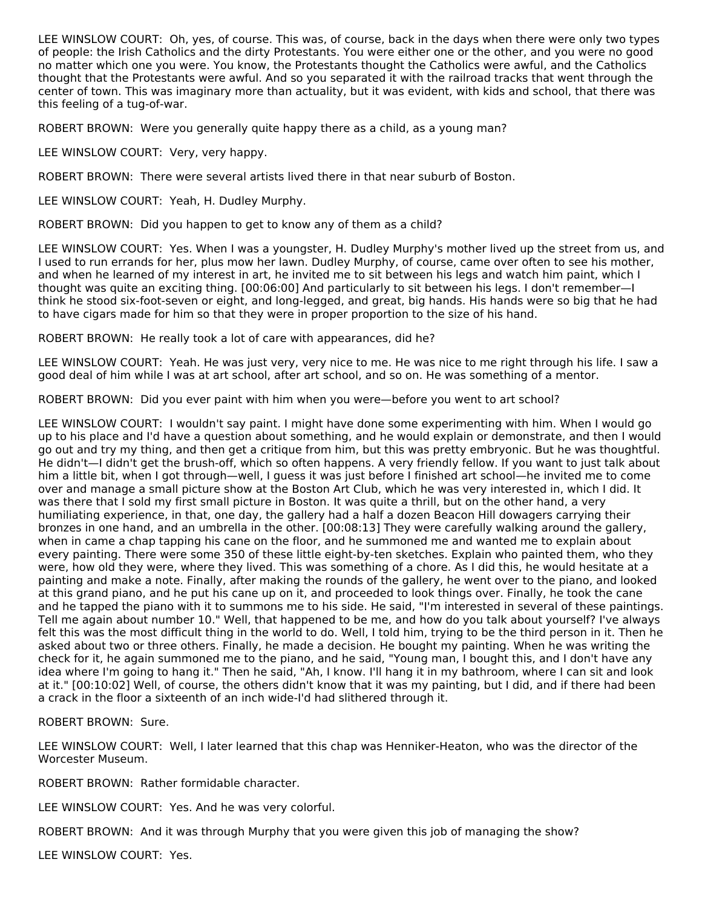LEE WINSLOW COURT: Oh, yes, of course. This was, of course, back in the days when there were only two types of people: the Irish Catholics and the dirty Protestants. You were either one or the other, and you were no good no matter which one you were. You know, the Protestants thought the Catholics were awful, and the Catholics thought that the Protestants were awful. And so you separated it with the railroad tracks that went through the center of town. This was imaginary more than actuality, but it was evident, with kids and school, that there was this feeling of a tug-of-war.

ROBERT BROWN: Were you generally quite happy there as a child, as a young man?

LEE WINSLOW COURT: Very, very happy.

ROBERT BROWN: There were several artists lived there in that near suburb of Boston.

LEE WINSLOW COURT: Yeah, H. Dudley Murphy.

ROBERT BROWN: Did you happen to get to know any of them as a child?

LEE WINSLOW COURT: Yes. When I was a youngster, H. Dudley Murphy's mother lived up the street from us, and I used to run errands for her, plus mow her lawn. Dudley Murphy, of course, came over often to see his mother, and when he learned of my interest in art, he invited me to sit between his legs and watch him paint, which I thought was quite an exciting thing. [00:06:00] And particularly to sit between his legs. I don't remember—I think he stood six-foot-seven or eight, and long-legged, and great, big hands. His hands were so big that he had to have cigars made for him so that they were in proper proportion to the size of his hand.

ROBERT BROWN: He really took a lot of care with appearances, did he?

LEE WINSLOW COURT: Yeah. He was just very, very nice to me. He was nice to me right through his life. I saw a good deal of him while I was at art school, after art school, and so on. He was something of a mentor.

ROBERT BROWN: Did you ever paint with him when you were—before you went to art school?

LEE WINSLOW COURT: I wouldn't say paint. I might have done some experimenting with him. When I would go up to his place and I'd have a question about something, and he would explain or demonstrate, and then I would go out and try my thing, and then get a critique from him, but this was pretty embryonic. But he was thoughtful. He didn't—I didn't get the brush-off, which so often happens. A very friendly fellow. If you want to just talk about him a little bit, when I got through—well, I guess it was just before I finished art school—he invited me to come over and manage a small picture show at the Boston Art Club, which he was very interested in, which I did. It was there that I sold my first small picture in Boston. It was quite a thrill, but on the other hand, a very humiliating experience, in that, one day, the gallery had a half a dozen Beacon Hill dowagers carrying their bronzes in one hand, and an umbrella in the other. [00:08:13] They were carefully walking around the gallery, when in came a chap tapping his cane on the floor, and he summoned me and wanted me to explain about every painting. There were some 350 of these little eight-by-ten sketches. Explain who painted them, who they were, how old they were, where they lived. This was something of a chore. As I did this, he would hesitate at a painting and make a note. Finally, after making the rounds of the gallery, he went over to the piano, and looked at this grand piano, and he put his cane up on it, and proceeded to look things over. Finally, he took the cane and he tapped the piano with it to summons me to his side. He said, "I'm interested in several of these paintings. Tell me again about number 10." Well, that happened to be me, and how do you talk about yourself? I've always felt this was the most difficult thing in the world to do. Well, I told him, trying to be the third person in it. Then he asked about two or three others. Finally, he made a decision. He bought my painting. When he was writing the check for it, he again summoned me to the piano, and he said, "Young man, I bought this, and I don't have any idea where I'm going to hang it." Then he said, "Ah, I know. I'll hang it in my bathroom, where I can sit and look at it." [00:10:02] Well, of course, the others didn't know that it was my painting, but I did, and if there had been a crack in the floor a sixteenth of an inch wide-I'd had slithered through it.

ROBERT BROWN: Sure.

LEE WINSLOW COURT: Well, I later learned that this chap was Henniker-Heaton, who was the director of the Worcester Museum.

ROBERT BROWN: Rather formidable character.

LEE WINSLOW COURT: Yes. And he was very colorful.

ROBERT BROWN: And it was through Murphy that you were given this job of managing the show?

LEE WINSLOW COURT: Yes.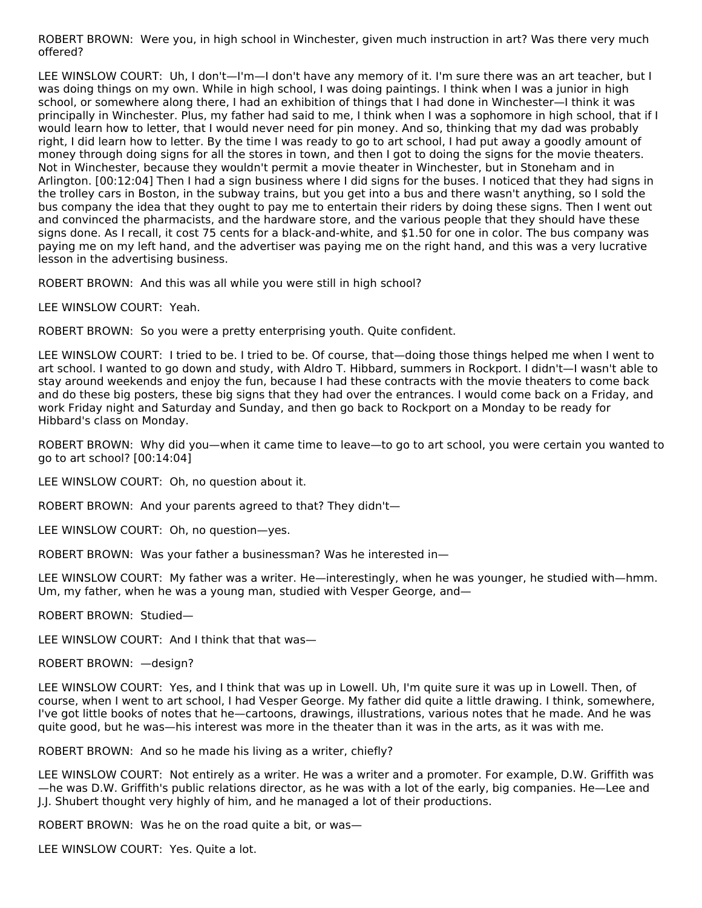ROBERT BROWN: Were you, in high school in Winchester, given much instruction in art? Was there very much offered?

LEE WINSLOW COURT: Uh, I don't—I'm—I don't have any memory of it. I'm sure there was an art teacher, but I was doing things on my own. While in high school, I was doing paintings. I think when I was a junior in high school, or somewhere along there, I had an exhibition of things that I had done in Winchester—I think it was principally in Winchester. Plus, my father had said to me, I think when I was a sophomore in high school, that if I would learn how to letter, that I would never need for pin money. And so, thinking that my dad was probably right, I did learn how to letter. By the time I was ready to go to art school, I had put away a goodly amount of money through doing signs for all the stores in town, and then I got to doing the signs for the movie theaters. Not in Winchester, because they wouldn't permit a movie theater in Winchester, but in Stoneham and in Arlington. [00:12:04] Then I had a sign business where I did signs for the buses. I noticed that they had signs in the trolley cars in Boston, in the subway trains, but you get into a bus and there wasn't anything, so I sold the bus company the idea that they ought to pay me to entertain their riders by doing these signs. Then I went out and convinced the pharmacists, and the hardware store, and the various people that they should have these signs done. As I recall, it cost 75 cents for a black-and-white, and \$1.50 for one in color. The bus company was paying me on my left hand, and the advertiser was paying me on the right hand, and this was a very lucrative lesson in the advertising business.

ROBERT BROWN: And this was all while you were still in high school?

LEE WINSLOW COURT: Yeah.

ROBERT BROWN: So you were a pretty enterprising youth. Quite confident.

LEE WINSLOW COURT: I tried to be. I tried to be. Of course, that—doing those things helped me when I went to art school. I wanted to go down and study, with Aldro T. Hibbard, summers in Rockport. I didn't—I wasn't able to stay around weekends and enjoy the fun, because I had these contracts with the movie theaters to come back and do these big posters, these big signs that they had over the entrances. I would come back on a Friday, and work Friday night and Saturday and Sunday, and then go back to Rockport on a Monday to be ready for Hibbard's class on Monday.

ROBERT BROWN: Why did you—when it came time to leave—to go to art school, you were certain you wanted to go to art school? [00:14:04]

LEE WINSLOW COURT: Oh, no question about it.

ROBERT BROWN: And your parents agreed to that? They didn't—

LEE WINSLOW COURT: Oh, no question—yes.

ROBERT BROWN: Was your father a businessman? Was he interested in—

LEE WINSLOW COURT: My father was a writer. He—interestingly, when he was younger, he studied with—hmm. Um, my father, when he was a young man, studied with Vesper George, and—

ROBERT BROWN: Studied—

LEE WINSLOW COURT: And I think that that was-

ROBERT BROWN: —design?

LEE WINSLOW COURT: Yes, and I think that was up in Lowell. Uh, I'm quite sure it was up in Lowell. Then, of course, when I went to art school, I had Vesper George. My father did quite a little drawing. I think, somewhere, I've got little books of notes that he—cartoons, drawings, illustrations, various notes that he made. And he was quite good, but he was—his interest was more in the theater than it was in the arts, as it was with me.

ROBERT BROWN: And so he made his living as a writer, chiefly?

LEE WINSLOW COURT: Not entirely as a writer. He was a writer and a promoter. For example, D.W. Griffith was —he was D.W. Griffith's public relations director, as he was with a lot of the early, big companies. He—Lee and J.J. Shubert thought very highly of him, and he managed a lot of their productions.

ROBERT BROWN: Was he on the road quite a bit, or was—

LEE WINSLOW COURT: Yes. Quite a lot.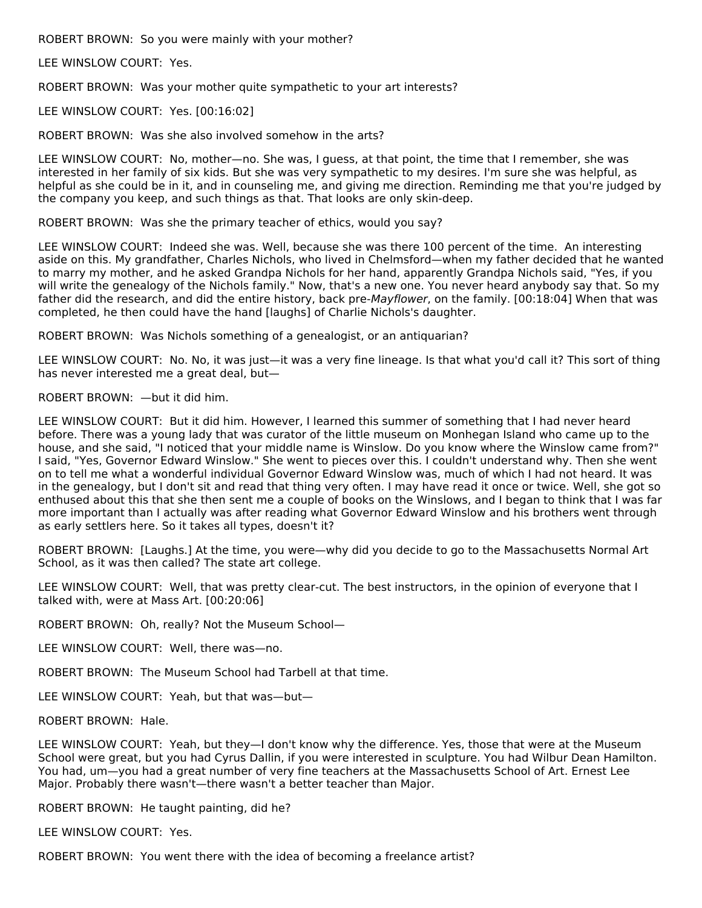ROBERT BROWN: So you were mainly with your mother?

LEE WINSLOW COURT: Yes.

ROBERT BROWN: Was your mother quite sympathetic to your art interests?

LEE WINSLOW COURT: Yes. [00:16:02]

ROBERT BROWN: Was she also involved somehow in the arts?

LEE WINSLOW COURT: No, mother—no. She was, I guess, at that point, the time that I remember, she was interested in her family of six kids. But she was very sympathetic to my desires. I'm sure she was helpful, as helpful as she could be in it, and in counseling me, and giving me direction. Reminding me that you're judged by the company you keep, and such things as that. That looks are only skin-deep.

ROBERT BROWN: Was she the primary teacher of ethics, would you say?

LEE WINSLOW COURT: Indeed she was. Well, because she was there 100 percent of the time. An interesting aside on this. My grandfather, Charles Nichols, who lived in Chelmsford—when my father decided that he wanted to marry my mother, and he asked Grandpa Nichols for her hand, apparently Grandpa Nichols said, "Yes, if you will write the genealogy of the Nichols family." Now, that's a new one. You never heard anybody say that. So my father did the research, and did the entire history, back pre-Mayflower, on the family. [00:18:04] When that was completed, he then could have the hand [laughs] of Charlie Nichols's daughter.

ROBERT BROWN: Was Nichols something of a genealogist, or an antiquarian?

LEE WINSLOW COURT: No. No, it was just—it was a very fine lineage. Is that what you'd call it? This sort of thing has never interested me a great deal, but—

# ROBERT BROWN: —but it did him.

LEE WINSLOW COURT: But it did him. However, I learned this summer of something that I had never heard before. There was a young lady that was curator of the little museum on Monhegan Island who came up to the house, and she said, "I noticed that your middle name is Winslow. Do you know where the Winslow came from?" I said, "Yes, Governor Edward Winslow." She went to pieces over this. I couldn't understand why. Then she went on to tell me what a wonderful individual Governor Edward Winslow was, much of which I had not heard. It was in the genealogy, but I don't sit and read that thing very often. I may have read it once or twice. Well, she got so enthused about this that she then sent me a couple of books on the Winslows, and I began to think that I was far more important than I actually was after reading what Governor Edward Winslow and his brothers went through as early settlers here. So it takes all types, doesn't it?

ROBERT BROWN: [Laughs.] At the time, you were—why did you decide to go to the Massachusetts Normal Art School, as it was then called? The state art college.

LEE WINSLOW COURT: Well, that was pretty clear-cut. The best instructors, in the opinion of everyone that I talked with, were at Mass Art. [00:20:06]

ROBERT BROWN: Oh, really? Not the Museum School—

LEE WINSLOW COURT: Well, there was—no.

ROBERT BROWN: The Museum School had Tarbell at that time.

LEE WINSLOW COURT: Yeah, but that was—but—

ROBERT BROWN: Hale.

LEE WINSLOW COURT: Yeah, but they-I don't know why the difference. Yes, those that were at the Museum School were great, but you had Cyrus Dallin, if you were interested in sculpture. You had Wilbur Dean Hamilton. You had, um—you had a great number of very fine teachers at the Massachusetts School of Art. Ernest Lee Major. Probably there wasn't—there wasn't a better teacher than Major.

ROBERT BROWN: He taught painting, did he?

LEE WINSLOW COURT: Yes.

ROBERT BROWN: You went there with the idea of becoming a freelance artist?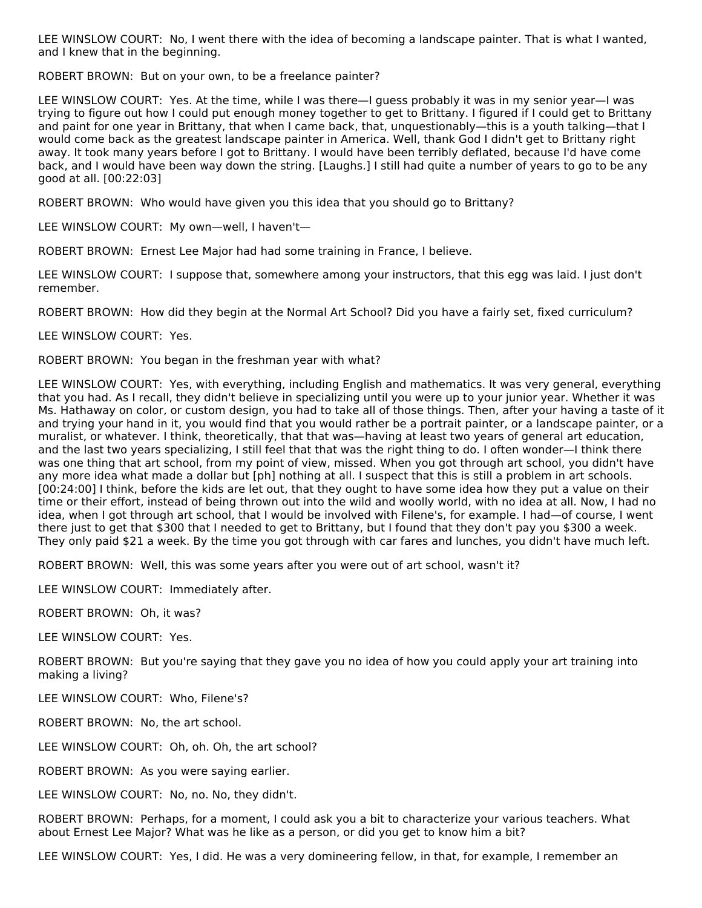LEE WINSLOW COURT: No, I went there with the idea of becoming a landscape painter. That is what I wanted, and I knew that in the beginning.

ROBERT BROWN: But on your own, to be a freelance painter?

LEE WINSLOW COURT: Yes. At the time, while I was there—I guess probably it was in my senior year—I was trying to figure out how I could put enough money together to get to Brittany. I figured if I could get to Brittany and paint for one year in Brittany, that when I came back, that, unquestionably—this is a youth talking—that I would come back as the greatest landscape painter in America. Well, thank God I didn't get to Brittany right away. It took many years before I got to Brittany. I would have been terribly deflated, because I'd have come back, and I would have been way down the string. [Laughs.] I still had quite a number of years to go to be any good at all. [00:22:03]

ROBERT BROWN: Who would have given you this idea that you should go to Brittany?

LEE WINSLOW COURT: My own—well, I haven't—

ROBERT BROWN: Ernest Lee Major had had some training in France, I believe.

LEE WINSLOW COURT: I suppose that, somewhere among your instructors, that this egg was laid. I just don't remember.

ROBERT BROWN: How did they begin at the Normal Art School? Did you have a fairly set, fixed curriculum?

LEE WINSLOW COURT: Yes.

ROBERT BROWN: You began in the freshman year with what?

LEE WINSLOW COURT: Yes, with everything, including English and mathematics. It was very general, everything that you had. As I recall, they didn't believe in specializing until you were up to your junior year. Whether it was Ms. Hathaway on color, or custom design, you had to take all of those things. Then, after your having a taste of it and trying your hand in it, you would find that you would rather be a portrait painter, or a landscape painter, or a muralist, or whatever. I think, theoretically, that that was—having at least two years of general art education, and the last two years specializing, I still feel that that was the right thing to do. I often wonder—I think there was one thing that art school, from my point of view, missed. When you got through art school, you didn't have any more idea what made a dollar but [ph] nothing at all. I suspect that this is still a problem in art schools. [00:24:00] I think, before the kids are let out, that they ought to have some idea how they put a value on their time or their effort, instead of being thrown out into the wild and woolly world, with no idea at all. Now, I had no idea, when I got through art school, that I would be involved with Filene's, for example. I had—of course, I went there just to get that \$300 that I needed to get to Brittany, but I found that they don't pay you \$300 a week. They only paid \$21 a week. By the time you got through with car fares and lunches, you didn't have much left.

ROBERT BROWN: Well, this was some years after you were out of art school, wasn't it?

LEE WINSLOW COURT: Immediately after.

ROBERT BROWN: Oh, it was?

LEE WINSLOW COURT: Yes.

ROBERT BROWN: But you're saying that they gave you no idea of how you could apply your art training into making a living?

LEE WINSLOW COURT: Who, Filene's?

ROBERT BROWN: No, the art school.

LEE WINSLOW COURT: Oh, oh. Oh, the art school?

ROBERT BROWN: As you were saying earlier.

LEE WINSLOW COURT: No, no. No, they didn't.

ROBERT BROWN: Perhaps, for a moment, I could ask you a bit to characterize your various teachers. What about Ernest Lee Major? What was he like as a person, or did you get to know him a bit?

LEE WINSLOW COURT: Yes, I did. He was a very domineering fellow, in that, for example, I remember an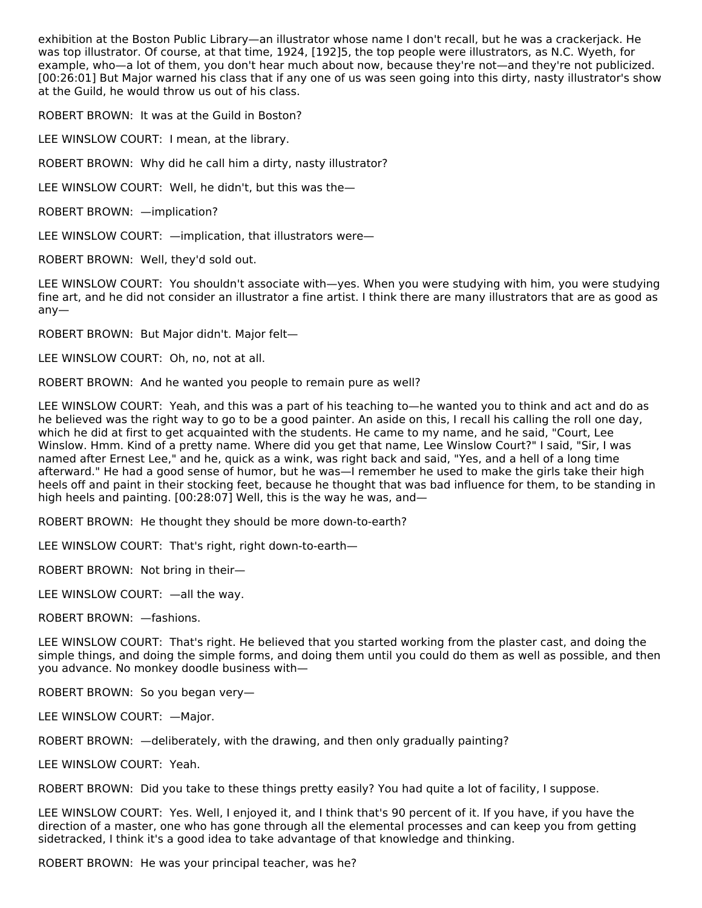exhibition at the Boston Public Library—an illustrator whose name I don't recall, but he was a crackerjack. He was top illustrator. Of course, at that time, 1924, [192]5, the top people were illustrators, as N.C. Wyeth, for example, who—a lot of them, you don't hear much about now, because they're not—and they're not publicized. [00:26:01] But Major warned his class that if any one of us was seen going into this dirty, nasty illustrator's show at the Guild, he would throw us out of his class.

ROBERT BROWN: It was at the Guild in Boston?

LEE WINSLOW COURT: I mean, at the library.

ROBERT BROWN: Why did he call him a dirty, nasty illustrator?

LEE WINSLOW COURT: Well, he didn't, but this was the—

ROBERT BROWN: —implication?

LEE WINSLOW COURT: —implication, that illustrators were—

ROBERT BROWN: Well, they'd sold out.

LEE WINSLOW COURT: You shouldn't associate with—yes. When you were studying with him, you were studying fine art, and he did not consider an illustrator a fine artist. I think there are many illustrators that are as good as any—

ROBERT BROWN: But Major didn't. Major felt—

LEE WINSLOW COURT: Oh, no, not at all.

ROBERT BROWN: And he wanted you people to remain pure as well?

LEE WINSLOW COURT: Yeah, and this was a part of his teaching to—he wanted you to think and act and do as he believed was the right way to go to be a good painter. An aside on this, I recall his calling the roll one day, which he did at first to get acquainted with the students. He came to my name, and he said, "Court, Lee Winslow. Hmm. Kind of a pretty name. Where did you get that name, Lee Winslow Court?" I said, "Sir, I was named after Ernest Lee," and he, quick as a wink, was right back and said, "Yes, and a hell of a long time afterward." He had a good sense of humor, but he was—I remember he used to make the girls take their high heels off and paint in their stocking feet, because he thought that was bad influence for them, to be standing in high heels and painting. [00:28:07] Well, this is the way he was, and—

ROBERT BROWN: He thought they should be more down-to-earth?

LEE WINSLOW COURT: That's right, right down-to-earth—

ROBERT BROWN: Not bring in their—

LEE WINSLOW COURT: —all the way.

ROBERT BROWN: —fashions.

LEE WINSLOW COURT: That's right. He believed that you started working from the plaster cast, and doing the simple things, and doing the simple forms, and doing them until you could do them as well as possible, and then you advance. No monkey doodle business with—

ROBERT BROWN: So you began very—

LEE WINSLOW COURT: —Major.

ROBERT BROWN: —deliberately, with the drawing, and then only gradually painting?

LEE WINSLOW COURT: Yeah.

ROBERT BROWN: Did you take to these things pretty easily? You had quite a lot of facility, I suppose.

LEE WINSLOW COURT: Yes. Well, I enjoyed it, and I think that's 90 percent of it. If you have, if you have the direction of a master, one who has gone through all the elemental processes and can keep you from getting sidetracked, I think it's a good idea to take advantage of that knowledge and thinking.

ROBERT BROWN: He was your principal teacher, was he?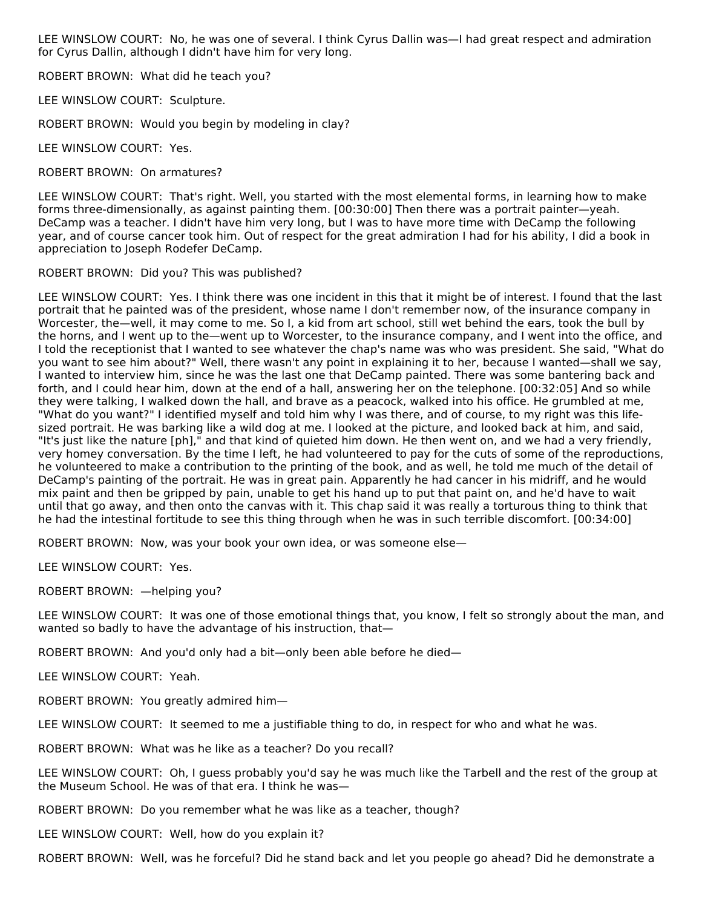LEE WINSLOW COURT: No, he was one of several. I think Cyrus Dallin was—I had great respect and admiration for Cyrus Dallin, although I didn't have him for very long.

ROBERT BROWN: What did he teach you?

LEE WINSLOW COURT: Sculpture.

ROBERT BROWN: Would you begin by modeling in clay?

LEE WINSLOW COURT: Yes.

ROBERT BROWN: On armatures?

LEE WINSLOW COURT: That's right. Well, you started with the most elemental forms, in learning how to make forms three-dimensionally, as against painting them. [00:30:00] Then there was a portrait painter—yeah. DeCamp was a teacher. I didn't have him very long, but I was to have more time with DeCamp the following year, and of course cancer took him. Out of respect for the great admiration I had for his ability, I did a book in appreciation to Joseph Rodefer DeCamp.

ROBERT BROWN: Did you? This was published?

LEE WINSLOW COURT: Yes. I think there was one incident in this that it might be of interest. I found that the last portrait that he painted was of the president, whose name I don't remember now, of the insurance company in Worcester, the—well, it may come to me. So I, a kid from art school, still wet behind the ears, took the bull by the horns, and I went up to the—went up to Worcester, to the insurance company, and I went into the office, and I told the receptionist that I wanted to see whatever the chap's name was who was president. She said, "What do you want to see him about?" Well, there wasn't any point in explaining it to her, because I wanted—shall we say, I wanted to interview him, since he was the last one that DeCamp painted. There was some bantering back and forth, and I could hear him, down at the end of a hall, answering her on the telephone. [00:32:05] And so while they were talking, I walked down the hall, and brave as a peacock, walked into his office. He grumbled at me, "What do you want?" I identified myself and told him why I was there, and of course, to my right was this lifesized portrait. He was barking like a wild dog at me. I looked at the picture, and looked back at him, and said, "It's just like the nature [ph]," and that kind of quieted him down. He then went on, and we had a very friendly, very homey conversation. By the time I left, he had volunteered to pay for the cuts of some of the reproductions, he volunteered to make a contribution to the printing of the book, and as well, he told me much of the detail of DeCamp's painting of the portrait. He was in great pain. Apparently he had cancer in his midriff, and he would mix paint and then be gripped by pain, unable to get his hand up to put that paint on, and he'd have to wait until that go away, and then onto the canvas with it. This chap said it was really a torturous thing to think that he had the intestinal fortitude to see this thing through when he was in such terrible discomfort. [00:34:00]

ROBERT BROWN: Now, was your book your own idea, or was someone else—

LEE WINSLOW COURT: Yes.

ROBERT BROWN: —helping you?

LEE WINSLOW COURT: It was one of those emotional things that, you know, I felt so strongly about the man, and wanted so badly to have the advantage of his instruction, that—

ROBERT BROWN: And you'd only had a bit—only been able before he died—

LEE WINSLOW COURT: Yeah.

ROBERT BROWN: You greatly admired him—

LEE WINSLOW COURT: It seemed to me a justifiable thing to do, in respect for who and what he was.

ROBERT BROWN: What was he like as a teacher? Do you recall?

LEE WINSLOW COURT: Oh, I guess probably you'd say he was much like the Tarbell and the rest of the group at the Museum School. He was of that era. I think he was—

ROBERT BROWN: Do you remember what he was like as a teacher, though?

LEE WINSLOW COURT: Well, how do you explain it?

ROBERT BROWN: Well, was he forceful? Did he stand back and let you people go ahead? Did he demonstrate a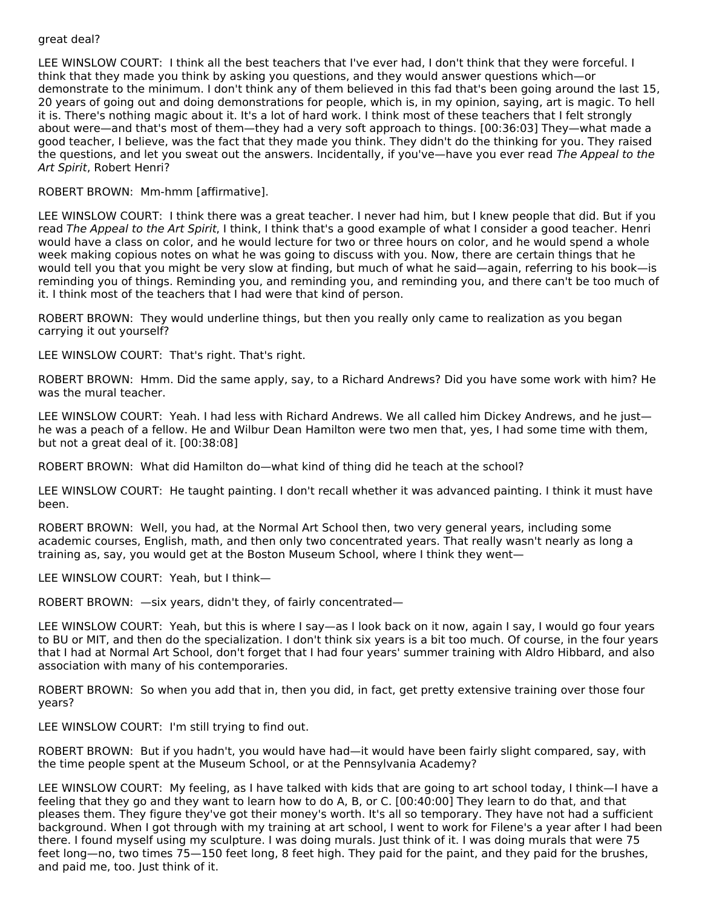#### great deal?

LEE WINSLOW COURT: I think all the best teachers that I've ever had, I don't think that they were forceful. I think that they made you think by asking you questions, and they would answer questions which—or demonstrate to the minimum. I don't think any of them believed in this fad that's been going around the last 15, 20 years of going out and doing demonstrations for people, which is, in my opinion, saying, art is magic. To hell it is. There's nothing magic about it. It's a lot of hard work. I think most of these teachers that I felt strongly about were—and that's most of them—they had a very soft approach to things. [00:36:03] They—what made a good teacher, I believe, was the fact that they made you think. They didn't do the thinking for you. They raised the questions, and let you sweat out the answers. Incidentally, if you've—have you ever read The Appeal to the Art Spirit, Robert Henri?

ROBERT BROWN: Mm-hmm [affirmative].

LEE WINSLOW COURT: I think there was a great teacher. I never had him, but I knew people that did. But if you read The Appeal to the Art Spirit, I think, I think that's a good example of what I consider a good teacher. Henri would have a class on color, and he would lecture for two or three hours on color, and he would spend a whole week making copious notes on what he was going to discuss with you. Now, there are certain things that he would tell you that you might be very slow at finding, but much of what he said—again, referring to his book—is reminding you of things. Reminding you, and reminding you, and reminding you, and there can't be too much of it. I think most of the teachers that I had were that kind of person.

ROBERT BROWN: They would underline things, but then you really only came to realization as you began carrying it out yourself?

LEE WINSLOW COURT: That's right. That's right.

ROBERT BROWN: Hmm. Did the same apply, say, to a Richard Andrews? Did you have some work with him? He was the mural teacher.

LEE WINSLOW COURT: Yeah. I had less with Richard Andrews. We all called him Dickey Andrews, and he just he was a peach of a fellow. He and Wilbur Dean Hamilton were two men that, yes, I had some time with them, but not a great deal of it. [00:38:08]

ROBERT BROWN: What did Hamilton do—what kind of thing did he teach at the school?

LEE WINSLOW COURT: He taught painting. I don't recall whether it was advanced painting. I think it must have been.

ROBERT BROWN: Well, you had, at the Normal Art School then, two very general years, including some academic courses, English, math, and then only two concentrated years. That really wasn't nearly as long a training as, say, you would get at the Boston Museum School, where I think they went—

LEE WINSLOW COURT: Yeah, but I think—

ROBERT BROWN: —six years, didn't they, of fairly concentrated—

LEE WINSLOW COURT: Yeah, but this is where I say—as I look back on it now, again I say, I would go four years to BU or MIT, and then do the specialization. I don't think six years is a bit too much. Of course, in the four years that I had at Normal Art School, don't forget that I had four years' summer training with Aldro Hibbard, and also association with many of his contemporaries.

ROBERT BROWN: So when you add that in, then you did, in fact, get pretty extensive training over those four years?

LEE WINSLOW COURT: I'm still trying to find out.

ROBERT BROWN: But if you hadn't, you would have had—it would have been fairly slight compared, say, with the time people spent at the Museum School, or at the Pennsylvania Academy?

LEE WINSLOW COURT: My feeling, as I have talked with kids that are going to art school today, I think—I have a feeling that they go and they want to learn how to do A, B, or C. [00:40:00] They learn to do that, and that pleases them. They figure they've got their money's worth. It's all so temporary. They have not had a sufficient background. When I got through with my training at art school, I went to work for Filene's a year after I had been there. I found myself using my sculpture. I was doing murals. Just think of it. I was doing murals that were 75 feet long—no, two times 75—150 feet long, 8 feet high. They paid for the paint, and they paid for the brushes, and paid me, too. Just think of it.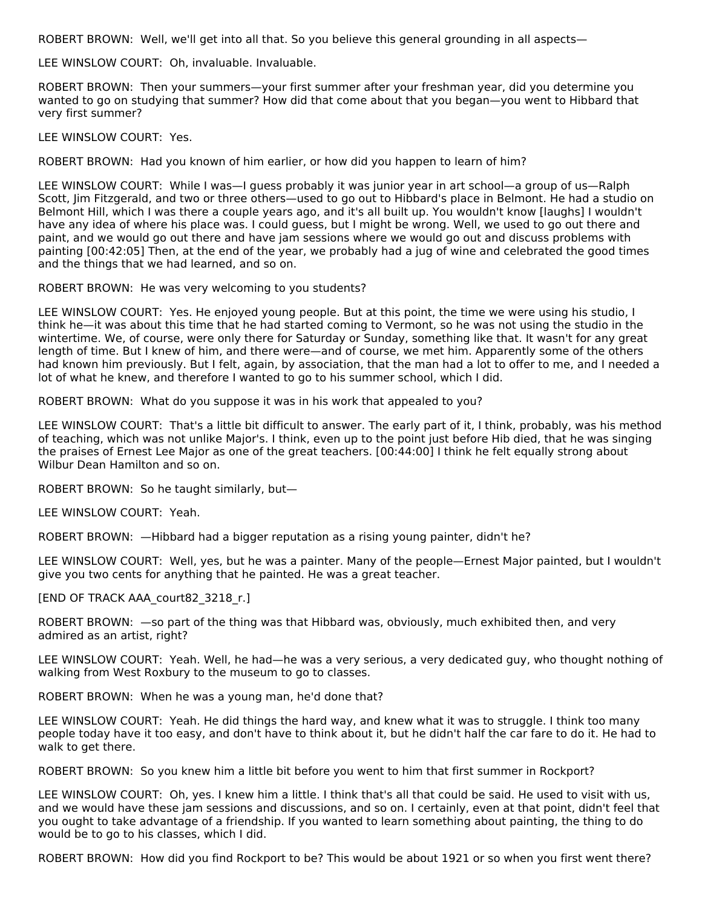ROBERT BROWN: Well, we'll get into all that. So you believe this general grounding in all aspects—

LEE WINSLOW COURT: Oh, invaluable. Invaluable.

ROBERT BROWN: Then your summers—your first summer after your freshman year, did you determine you wanted to go on studying that summer? How did that come about that you began—you went to Hibbard that very first summer?

LEE WINSLOW COURT: Yes.

ROBERT BROWN: Had you known of him earlier, or how did you happen to learn of him?

LEE WINSLOW COURT: While I was—I guess probably it was junior year in art school—a group of us—Ralph Scott, Jim Fitzgerald, and two or three others—used to go out to Hibbard's place in Belmont. He had a studio on Belmont Hill, which I was there a couple years ago, and it's all built up. You wouldn't know [laughs] I wouldn't have any idea of where his place was. I could guess, but I might be wrong. Well, we used to go out there and paint, and we would go out there and have jam sessions where we would go out and discuss problems with painting [00:42:05] Then, at the end of the year, we probably had a jug of wine and celebrated the good times and the things that we had learned, and so on.

ROBERT BROWN: He was very welcoming to you students?

LEE WINSLOW COURT: Yes. He enjoyed young people. But at this point, the time we were using his studio, I think he—it was about this time that he had started coming to Vermont, so he was not using the studio in the wintertime. We, of course, were only there for Saturday or Sunday, something like that. It wasn't for any great length of time. But I knew of him, and there were—and of course, we met him. Apparently some of the others had known him previously. But I felt, again, by association, that the man had a lot to offer to me, and I needed a lot of what he knew, and therefore I wanted to go to his summer school, which I did.

ROBERT BROWN: What do you suppose it was in his work that appealed to you?

LEE WINSLOW COURT: That's a little bit difficult to answer. The early part of it, I think, probably, was his method of teaching, which was not unlike Major's. I think, even up to the point just before Hib died, that he was singing the praises of Ernest Lee Major as one of the great teachers. [00:44:00] I think he felt equally strong about Wilbur Dean Hamilton and so on.

ROBERT BROWN: So he taught similarly, but—

LEE WINSLOW COURT: Yeah.

ROBERT BROWN: —Hibbard had a bigger reputation as a rising young painter, didn't he?

LEE WINSLOW COURT: Well, yes, but he was a painter. Many of the people—Ernest Major painted, but I wouldn't give you two cents for anything that he painted. He was a great teacher.

[END OF TRACK AAA\_court82\_3218\_r.]

ROBERT BROWN: —so part of the thing was that Hibbard was, obviously, much exhibited then, and very admired as an artist, right?

LEE WINSLOW COURT: Yeah. Well, he had—he was a very serious, a very dedicated guy, who thought nothing of walking from West Roxbury to the museum to go to classes.

ROBERT BROWN: When he was a young man, he'd done that?

LEE WINSLOW COURT: Yeah. He did things the hard way, and knew what it was to struggle. I think too many people today have it too easy, and don't have to think about it, but he didn't half the car fare to do it. He had to walk to get there.

ROBERT BROWN: So you knew him a little bit before you went to him that first summer in Rockport?

LEE WINSLOW COURT: Oh, yes. I knew him a little. I think that's all that could be said. He used to visit with us, and we would have these jam sessions and discussions, and so on. I certainly, even at that point, didn't feel that you ought to take advantage of a friendship. If you wanted to learn something about painting, the thing to do would be to go to his classes, which I did.

ROBERT BROWN: How did you find Rockport to be? This would be about 1921 or so when you first went there?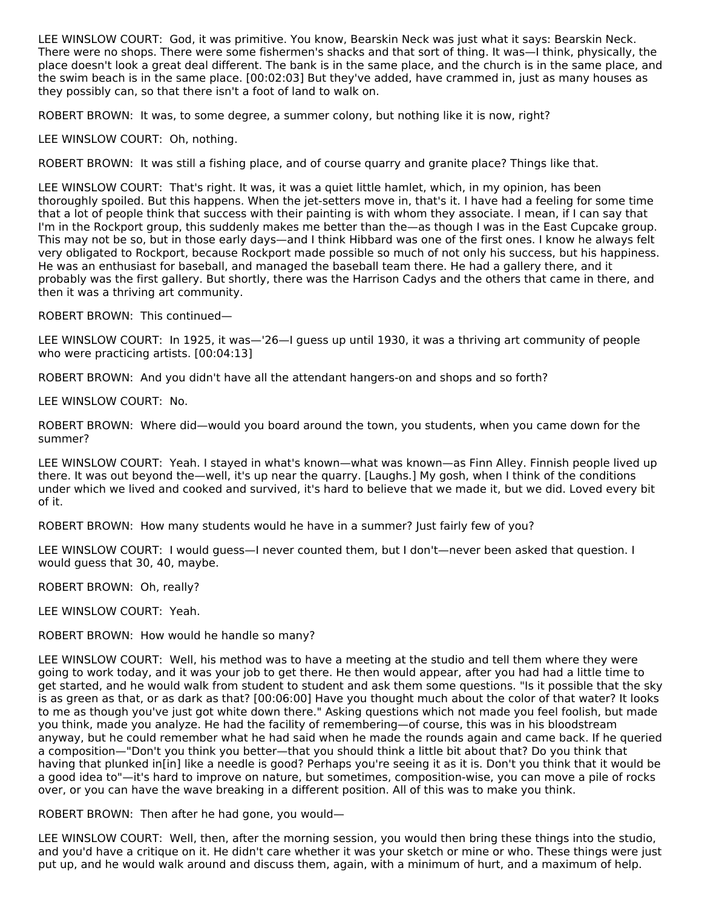LEE WINSLOW COURT: God, it was primitive. You know, Bearskin Neck was just what it says: Bearskin Neck. There were no shops. There were some fishermen's shacks and that sort of thing. It was—I think, physically, the place doesn't look a great deal different. The bank is in the same place, and the church is in the same place, and the swim beach is in the same place. [00:02:03] But they've added, have crammed in, just as many houses as they possibly can, so that there isn't a foot of land to walk on.

ROBERT BROWN: It was, to some degree, a summer colony, but nothing like it is now, right?

LEE WINSLOW COURT: Oh, nothing.

ROBERT BROWN: It was still a fishing place, and of course quarry and granite place? Things like that.

LEE WINSLOW COURT: That's right. It was, it was a quiet little hamlet, which, in my opinion, has been thoroughly spoiled. But this happens. When the jet-setters move in, that's it. I have had a feeling for some time that a lot of people think that success with their painting is with whom they associate. I mean, if I can say that I'm in the Rockport group, this suddenly makes me better than the—as though I was in the East Cupcake group. This may not be so, but in those early days—and I think Hibbard was one of the first ones. I know he always felt very obligated to Rockport, because Rockport made possible so much of not only his success, but his happiness. He was an enthusiast for baseball, and managed the baseball team there. He had a gallery there, and it probably was the first gallery. But shortly, there was the Harrison Cadys and the others that came in there, and then it was a thriving art community.

ROBERT BROWN: This continued—

LEE WINSLOW COURT: In 1925, it was—'26—I guess up until 1930, it was a thriving art community of people who were practicing artists. [00:04:13]

ROBERT BROWN: And you didn't have all the attendant hangers-on and shops and so forth?

LEE WINSLOW COURT: No.

ROBERT BROWN: Where did—would you board around the town, you students, when you came down for the summer?

LEE WINSLOW COURT: Yeah. I stayed in what's known—what was known—as Finn Alley. Finnish people lived up there. It was out beyond the—well, it's up near the quarry. [Laughs.] My gosh, when I think of the conditions under which we lived and cooked and survived, it's hard to believe that we made it, but we did. Loved every bit of it.

ROBERT BROWN: How many students would he have in a summer? Just fairly few of you?

LEE WINSLOW COURT: I would guess—I never counted them, but I don't—never been asked that question. I would guess that 30, 40, maybe.

ROBERT BROWN: Oh, really?

LEE WINSLOW COURT: Yeah.

ROBERT BROWN: How would he handle so many?

LEE WINSLOW COURT: Well, his method was to have a meeting at the studio and tell them where they were going to work today, and it was your job to get there. He then would appear, after you had had a little time to get started, and he would walk from student to student and ask them some questions. "Is it possible that the sky is as green as that, or as dark as that? [00:06:00] Have you thought much about the color of that water? It looks to me as though you've just got white down there." Asking questions which not made you feel foolish, but made you think, made you analyze. He had the facility of remembering—of course, this was in his bloodstream anyway, but he could remember what he had said when he made the rounds again and came back. If he queried a composition—"Don't you think you better—that you should think a little bit about that? Do you think that having that plunked in[in] like a needle is good? Perhaps you're seeing it as it is. Don't you think that it would be a good idea to"—it's hard to improve on nature, but sometimes, composition-wise, you can move a pile of rocks over, or you can have the wave breaking in a different position. All of this was to make you think.

ROBERT BROWN: Then after he had gone, you would—

LEE WINSLOW COURT: Well, then, after the morning session, you would then bring these things into the studio, and you'd have a critique on it. He didn't care whether it was your sketch or mine or who. These things were just put up, and he would walk around and discuss them, again, with a minimum of hurt, and a maximum of help.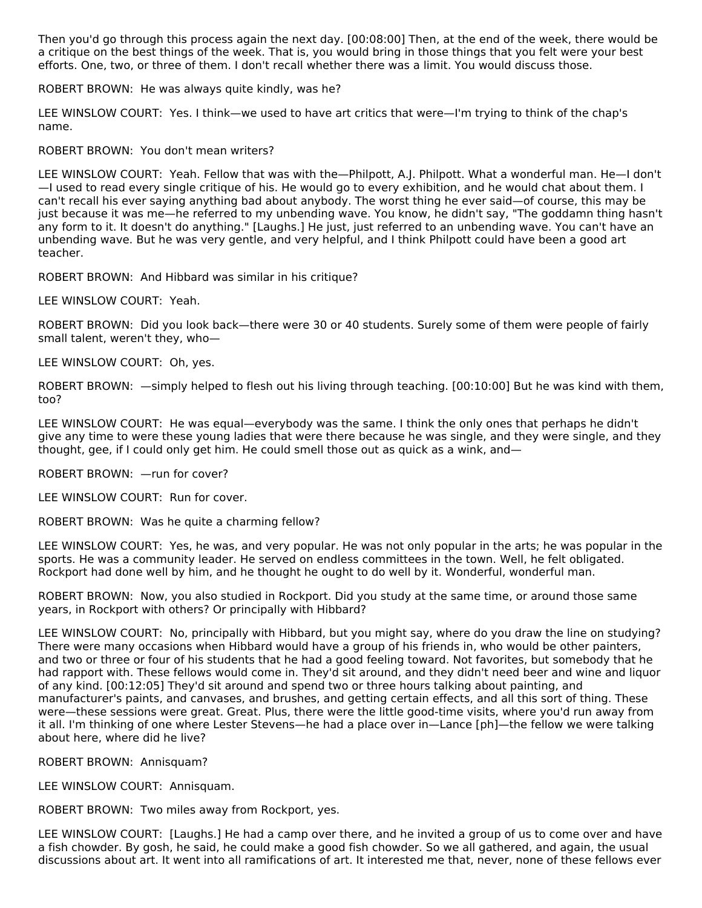Then you'd go through this process again the next day. [00:08:00] Then, at the end of the week, there would be a critique on the best things of the week. That is, you would bring in those things that you felt were your best efforts. One, two, or three of them. I don't recall whether there was a limit. You would discuss those.

ROBERT BROWN: He was always quite kindly, was he?

LEE WINSLOW COURT: Yes. I think—we used to have art critics that were—I'm trying to think of the chap's name.

ROBERT BROWN: You don't mean writers?

LEE WINSLOW COURT: Yeah. Fellow that was with the—Philpott, A.J. Philpott. What a wonderful man. He—I don't —I used to read every single critique of his. He would go to every exhibition, and he would chat about them. I can't recall his ever saying anything bad about anybody. The worst thing he ever said—of course, this may be just because it was me—he referred to my unbending wave. You know, he didn't say, "The goddamn thing hasn't any form to it. It doesn't do anything." [Laughs.] He just, just referred to an unbending wave. You can't have an unbending wave. But he was very gentle, and very helpful, and I think Philpott could have been a good art teacher.

ROBERT BROWN: And Hibbard was similar in his critique?

LEE WINSLOW COURT: Yeah.

ROBERT BROWN: Did you look back—there were 30 or 40 students. Surely some of them were people of fairly small talent, weren't they, who—

LEE WINSLOW COURT: Oh, yes.

ROBERT BROWN: —simply helped to flesh out his living through teaching. [00:10:00] But he was kind with them, too?

LEE WINSLOW COURT: He was equal—everybody was the same. I think the only ones that perhaps he didn't give any time to were these young ladies that were there because he was single, and they were single, and they thought, gee, if I could only get him. He could smell those out as quick as a wink, and—

ROBERT BROWN: —run for cover?

LEE WINSLOW COURT: Run for cover.

ROBERT BROWN: Was he quite a charming fellow?

LEE WINSLOW COURT: Yes, he was, and very popular. He was not only popular in the arts; he was popular in the sports. He was a community leader. He served on endless committees in the town. Well, he felt obligated. Rockport had done well by him, and he thought he ought to do well by it. Wonderful, wonderful man.

ROBERT BROWN: Now, you also studied in Rockport. Did you study at the same time, or around those same years, in Rockport with others? Or principally with Hibbard?

LEE WINSLOW COURT: No, principally with Hibbard, but you might say, where do you draw the line on studying? There were many occasions when Hibbard would have a group of his friends in, who would be other painters, and two or three or four of his students that he had a good feeling toward. Not favorites, but somebody that he had rapport with. These fellows would come in. They'd sit around, and they didn't need beer and wine and liquor of any kind. [00:12:05] They'd sit around and spend two or three hours talking about painting, and manufacturer's paints, and canvases, and brushes, and getting certain effects, and all this sort of thing. These were—these sessions were great. Great. Plus, there were the little good-time visits, where you'd run away from it all. I'm thinking of one where Lester Stevens—he had a place over in—Lance [ph]—the fellow we were talking about here, where did he live?

ROBERT BROWN: Annisquam?

LEE WINSLOW COURT: Annisquam.

ROBERT BROWN: Two miles away from Rockport, yes.

LEE WINSLOW COURT: [Laughs.] He had a camp over there, and he invited a group of us to come over and have a fish chowder. By gosh, he said, he could make a good fish chowder. So we all gathered, and again, the usual discussions about art. It went into all ramifications of art. It interested me that, never, none of these fellows ever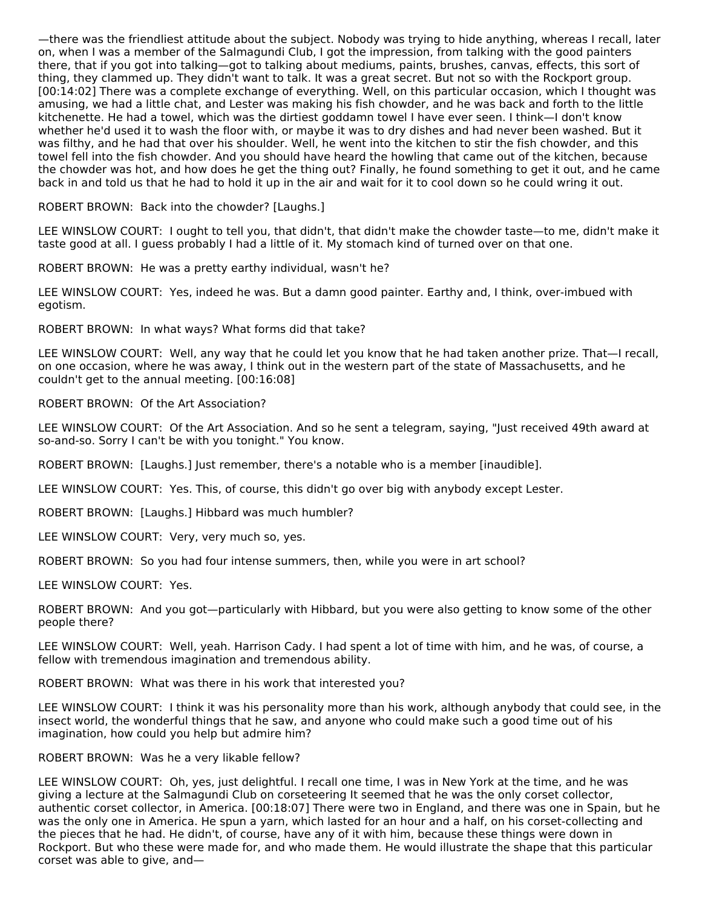—there was the friendliest attitude about the subject. Nobody was trying to hide anything, whereas I recall, later on, when I was a member of the Salmagundi Club, I got the impression, from talking with the good painters there, that if you got into talking—got to talking about mediums, paints, brushes, canvas, effects, this sort of thing, they clammed up. They didn't want to talk. It was a great secret. But not so with the Rockport group. [00:14:02] There was a complete exchange of everything. Well, on this particular occasion, which I thought was amusing, we had a little chat, and Lester was making his fish chowder, and he was back and forth to the little kitchenette. He had a towel, which was the dirtiest goddamn towel I have ever seen. I think—I don't know whether he'd used it to wash the floor with, or maybe it was to dry dishes and had never been washed. But it was filthy, and he had that over his shoulder. Well, he went into the kitchen to stir the fish chowder, and this towel fell into the fish chowder. And you should have heard the howling that came out of the kitchen, because the chowder was hot, and how does he get the thing out? Finally, he found something to get it out, and he came back in and told us that he had to hold it up in the air and wait for it to cool down so he could wring it out.

ROBERT BROWN: Back into the chowder? [Laughs.]

LEE WINSLOW COURT: I ought to tell you, that didn't, that didn't make the chowder taste—to me, didn't make it taste good at all. I guess probably I had a little of it. My stomach kind of turned over on that one.

ROBERT BROWN: He was a pretty earthy individual, wasn't he?

LEE WINSLOW COURT: Yes, indeed he was. But a damn good painter. Earthy and, I think, over-imbued with egotism.

ROBERT BROWN: In what ways? What forms did that take?

LEE WINSLOW COURT: Well, any way that he could let you know that he had taken another prize. That—I recall, on one occasion, where he was away, I think out in the western part of the state of Massachusetts, and he couldn't get to the annual meeting. [00:16:08]

# ROBERT BROWN: Of the Art Association?

LEE WINSLOW COURT: Of the Art Association. And so he sent a telegram, saying, "Just received 49th award at so-and-so. Sorry I can't be with you tonight." You know.

ROBERT BROWN: [Laughs.] Just remember, there's a notable who is a member [inaudible].

LEE WINSLOW COURT: Yes. This, of course, this didn't go over big with anybody except Lester.

ROBERT BROWN: [Laughs.] Hibbard was much humbler?

LEE WINSLOW COURT: Very, very much so, yes.

ROBERT BROWN: So you had four intense summers, then, while you were in art school?

LEE WINSLOW COURT: Yes.

ROBERT BROWN: And you got—particularly with Hibbard, but you were also getting to know some of the other people there?

LEE WINSLOW COURT: Well, yeah. Harrison Cady. I had spent a lot of time with him, and he was, of course, a fellow with tremendous imagination and tremendous ability.

ROBERT BROWN: What was there in his work that interested you?

LEE WINSLOW COURT: I think it was his personality more than his work, although anybody that could see, in the insect world, the wonderful things that he saw, and anyone who could make such a good time out of his imagination, how could you help but admire him?

#### ROBERT BROWN: Was he a very likable fellow?

LEE WINSLOW COURT: Oh, yes, just delightful. I recall one time, I was in New York at the time, and he was giving a lecture at the Salmagundi Club on corseteering It seemed that he was the only corset collector, authentic corset collector, in America. [00:18:07] There were two in England, and there was one in Spain, but he was the only one in America. He spun a yarn, which lasted for an hour and a half, on his corset-collecting and the pieces that he had. He didn't, of course, have any of it with him, because these things were down in Rockport. But who these were made for, and who made them. He would illustrate the shape that this particular corset was able to give, and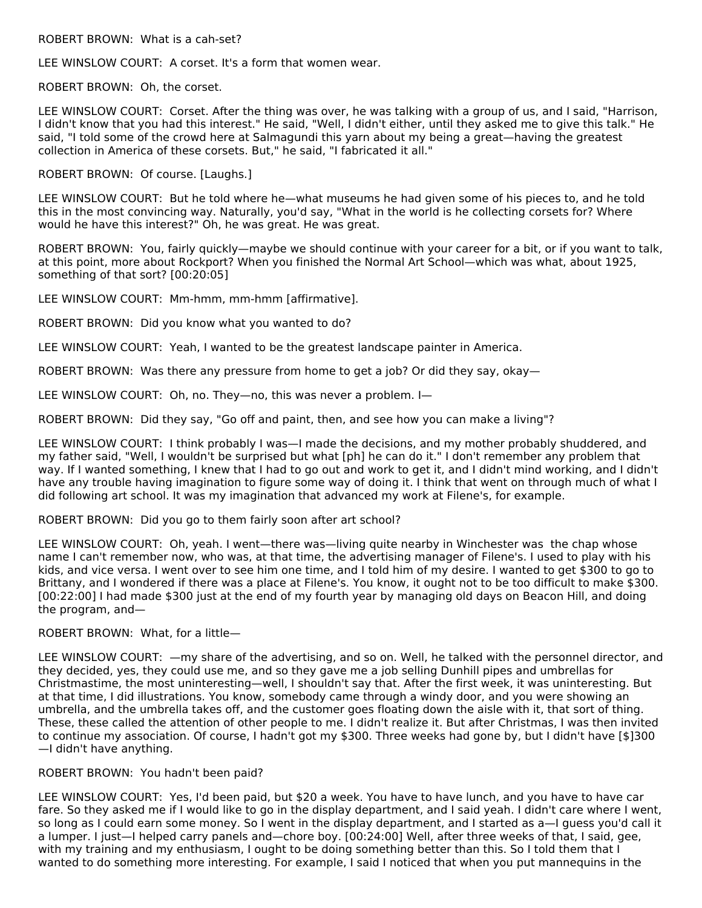ROBERT BROWN: What is a cah-set?

LEE WINSLOW COURT: A corset. It's a form that women wear.

ROBERT BROWN: Oh, the corset.

LEE WINSLOW COURT: Corset. After the thing was over, he was talking with a group of us, and I said, "Harrison, I didn't know that you had this interest." He said, "Well, I didn't either, until they asked me to give this talk." He said, "I told some of the crowd here at Salmagundi this yarn about my being a great—having the greatest collection in America of these corsets. But," he said, "I fabricated it all."

ROBERT BROWN: Of course. [Laughs.]

LEE WINSLOW COURT: But he told where he—what museums he had given some of his pieces to, and he told this in the most convincing way. Naturally, you'd say, "What in the world is he collecting corsets for? Where would he have this interest?" Oh, he was great. He was great.

ROBERT BROWN: You, fairly quickly—maybe we should continue with your career for a bit, or if you want to talk, at this point, more about Rockport? When you finished the Normal Art School—which was what, about 1925, something of that sort? [00:20:05]

LEE WINSLOW COURT: Mm-hmm, mm-hmm [affirmative].

ROBERT BROWN: Did you know what you wanted to do?

LEE WINSLOW COURT: Yeah, I wanted to be the greatest landscape painter in America.

ROBERT BROWN: Was there any pressure from home to get a job? Or did they say, okay—

LEE WINSLOW COURT: Oh, no. They—no, this was never a problem. I—

ROBERT BROWN: Did they say, "Go off and paint, then, and see how you can make a living"?

LEE WINSLOW COURT: I think probably I was—I made the decisions, and my mother probably shuddered, and my father said, "Well, I wouldn't be surprised but what [ph] he can do it." I don't remember any problem that way. If I wanted something, I knew that I had to go out and work to get it, and I didn't mind working, and I didn't have any trouble having imagination to figure some way of doing it. I think that went on through much of what I did following art school. It was my imagination that advanced my work at Filene's, for example.

#### ROBERT BROWN: Did you go to them fairly soon after art school?

LEE WINSLOW COURT: Oh, yeah. I went—there was—living quite nearby in Winchester was the chap whose name I can't remember now, who was, at that time, the advertising manager of Filene's. I used to play with his kids, and vice versa. I went over to see him one time, and I told him of my desire. I wanted to get \$300 to go to Brittany, and I wondered if there was a place at Filene's. You know, it ought not to be too difficult to make \$300. [00:22:00] I had made \$300 just at the end of my fourth year by managing old days on Beacon Hill, and doing the program, and—

#### ROBERT BROWN: What, for a little—

LEE WINSLOW COURT: —my share of the advertising, and so on. Well, he talked with the personnel director, and they decided, yes, they could use me, and so they gave me a job selling Dunhill pipes and umbrellas for Christmastime, the most uninteresting—well, I shouldn't say that. After the first week, it was uninteresting. But at that time, I did illustrations. You know, somebody came through a windy door, and you were showing an umbrella, and the umbrella takes off, and the customer goes floating down the aisle with it, that sort of thing. These, these called the attention of other people to me. I didn't realize it. But after Christmas, I was then invited to continue my association. Of course, I hadn't got my \$300. Three weeks had gone by, but I didn't have [\$]300 —I didn't have anything.

#### ROBERT BROWN: You hadn't been paid?

LEE WINSLOW COURT: Yes, I'd been paid, but \$20 a week. You have to have lunch, and you have to have car fare. So they asked me if I would like to go in the display department, and I said yeah. I didn't care where I went, so long as I could earn some money. So I went in the display department, and I started as a—I guess you'd call it a lumper. I just—I helped carry panels and—chore boy. [00:24:00] Well, after three weeks of that, I said, gee, with my training and my enthusiasm, I ought to be doing something better than this. So I told them that I wanted to do something more interesting. For example, I said I noticed that when you put mannequins in the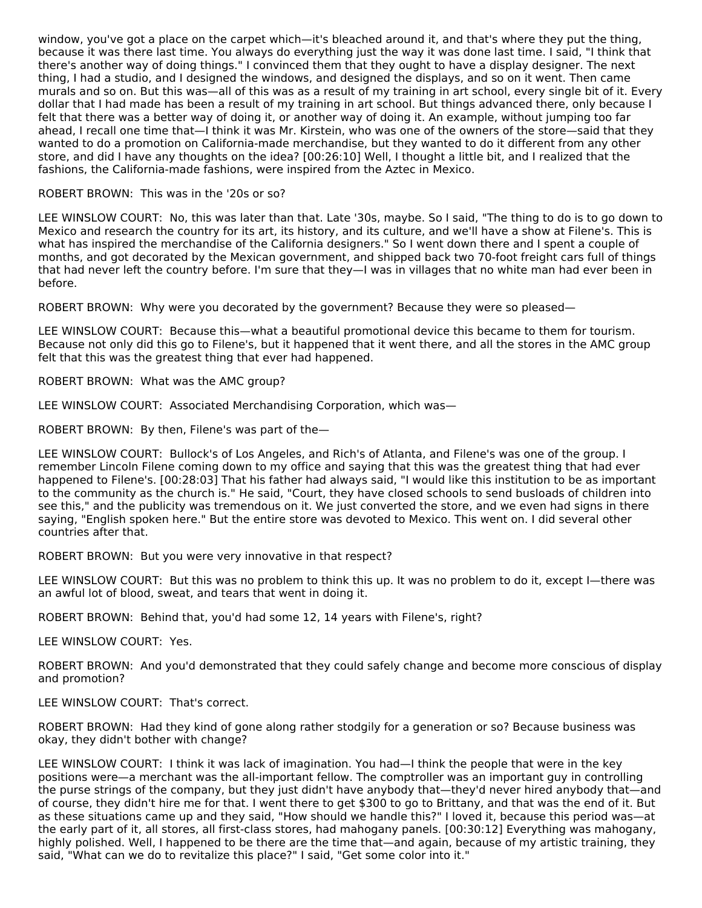window, you've got a place on the carpet which—it's bleached around it, and that's where they put the thing, because it was there last time. You always do everything just the way it was done last time. I said, "I think that there's another way of doing things." I convinced them that they ought to have a display designer. The next thing, I had a studio, and I designed the windows, and designed the displays, and so on it went. Then came murals and so on. But this was—all of this was as a result of my training in art school, every single bit of it. Every dollar that I had made has been a result of my training in art school. But things advanced there, only because I felt that there was a better way of doing it, or another way of doing it. An example, without jumping too far ahead, I recall one time that—I think it was Mr. Kirstein, who was one of the owners of the store—said that they wanted to do a promotion on California-made merchandise, but they wanted to do it different from any other store, and did I have any thoughts on the idea? [00:26:10] Well, I thought a little bit, and I realized that the fashions, the California-made fashions, were inspired from the Aztec in Mexico.

#### ROBERT BROWN: This was in the '20s or so?

LEE WINSLOW COURT: No, this was later than that. Late '30s, maybe. So I said, "The thing to do is to go down to Mexico and research the country for its art, its history, and its culture, and we'll have a show at Filene's. This is what has inspired the merchandise of the California designers." So I went down there and I spent a couple of months, and got decorated by the Mexican government, and shipped back two 70-foot freight cars full of things that had never left the country before. I'm sure that they—I was in villages that no white man had ever been in before.

ROBERT BROWN: Why were you decorated by the government? Because they were so pleased—

LEE WINSLOW COURT: Because this—what a beautiful promotional device this became to them for tourism. Because not only did this go to Filene's, but it happened that it went there, and all the stores in the AMC group felt that this was the greatest thing that ever had happened.

ROBERT BROWN: What was the AMC group?

LEE WINSLOW COURT: Associated Merchandising Corporation, which was—

ROBERT BROWN: By then, Filene's was part of the—

LEE WINSLOW COURT: Bullock's of Los Angeles, and Rich's of Atlanta, and Filene's was one of the group. I remember Lincoln Filene coming down to my office and saying that this was the greatest thing that had ever happened to Filene's. [00:28:03] That his father had always said, "I would like this institution to be as important to the community as the church is." He said, "Court, they have closed schools to send busloads of children into see this," and the publicity was tremendous on it. We just converted the store, and we even had signs in there saying, "English spoken here." But the entire store was devoted to Mexico. This went on. I did several other countries after that.

ROBERT BROWN: But you were very innovative in that respect?

LEE WINSLOW COURT: But this was no problem to think this up. It was no problem to do it, except I—there was an awful lot of blood, sweat, and tears that went in doing it.

ROBERT BROWN: Behind that, you'd had some 12, 14 years with Filene's, right?

LEE WINSLOW COURT: Yes.

ROBERT BROWN: And you'd demonstrated that they could safely change and become more conscious of display and promotion?

LEE WINSLOW COURT: That's correct.

ROBERT BROWN: Had they kind of gone along rather stodgily for a generation or so? Because business was okay, they didn't bother with change?

LEE WINSLOW COURT: I think it was lack of imagination. You had—I think the people that were in the key positions were—a merchant was the all-important fellow. The comptroller was an important guy in controlling the purse strings of the company, but they just didn't have anybody that—they'd never hired anybody that—and of course, they didn't hire me for that. I went there to get \$300 to go to Brittany, and that was the end of it. But as these situations came up and they said, "How should we handle this?" I loved it, because this period was—at the early part of it, all stores, all first-class stores, had mahogany panels. [00:30:12] Everything was mahogany, highly polished. Well, I happened to be there are the time that—and again, because of my artistic training, they said, "What can we do to revitalize this place?" I said, "Get some color into it."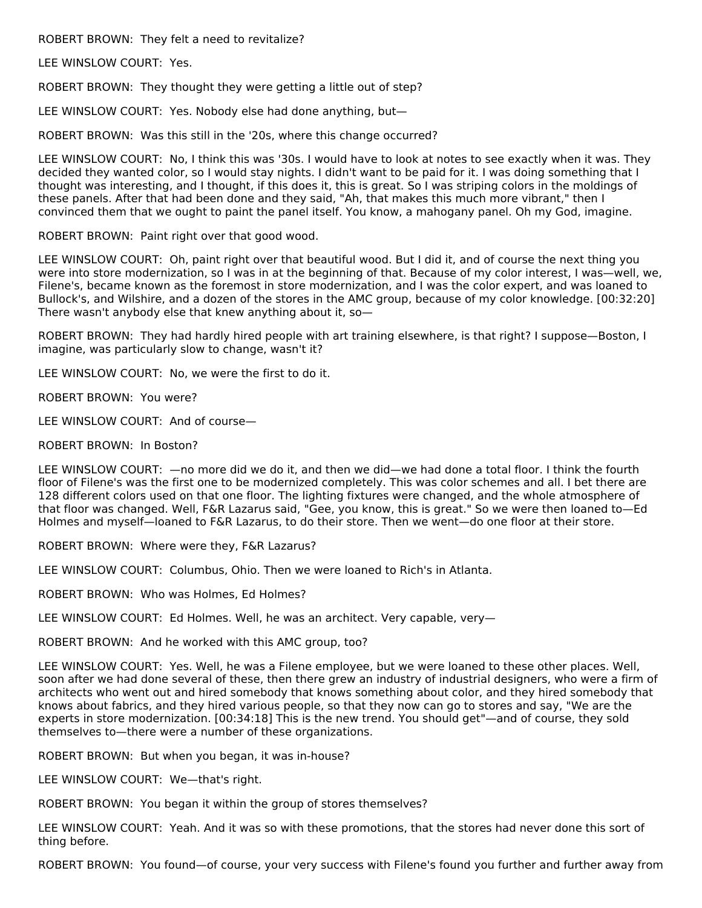ROBERT BROWN: They felt a need to revitalize?

LEE WINSLOW COURT: Yes.

ROBERT BROWN: They thought they were getting a little out of step?

LEE WINSLOW COURT: Yes. Nobody else had done anything, but—

ROBERT BROWN: Was this still in the '20s, where this change occurred?

LEE WINSLOW COURT: No, I think this was '30s. I would have to look at notes to see exactly when it was. They decided they wanted color, so I would stay nights. I didn't want to be paid for it. I was doing something that I thought was interesting, and I thought, if this does it, this is great. So I was striping colors in the moldings of these panels. After that had been done and they said, "Ah, that makes this much more vibrant," then I convinced them that we ought to paint the panel itself. You know, a mahogany panel. Oh my God, imagine.

ROBERT BROWN: Paint right over that good wood.

LEE WINSLOW COURT: Oh, paint right over that beautiful wood. But I did it, and of course the next thing you were into store modernization, so I was in at the beginning of that. Because of my color interest, I was—well, we, Filene's, became known as the foremost in store modernization, and I was the color expert, and was loaned to Bullock's, and Wilshire, and a dozen of the stores in the AMC group, because of my color knowledge. [00:32:20] There wasn't anybody else that knew anything about it, so—

ROBERT BROWN: They had hardly hired people with art training elsewhere, is that right? I suppose—Boston, I imagine, was particularly slow to change, wasn't it?

LEE WINSLOW COURT: No, we were the first to do it.

ROBERT BROWN: You were?

LEE WINSLOW COURT: And of course—

ROBERT BROWN: In Boston?

LEE WINSLOW COURT: —no more did we do it, and then we did—we had done a total floor. I think the fourth floor of Filene's was the first one to be modernized completely. This was color schemes and all. I bet there are 128 different colors used on that one floor. The lighting fixtures were changed, and the whole atmosphere of that floor was changed. Well, F&R Lazarus said, "Gee, you know, this is great." So we were then loaned to—Ed Holmes and myself—loaned to F&R Lazarus, to do their store. Then we went—do one floor at their store.

ROBERT BROWN: Where were they, F&R Lazarus?

LEE WINSLOW COURT: Columbus, Ohio. Then we were loaned to Rich's in Atlanta.

ROBERT BROWN: Who was Holmes, Ed Holmes?

LEE WINSLOW COURT: Ed Holmes. Well, he was an architect. Very capable, very—

ROBERT BROWN: And he worked with this AMC group, too?

LEE WINSLOW COURT: Yes. Well, he was a Filene employee, but we were loaned to these other places. Well, soon after we had done several of these, then there grew an industry of industrial designers, who were a firm of architects who went out and hired somebody that knows something about color, and they hired somebody that knows about fabrics, and they hired various people, so that they now can go to stores and say, "We are the experts in store modernization. [00:34:18] This is the new trend. You should get"—and of course, they sold themselves to—there were a number of these organizations.

ROBERT BROWN: But when you began, it was in-house?

LEE WINSLOW COURT: We—that's right.

ROBERT BROWN: You began it within the group of stores themselves?

LEE WINSLOW COURT: Yeah. And it was so with these promotions, that the stores had never done this sort of thing before.

ROBERT BROWN: You found—of course, your very success with Filene's found you further and further away from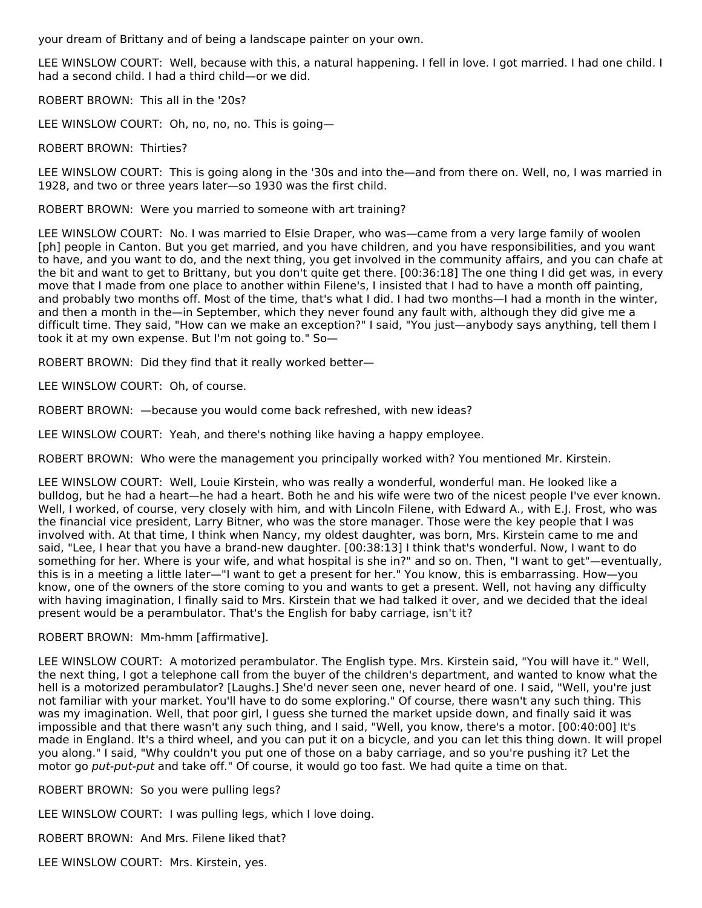your dream of Brittany and of being a landscape painter on your own.

LEE WINSLOW COURT: Well, because with this, a natural happening. I fell in love. I got married. I had one child. I had a second child. I had a third child—or we did.

ROBERT BROWN: This all in the '20s?

LEE WINSLOW COURT: Oh, no, no, no. This is going—

#### ROBERT BROWN: Thirties?

LEE WINSLOW COURT: This is going along in the '30s and into the—and from there on. Well, no, I was married in 1928, and two or three years later—so 1930 was the first child.

ROBERT BROWN: Were you married to someone with art training?

LEE WINSLOW COURT: No. I was married to Elsie Draper, who was—came from a very large family of woolen [ph] people in Canton. But you get married, and you have children, and you have responsibilities, and you want to have, and you want to do, and the next thing, you get involved in the community affairs, and you can chafe at the bit and want to get to Brittany, but you don't quite get there. [00:36:18] The one thing I did get was, in every move that I made from one place to another within Filene's, I insisted that I had to have a month off painting, and probably two months off. Most of the time, that's what I did. I had two months—I had a month in the winter, and then a month in the—in September, which they never found any fault with, although they did give me a difficult time. They said, "How can we make an exception?" I said, "You just—anybody says anything, tell them I took it at my own expense. But I'm not going to." So—

ROBERT BROWN: Did they find that it really worked better—

LEE WINSLOW COURT: Oh, of course.

ROBERT BROWN: —because you would come back refreshed, with new ideas?

LEE WINSLOW COURT: Yeah, and there's nothing like having a happy employee.

ROBERT BROWN: Who were the management you principally worked with? You mentioned Mr. Kirstein.

LEE WINSLOW COURT: Well, Louie Kirstein, who was really a wonderful, wonderful man. He looked like a bulldog, but he had a heart—he had a heart. Both he and his wife were two of the nicest people I've ever known. Well, I worked, of course, very closely with him, and with Lincoln Filene, with Edward A., with E.J. Frost, who was the financial vice president, Larry Bitner, who was the store manager. Those were the key people that I was involved with. At that time, I think when Nancy, my oldest daughter, was born, Mrs. Kirstein came to me and said, "Lee, I hear that you have a brand-new daughter. [00:38:13] I think that's wonderful. Now, I want to do something for her. Where is your wife, and what hospital is she in?" and so on. Then, "I want to get"—eventually, this is in a meeting a little later—"I want to get a present for her." You know, this is embarrassing. How—you know, one of the owners of the store coming to you and wants to get a present. Well, not having any difficulty with having imagination, I finally said to Mrs. Kirstein that we had talked it over, and we decided that the ideal present would be a perambulator. That's the English for baby carriage, isn't it?

ROBERT BROWN: Mm-hmm [affirmative].

LEE WINSLOW COURT: A motorized perambulator. The English type. Mrs. Kirstein said, "You will have it." Well, the next thing, I got a telephone call from the buyer of the children's department, and wanted to know what the hell is a motorized perambulator? [Laughs.] She'd never seen one, never heard of one. I said, "Well, you're just not familiar with your market. You'll have to do some exploring." Of course, there wasn't any such thing. This was my imagination. Well, that poor girl, I guess she turned the market upside down, and finally said it was impossible and that there wasn't any such thing, and I said, "Well, you know, there's a motor. [00:40:00] It's made in England. It's a third wheel, and you can put it on a bicycle, and you can let this thing down. It will propel you along." I said, "Why couldn't you put one of those on a baby carriage, and so you're pushing it? Let the motor go put-put-put and take off." Of course, it would go too fast. We had quite a time on that.

ROBERT BROWN: So you were pulling legs?

LEE WINSLOW COURT: I was pulling legs, which I love doing.

ROBERT BROWN: And Mrs. Filene liked that?

LEE WINSLOW COURT: Mrs. Kirstein, yes.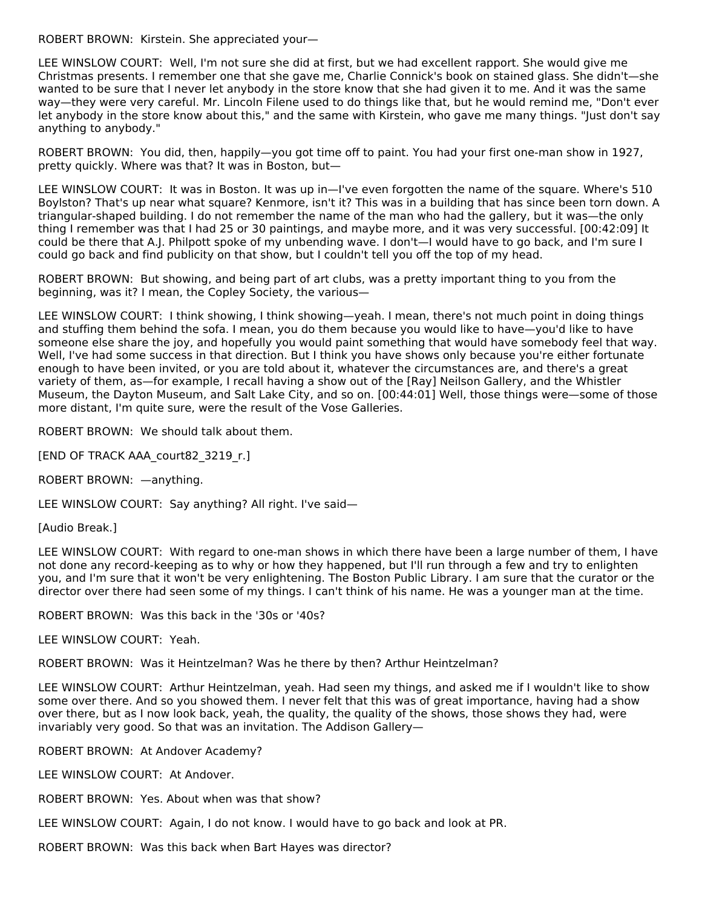ROBERT BROWN: Kirstein. She appreciated your—

LEE WINSLOW COURT: Well, I'm not sure she did at first, but we had excellent rapport. She would give me Christmas presents. I remember one that she gave me, Charlie Connick's book on stained glass. She didn't—she wanted to be sure that I never let anybody in the store know that she had given it to me. And it was the same way—they were very careful. Mr. Lincoln Filene used to do things like that, but he would remind me, "Don't ever let anybody in the store know about this," and the same with Kirstein, who gave me many things. "Just don't say anything to anybody."

ROBERT BROWN: You did, then, happily—you got time off to paint. You had your first one-man show in 1927, pretty quickly. Where was that? It was in Boston, but—

LEE WINSLOW COURT: It was in Boston. It was up in—I've even forgotten the name of the square. Where's 510 Boylston? That's up near what square? Kenmore, isn't it? This was in a building that has since been torn down. A triangular-shaped building. I do not remember the name of the man who had the gallery, but it was—the only thing I remember was that I had 25 or 30 paintings, and maybe more, and it was very successful. [00:42:09] It could be there that A.J. Philpott spoke of my unbending wave. I don't—I would have to go back, and I'm sure I could go back and find publicity on that show, but I couldn't tell you off the top of my head.

ROBERT BROWN: But showing, and being part of art clubs, was a pretty important thing to you from the beginning, was it? I mean, the Copley Society, the various—

LEE WINSLOW COURT: I think showing, I think showing—yeah. I mean, there's not much point in doing things and stuffing them behind the sofa. I mean, you do them because you would like to have—you'd like to have someone else share the joy, and hopefully you would paint something that would have somebody feel that way. Well, I've had some success in that direction. But I think you have shows only because you're either fortunate enough to have been invited, or you are told about it, whatever the circumstances are, and there's a great variety of them, as—for example, I recall having a show out of the [Ray] Neilson Gallery, and the Whistler Museum, the Dayton Museum, and Salt Lake City, and so on. [00:44:01] Well, those things were—some of those more distant, I'm quite sure, were the result of the Vose Galleries.

ROBERT BROWN: We should talk about them.

[END OF TRACK AAA\_court82\_3219\_r.]

ROBERT BROWN: —anything.

LEE WINSLOW COURT: Say anything? All right. I've said—

[Audio Break.]

LEE WINSLOW COURT: With regard to one-man shows in which there have been a large number of them, I have not done any record-keeping as to why or how they happened, but I'll run through a few and try to enlighten you, and I'm sure that it won't be very enlightening. The Boston Public Library. I am sure that the curator or the director over there had seen some of my things. I can't think of his name. He was a younger man at the time.

ROBERT BROWN: Was this back in the '30s or '40s?

LEE WINSLOW COURT: Yeah.

ROBERT BROWN: Was it Heintzelman? Was he there by then? Arthur Heintzelman?

LEE WINSLOW COURT: Arthur Heintzelman, yeah. Had seen my things, and asked me if I wouldn't like to show some over there. And so you showed them. I never felt that this was of great importance, having had a show over there, but as I now look back, yeah, the quality, the quality of the shows, those shows they had, were invariably very good. So that was an invitation. The Addison Gallery—

ROBERT BROWN: At Andover Academy?

LEE WINSLOW COURT: At Andover.

ROBERT BROWN: Yes. About when was that show?

LEE WINSLOW COURT: Again, I do not know. I would have to go back and look at PR.

ROBERT BROWN: Was this back when Bart Hayes was director?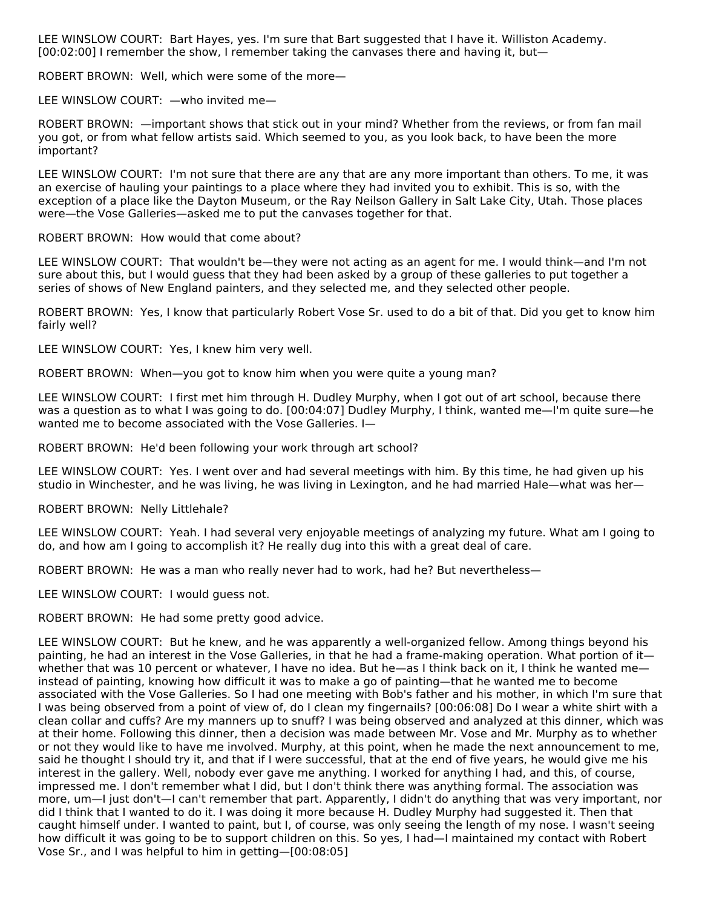LEE WINSLOW COURT: Bart Hayes, yes. I'm sure that Bart suggested that I have it. Williston Academy. [00:02:00] I remember the show, I remember taking the canvases there and having it, but—

ROBERT BROWN: Well, which were some of the more—

LEE WINSLOW COURT: —who invited me—

ROBERT BROWN: —important shows that stick out in your mind? Whether from the reviews, or from fan mail you got, or from what fellow artists said. Which seemed to you, as you look back, to have been the more important?

LEE WINSLOW COURT: I'm not sure that there are any that are any more important than others. To me, it was an exercise of hauling your paintings to a place where they had invited you to exhibit. This is so, with the exception of a place like the Dayton Museum, or the Ray Neilson Gallery in Salt Lake City, Utah. Those places were—the Vose Galleries—asked me to put the canvases together for that.

ROBERT BROWN: How would that come about?

LEE WINSLOW COURT: That wouldn't be—they were not acting as an agent for me. I would think—and I'm not sure about this, but I would guess that they had been asked by a group of these galleries to put together a series of shows of New England painters, and they selected me, and they selected other people.

ROBERT BROWN: Yes, I know that particularly Robert Vose Sr. used to do a bit of that. Did you get to know him fairly well?

LEE WINSLOW COURT: Yes, I knew him very well.

ROBERT BROWN: When—you got to know him when you were quite a young man?

LEE WINSLOW COURT: I first met him through H. Dudley Murphy, when I got out of art school, because there was a question as to what I was going to do. [00:04:07] Dudley Murphy, I think, wanted me—I'm quite sure—he wanted me to become associated with the Vose Galleries. I—

ROBERT BROWN: He'd been following your work through art school?

LEE WINSLOW COURT: Yes. I went over and had several meetings with him. By this time, he had given up his studio in Winchester, and he was living, he was living in Lexington, and he had married Hale—what was her—

ROBERT BROWN: Nelly Littlehale?

LEE WINSLOW COURT: Yeah. I had several very enjoyable meetings of analyzing my future. What am I going to do, and how am I going to accomplish it? He really dug into this with a great deal of care.

ROBERT BROWN: He was a man who really never had to work, had he? But nevertheless—

LEE WINSLOW COURT: I would guess not.

ROBERT BROWN: He had some pretty good advice.

LEE WINSLOW COURT: But he knew, and he was apparently a well-organized fellow. Among things beyond his painting, he had an interest in the Vose Galleries, in that he had a frame-making operation. What portion of it whether that was 10 percent or whatever, I have no idea. But he—as I think back on it, I think he wanted me instead of painting, knowing how difficult it was to make a go of painting—that he wanted me to become associated with the Vose Galleries. So I had one meeting with Bob's father and his mother, in which I'm sure that I was being observed from a point of view of, do I clean my fingernails? [00:06:08] Do I wear a white shirt with a clean collar and cuffs? Are my manners up to snuff? I was being observed and analyzed at this dinner, which was at their home. Following this dinner, then a decision was made between Mr. Vose and Mr. Murphy as to whether or not they would like to have me involved. Murphy, at this point, when he made the next announcement to me, said he thought I should try it, and that if I were successful, that at the end of five years, he would give me his interest in the gallery. Well, nobody ever gave me anything. I worked for anything I had, and this, of course, impressed me. I don't remember what I did, but I don't think there was anything formal. The association was more, um—I just don't—I can't remember that part. Apparently, I didn't do anything that was very important, nor did I think that I wanted to do it. I was doing it more because H. Dudley Murphy had suggested it. Then that caught himself under. I wanted to paint, but I, of course, was only seeing the length of my nose. I wasn't seeing how difficult it was going to be to support children on this. So yes, I had—I maintained my contact with Robert Vose Sr., and I was helpful to him in getting—[00:08:05]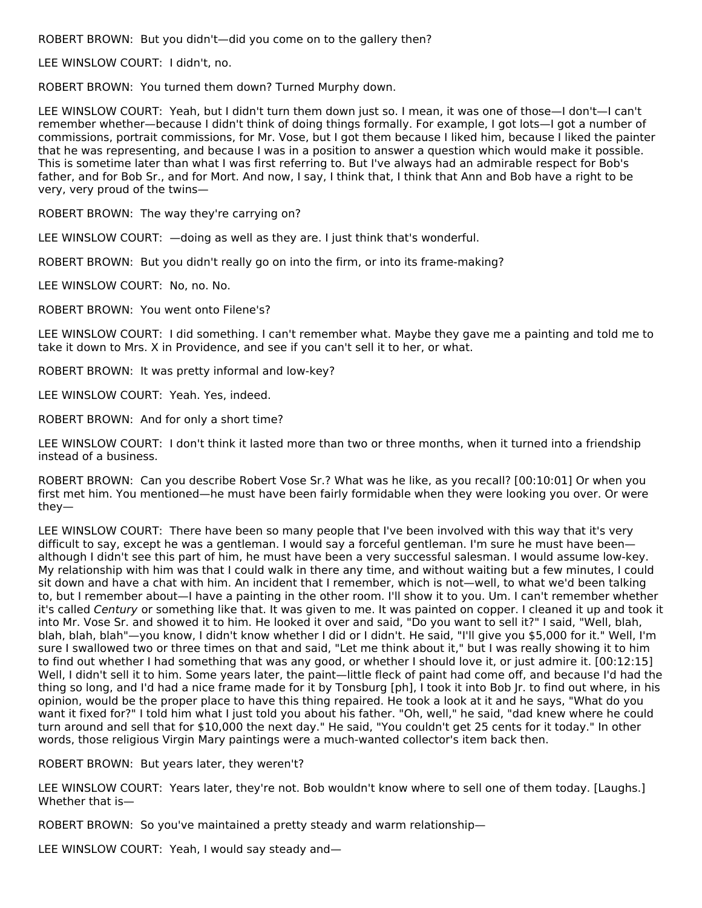ROBERT BROWN: But you didn't—did you come on to the gallery then?

LEE WINSLOW COURT: I didn't, no.

ROBERT BROWN: You turned them down? Turned Murphy down.

LEE WINSLOW COURT: Yeah, but I didn't turn them down just so. I mean, it was one of those-I don't-I can't remember whether—because I didn't think of doing things formally. For example, I got lots—I got a number of commissions, portrait commissions, for Mr. Vose, but I got them because I liked him, because I liked the painter that he was representing, and because I was in a position to answer a question which would make it possible. This is sometime later than what I was first referring to. But I've always had an admirable respect for Bob's father, and for Bob Sr., and for Mort. And now, I say, I think that, I think that Ann and Bob have a right to be very, very proud of the twins—

ROBERT BROWN: The way they're carrying on?

LEE WINSLOW COURT: —doing as well as they are. I just think that's wonderful.

ROBERT BROWN: But you didn't really go on into the firm, or into its frame-making?

LEE WINSLOW COURT: No, no. No.

ROBERT BROWN: You went onto Filene's?

LEE WINSLOW COURT: I did something. I can't remember what. Maybe they gave me a painting and told me to take it down to Mrs. X in Providence, and see if you can't sell it to her, or what.

ROBERT BROWN: It was pretty informal and low-key?

LEE WINSLOW COURT: Yeah. Yes, indeed.

ROBERT BROWN: And for only a short time?

LEE WINSLOW COURT: I don't think it lasted more than two or three months, when it turned into a friendship instead of a business.

ROBERT BROWN: Can you describe Robert Vose Sr.? What was he like, as you recall? [00:10:01] Or when you first met him. You mentioned—he must have been fairly formidable when they were looking you over. Or were they—

LEE WINSLOW COURT: There have been so many people that I've been involved with this way that it's very difficult to say, except he was a gentleman. I would say a forceful gentleman. I'm sure he must have been although I didn't see this part of him, he must have been a very successful salesman. I would assume low-key. My relationship with him was that I could walk in there any time, and without waiting but a few minutes, I could sit down and have a chat with him. An incident that I remember, which is not—well, to what we'd been talking to, but I remember about—I have a painting in the other room. I'll show it to you. Um. I can't remember whether it's called Century or something like that. It was given to me. It was painted on copper. I cleaned it up and took it into Mr. Vose Sr. and showed it to him. He looked it over and said, "Do you want to sell it?" I said, "Well, blah, blah, blah, blah"—you know, I didn't know whether I did or I didn't. He said, "I'll give you \$5,000 for it." Well, I'm sure I swallowed two or three times on that and said, "Let me think about it," but I was really showing it to him to find out whether I had something that was any good, or whether I should love it, or just admire it. [00:12:15] Well, I didn't sell it to him. Some years later, the paint—little fleck of paint had come off, and because I'd had the thing so long, and I'd had a nice frame made for it by Tonsburg [ph], I took it into Bob Jr. to find out where, in his opinion, would be the proper place to have this thing repaired. He took a look at it and he says, "What do you want it fixed for?" I told him what I just told you about his father. "Oh, well," he said, "dad knew where he could turn around and sell that for \$10,000 the next day." He said, "You couldn't get 25 cents for it today." In other words, those religious Virgin Mary paintings were a much-wanted collector's item back then.

ROBERT BROWN: But years later, they weren't?

LEE WINSLOW COURT: Years later, they're not. Bob wouldn't know where to sell one of them today. [Laughs.] Whether that is—

ROBERT BROWN: So you've maintained a pretty steady and warm relationship—

LEE WINSLOW COURT: Yeah, I would say steady and—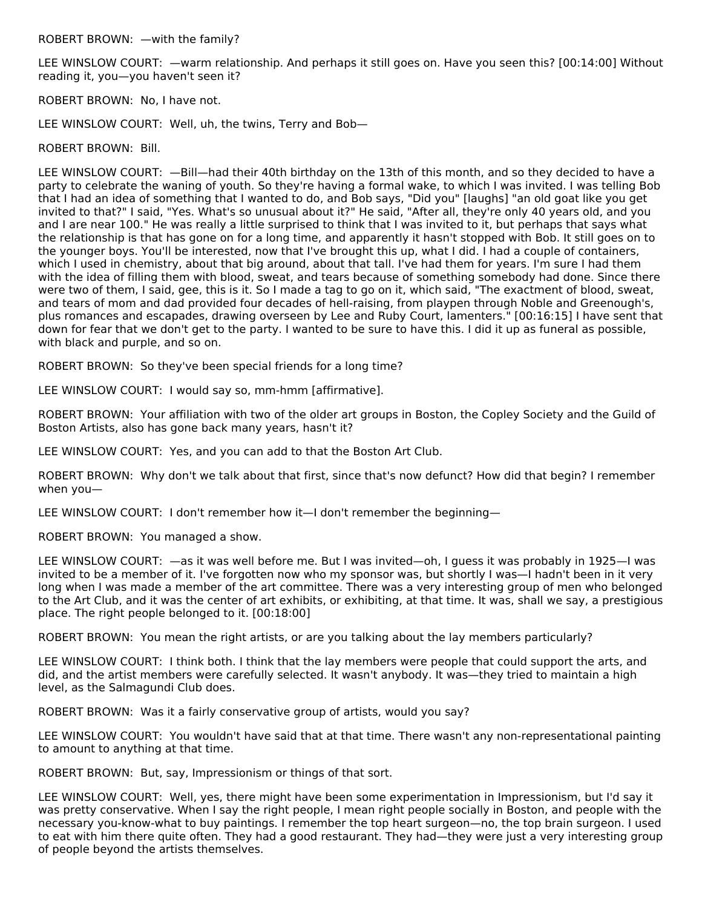LEE WINSLOW COURT: —warm relationship. And perhaps it still goes on. Have you seen this? [00:14:00] Without reading it, you—you haven't seen it?

ROBERT BROWN: No, I have not.

LEE WINSLOW COURT: Well, uh, the twins, Terry and Bob—

#### ROBERT BROWN: Bill.

LEE WINSLOW COURT: —Bill—had their 40th birthday on the 13th of this month, and so they decided to have a party to celebrate the waning of youth. So they're having a formal wake, to which I was invited. I was telling Bob that I had an idea of something that I wanted to do, and Bob says, "Did you" [laughs] "an old goat like you get invited to that?" I said, "Yes. What's so unusual about it?" He said, "After all, they're only 40 years old, and you and I are near 100." He was really a little surprised to think that I was invited to it, but perhaps that says what the relationship is that has gone on for a long time, and apparently it hasn't stopped with Bob. It still goes on to the younger boys. You'll be interested, now that I've brought this up, what I did. I had a couple of containers, which I used in chemistry, about that big around, about that tall. I've had them for years. I'm sure I had them with the idea of filling them with blood, sweat, and tears because of something somebody had done. Since there were two of them, I said, gee, this is it. So I made a tag to go on it, which said, "The exactment of blood, sweat, and tears of mom and dad provided four decades of hell-raising, from playpen through Noble and Greenough's, plus romances and escapades, drawing overseen by Lee and Ruby Court, lamenters." [00:16:15] I have sent that down for fear that we don't get to the party. I wanted to be sure to have this. I did it up as funeral as possible, with black and purple, and so on.

ROBERT BROWN: So they've been special friends for a long time?

LEE WINSLOW COURT: I would say so, mm-hmm [affirmative].

ROBERT BROWN: Your affiliation with two of the older art groups in Boston, the Copley Society and the Guild of Boston Artists, also has gone back many years, hasn't it?

LEE WINSLOW COURT: Yes, and you can add to that the Boston Art Club.

ROBERT BROWN: Why don't we talk about that first, since that's now defunct? How did that begin? I remember when you—

LEE WINSLOW COURT: I don't remember how it—I don't remember the beginning—

ROBERT BROWN: You managed a show.

LEE WINSLOW COURT: —as it was well before me. But I was invited—oh, I guess it was probably in 1925—I was invited to be a member of it. I've forgotten now who my sponsor was, but shortly I was—I hadn't been in it very long when I was made a member of the art committee. There was a very interesting group of men who belonged to the Art Club, and it was the center of art exhibits, or exhibiting, at that time. It was, shall we say, a prestigious place. The right people belonged to it. [00:18:00]

ROBERT BROWN: You mean the right artists, or are you talking about the lay members particularly?

LEE WINSLOW COURT: I think both. I think that the lay members were people that could support the arts, and did, and the artist members were carefully selected. It wasn't anybody. It was—they tried to maintain a high level, as the Salmagundi Club does.

ROBERT BROWN: Was it a fairly conservative group of artists, would you say?

LEE WINSLOW COURT: You wouldn't have said that at that time. There wasn't any non-representational painting to amount to anything at that time.

ROBERT BROWN: But, say, Impressionism or things of that sort.

LEE WINSLOW COURT: Well, yes, there might have been some experimentation in Impressionism, but I'd say it was pretty conservative. When I say the right people, I mean right people socially in Boston, and people with the necessary you-know-what to buy paintings. I remember the top heart surgeon—no, the top brain surgeon. I used to eat with him there quite often. They had a good restaurant. They had—they were just a very interesting group of people beyond the artists themselves.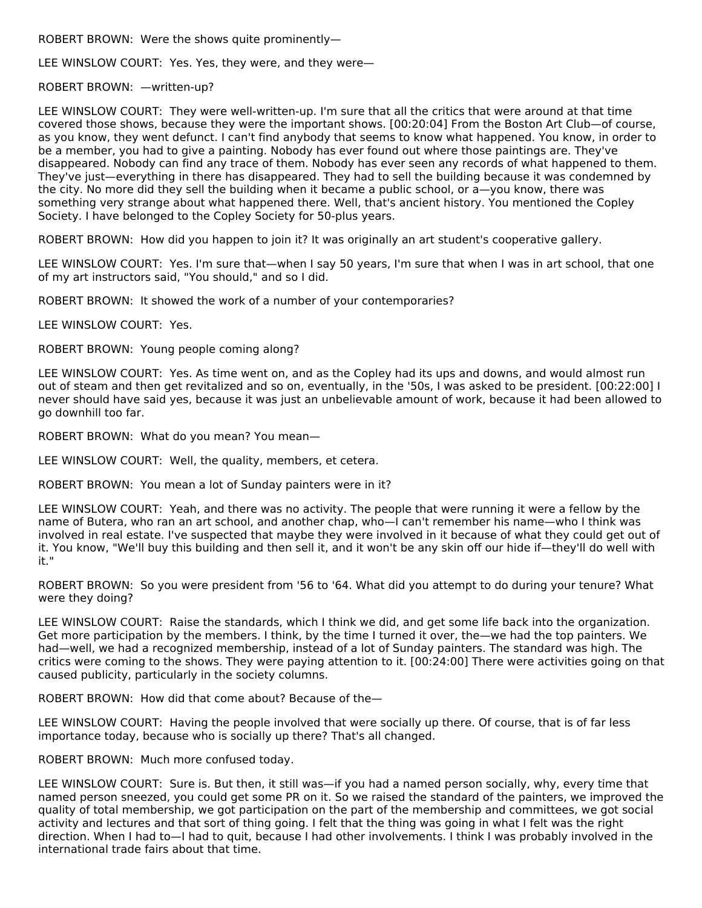ROBERT BROWN: Were the shows quite prominently—

LEE WINSLOW COURT: Yes. Yes, they were, and they were—

ROBERT BROWN: —written-up?

LEE WINSLOW COURT: They were well-written-up. I'm sure that all the critics that were around at that time covered those shows, because they were the important shows. [00:20:04] From the Boston Art Club—of course, as you know, they went defunct. I can't find anybody that seems to know what happened. You know, in order to be a member, you had to give a painting. Nobody has ever found out where those paintings are. They've disappeared. Nobody can find any trace of them. Nobody has ever seen any records of what happened to them. They've just—everything in there has disappeared. They had to sell the building because it was condemned by the city. No more did they sell the building when it became a public school, or a—you know, there was something very strange about what happened there. Well, that's ancient history. You mentioned the Copley Society. I have belonged to the Copley Society for 50-plus years.

ROBERT BROWN: How did you happen to join it? It was originally an art student's cooperative gallery.

LEE WINSLOW COURT: Yes. I'm sure that—when I say 50 years, I'm sure that when I was in art school, that one of my art instructors said, "You should," and so I did.

ROBERT BROWN: It showed the work of a number of your contemporaries?

LEE WINSLOW COURT: Yes.

ROBERT BROWN: Young people coming along?

LEE WINSLOW COURT: Yes. As time went on, and as the Copley had its ups and downs, and would almost run out of steam and then get revitalized and so on, eventually, in the '50s, I was asked to be president. [00:22:00] I never should have said yes, because it was just an unbelievable amount of work, because it had been allowed to go downhill too far.

ROBERT BROWN: What do you mean? You mean—

LEE WINSLOW COURT: Well, the quality, members, et cetera.

ROBERT BROWN: You mean a lot of Sunday painters were in it?

LEE WINSLOW COURT: Yeah, and there was no activity. The people that were running it were a fellow by the name of Butera, who ran an art school, and another chap, who—I can't remember his name—who I think was involved in real estate. I've suspected that maybe they were involved in it because of what they could get out of it. You know, "We'll buy this building and then sell it, and it won't be any skin off our hide if—they'll do well with it."

ROBERT BROWN: So you were president from '56 to '64. What did you attempt to do during your tenure? What were they doing?

LEE WINSLOW COURT: Raise the standards, which I think we did, and get some life back into the organization. Get more participation by the members. I think, by the time I turned it over, the—we had the top painters. We had—well, we had a recognized membership, instead of a lot of Sunday painters. The standard was high. The critics were coming to the shows. They were paying attention to it. [00:24:00] There were activities going on that caused publicity, particularly in the society columns.

ROBERT BROWN: How did that come about? Because of the—

LEE WINSLOW COURT: Having the people involved that were socially up there. Of course, that is of far less importance today, because who is socially up there? That's all changed.

ROBERT BROWN: Much more confused today.

LEE WINSLOW COURT: Sure is. But then, it still was—if you had a named person socially, why, every time that named person sneezed, you could get some PR on it. So we raised the standard of the painters, we improved the quality of total membership, we got participation on the part of the membership and committees, we got social activity and lectures and that sort of thing going. I felt that the thing was going in what I felt was the right direction. When I had to—I had to quit, because I had other involvements. I think I was probably involved in the international trade fairs about that time.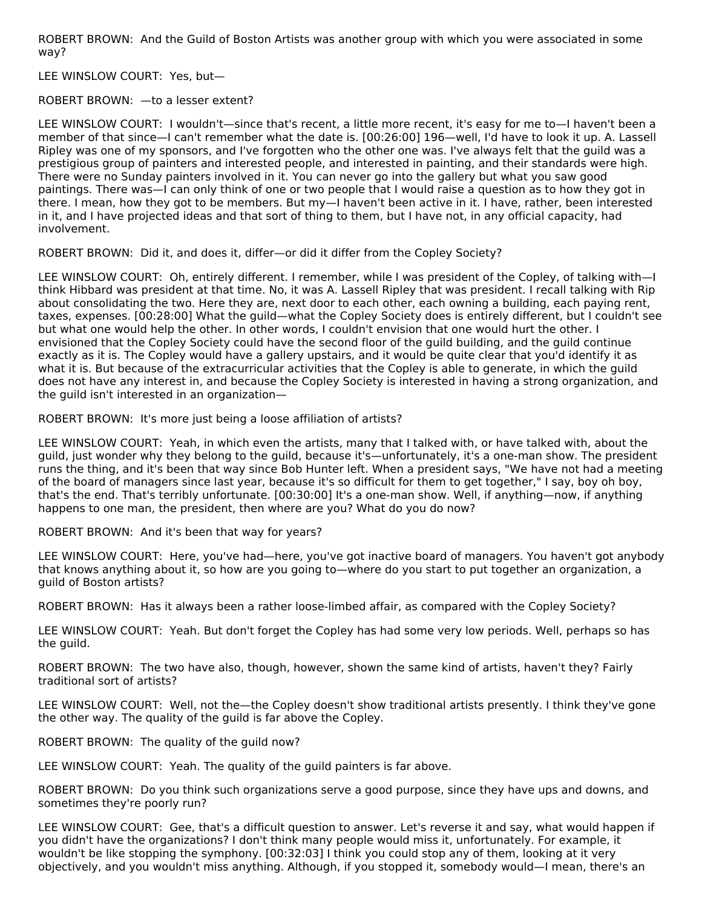ROBERT BROWN: And the Guild of Boston Artists was another group with which you were associated in some way?

LEE WINSLOW COURT: Yes, but—

ROBERT BROWN: —to a lesser extent?

LEE WINSLOW COURT: I wouldn't—since that's recent, a little more recent, it's easy for me to—I haven't been a member of that since—I can't remember what the date is. [00:26:00] 196—well, I'd have to look it up. A. Lassell Ripley was one of my sponsors, and I've forgotten who the other one was. I've always felt that the guild was a prestigious group of painters and interested people, and interested in painting, and their standards were high. There were no Sunday painters involved in it. You can never go into the gallery but what you saw good paintings. There was—I can only think of one or two people that I would raise a question as to how they got in there. I mean, how they got to be members. But my—I haven't been active in it. I have, rather, been interested in it, and I have projected ideas and that sort of thing to them, but I have not, in any official capacity, had involvement.

ROBERT BROWN: Did it, and does it, differ—or did it differ from the Copley Society?

LEE WINSLOW COURT: Oh, entirely different. I remember, while I was president of the Copley, of talking with—I think Hibbard was president at that time. No, it was A. Lassell Ripley that was president. I recall talking with Rip about consolidating the two. Here they are, next door to each other, each owning a building, each paying rent, taxes, expenses. [00:28:00] What the guild—what the Copley Society does is entirely different, but I couldn't see but what one would help the other. In other words, I couldn't envision that one would hurt the other. I envisioned that the Copley Society could have the second floor of the guild building, and the guild continue exactly as it is. The Copley would have a gallery upstairs, and it would be quite clear that you'd identify it as what it is. But because of the extracurricular activities that the Copley is able to generate, in which the guild does not have any interest in, and because the Copley Society is interested in having a strong organization, and the guild isn't interested in an organization—

ROBERT BROWN: It's more just being a loose affiliation of artists?

LEE WINSLOW COURT: Yeah, in which even the artists, many that I talked with, or have talked with, about the guild, just wonder why they belong to the guild, because it's—unfortunately, it's a one-man show. The president runs the thing, and it's been that way since Bob Hunter left. When a president says, "We have not had a meeting of the board of managers since last year, because it's so difficult for them to get together," I say, boy oh boy, that's the end. That's terribly unfortunate. [00:30:00] It's a one-man show. Well, if anything—now, if anything happens to one man, the president, then where are you? What do you do now?

ROBERT BROWN: And it's been that way for years?

LEE WINSLOW COURT: Here, you've had—here, you've got inactive board of managers. You haven't got anybody that knows anything about it, so how are you going to—where do you start to put together an organization, a guild of Boston artists?

ROBERT BROWN: Has it always been a rather loose-limbed affair, as compared with the Copley Society?

LEE WINSLOW COURT: Yeah. But don't forget the Copley has had some very low periods. Well, perhaps so has the guild.

ROBERT BROWN: The two have also, though, however, shown the same kind of artists, haven't they? Fairly traditional sort of artists?

LEE WINSLOW COURT: Well, not the—the Copley doesn't show traditional artists presently. I think they've gone the other way. The quality of the guild is far above the Copley.

ROBERT BROWN: The quality of the guild now?

LEE WINSLOW COURT: Yeah. The quality of the guild painters is far above.

ROBERT BROWN: Do you think such organizations serve a good purpose, since they have ups and downs, and sometimes they're poorly run?

LEE WINSLOW COURT: Gee, that's a difficult question to answer. Let's reverse it and say, what would happen if you didn't have the organizations? I don't think many people would miss it, unfortunately. For example, it wouldn't be like stopping the symphony. [00:32:03] I think you could stop any of them, looking at it very objectively, and you wouldn't miss anything. Although, if you stopped it, somebody would—I mean, there's an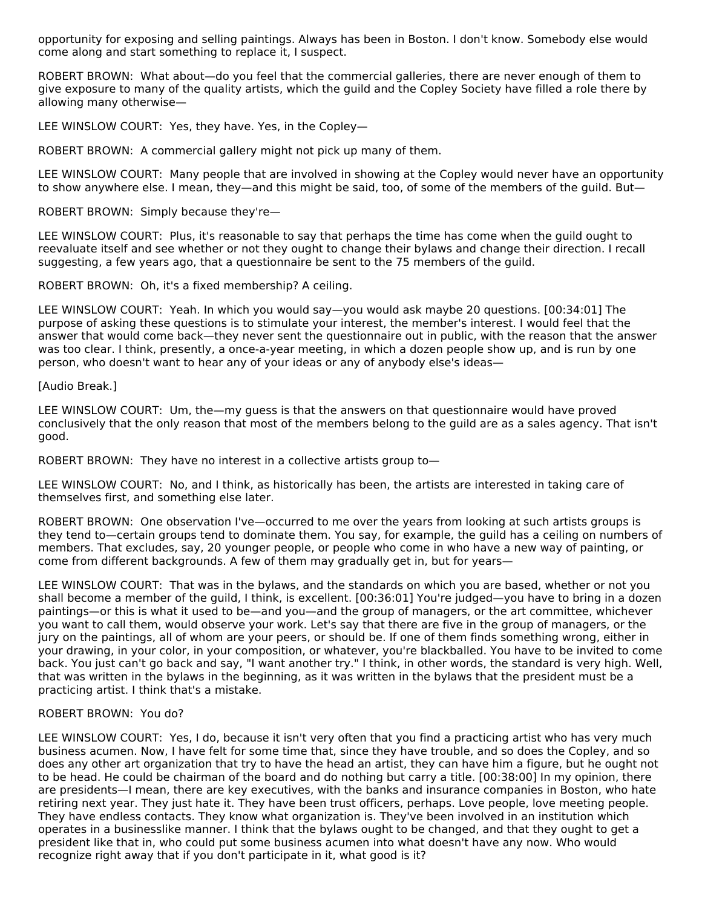opportunity for exposing and selling paintings. Always has been in Boston. I don't know. Somebody else would come along and start something to replace it, I suspect.

ROBERT BROWN: What about—do you feel that the commercial galleries, there are never enough of them to give exposure to many of the quality artists, which the guild and the Copley Society have filled a role there by allowing many otherwise—

LEE WINSLOW COURT: Yes, they have. Yes, in the Copley—

ROBERT BROWN: A commercial gallery might not pick up many of them.

LEE WINSLOW COURT: Many people that are involved in showing at the Copley would never have an opportunity to show anywhere else. I mean, they—and this might be said, too, of some of the members of the guild. But—

ROBERT BROWN: Simply because they're—

LEE WINSLOW COURT: Plus, it's reasonable to say that perhaps the time has come when the guild ought to reevaluate itself and see whether or not they ought to change their bylaws and change their direction. I recall suggesting, a few years ago, that a questionnaire be sent to the 75 members of the guild.

ROBERT BROWN: Oh, it's a fixed membership? A ceiling.

LEE WINSLOW COURT: Yeah. In which you would say—you would ask maybe 20 questions. [00:34:01] The purpose of asking these questions is to stimulate your interest, the member's interest. I would feel that the answer that would come back—they never sent the questionnaire out in public, with the reason that the answer was too clear. I think, presently, a once-a-year meeting, in which a dozen people show up, and is run by one person, who doesn't want to hear any of your ideas or any of anybody else's ideas—

#### [Audio Break.]

LEE WINSLOW COURT: Um, the—my guess is that the answers on that questionnaire would have proved conclusively that the only reason that most of the members belong to the guild are as a sales agency. That isn't good.

ROBERT BROWN: They have no interest in a collective artists group to—

LEE WINSLOW COURT: No, and I think, as historically has been, the artists are interested in taking care of themselves first, and something else later.

ROBERT BROWN: One observation I've—occurred to me over the years from looking at such artists groups is they tend to—certain groups tend to dominate them. You say, for example, the guild has a ceiling on numbers of members. That excludes, say, 20 younger people, or people who come in who have a new way of painting, or come from different backgrounds. A few of them may gradually get in, but for years—

LEE WINSLOW COURT: That was in the bylaws, and the standards on which you are based, whether or not you shall become a member of the guild, I think, is excellent. [00:36:01] You're judged—you have to bring in a dozen paintings—or this is what it used to be—and you—and the group of managers, or the art committee, whichever you want to call them, would observe your work. Let's say that there are five in the group of managers, or the jury on the paintings, all of whom are your peers, or should be. If one of them finds something wrong, either in your drawing, in your color, in your composition, or whatever, you're blackballed. You have to be invited to come back. You just can't go back and say, "I want another try." I think, in other words, the standard is very high. Well, that was written in the bylaws in the beginning, as it was written in the bylaws that the president must be a practicing artist. I think that's a mistake.

#### ROBERT BROWN: You do?

LEE WINSLOW COURT: Yes, I do, because it isn't very often that you find a practicing artist who has very much business acumen. Now, I have felt for some time that, since they have trouble, and so does the Copley, and so does any other art organization that try to have the head an artist, they can have him a figure, but he ought not to be head. He could be chairman of the board and do nothing but carry a title. [00:38:00] In my opinion, there are presidents—I mean, there are key executives, with the banks and insurance companies in Boston, who hate retiring next year. They just hate it. They have been trust officers, perhaps. Love people, love meeting people. They have endless contacts. They know what organization is. They've been involved in an institution which operates in a businesslike manner. I think that the bylaws ought to be changed, and that they ought to get a president like that in, who could put some business acumen into what doesn't have any now. Who would recognize right away that if you don't participate in it, what good is it?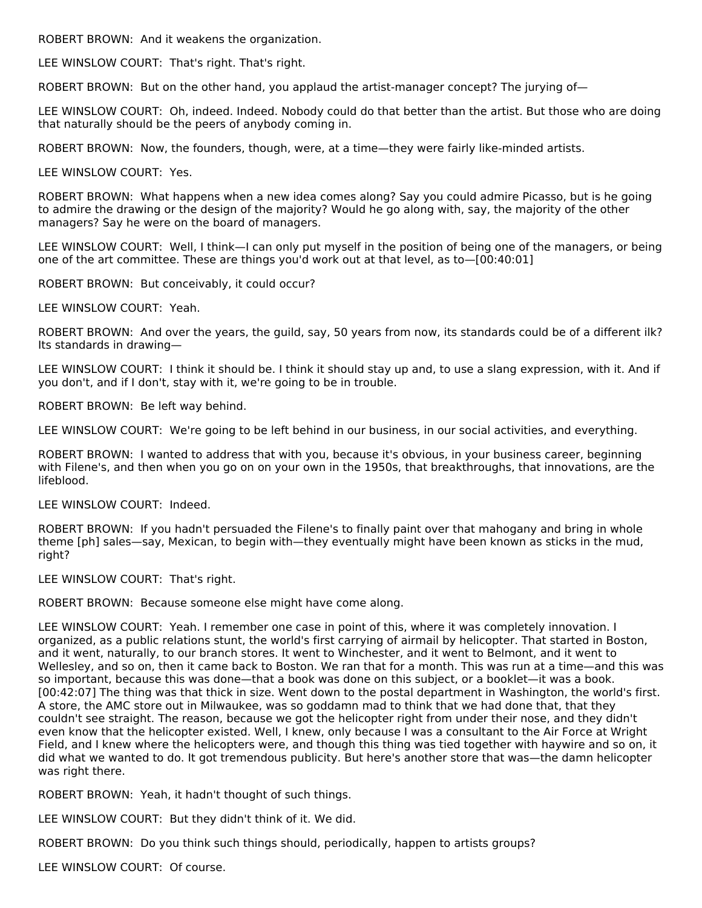ROBERT BROWN: And it weakens the organization.

LEE WINSLOW COURT: That's right. That's right.

ROBERT BROWN: But on the other hand, you applaud the artist-manager concept? The jurying of—

LEE WINSLOW COURT: Oh, indeed. Indeed. Nobody could do that better than the artist. But those who are doing that naturally should be the peers of anybody coming in.

ROBERT BROWN: Now, the founders, though, were, at a time—they were fairly like-minded artists.

LEE WINSLOW COURT: Yes.

ROBERT BROWN: What happens when a new idea comes along? Say you could admire Picasso, but is he going to admire the drawing or the design of the majority? Would he go along with, say, the majority of the other managers? Say he were on the board of managers.

LEE WINSLOW COURT: Well, I think—I can only put myself in the position of being one of the managers, or being one of the art committee. These are things you'd work out at that level, as to—[00:40:01]

ROBERT BROWN: But conceivably, it could occur?

LEE WINSLOW COURT: Yeah.

ROBERT BROWN: And over the years, the guild, say, 50 years from now, its standards could be of a different ilk? Its standards in drawing—

LEE WINSLOW COURT: I think it should be. I think it should stay up and, to use a slang expression, with it. And if you don't, and if I don't, stay with it, we're going to be in trouble.

ROBERT BROWN: Be left way behind.

LEE WINSLOW COURT: We're going to be left behind in our business, in our social activities, and everything.

ROBERT BROWN: I wanted to address that with you, because it's obvious, in your business career, beginning with Filene's, and then when you go on on your own in the 1950s, that breakthroughs, that innovations, are the lifeblood.

LEE WINSLOW COURT: Indeed.

ROBERT BROWN: If you hadn't persuaded the Filene's to finally paint over that mahogany and bring in whole theme [ph] sales—say, Mexican, to begin with—they eventually might have been known as sticks in the mud, right?

LEE WINSLOW COURT: That's right.

ROBERT BROWN: Because someone else might have come along.

LEE WINSLOW COURT: Yeah. I remember one case in point of this, where it was completely innovation. I organized, as a public relations stunt, the world's first carrying of airmail by helicopter. That started in Boston, and it went, naturally, to our branch stores. It went to Winchester, and it went to Belmont, and it went to Wellesley, and so on, then it came back to Boston. We ran that for a month. This was run at a time—and this was so important, because this was done—that a book was done on this subject, or a booklet—it was a book. [00:42:07] The thing was that thick in size. Went down to the postal department in Washington, the world's first. A store, the AMC store out in Milwaukee, was so goddamn mad to think that we had done that, that they couldn't see straight. The reason, because we got the helicopter right from under their nose, and they didn't even know that the helicopter existed. Well, I knew, only because I was a consultant to the Air Force at Wright Field, and I knew where the helicopters were, and though this thing was tied together with haywire and so on, it did what we wanted to do. It got tremendous publicity. But here's another store that was—the damn helicopter was right there.

ROBERT BROWN: Yeah, it hadn't thought of such things.

LEE WINSLOW COURT: But they didn't think of it. We did.

ROBERT BROWN: Do you think such things should, periodically, happen to artists groups?

LEE WINSLOW COURT: Of course.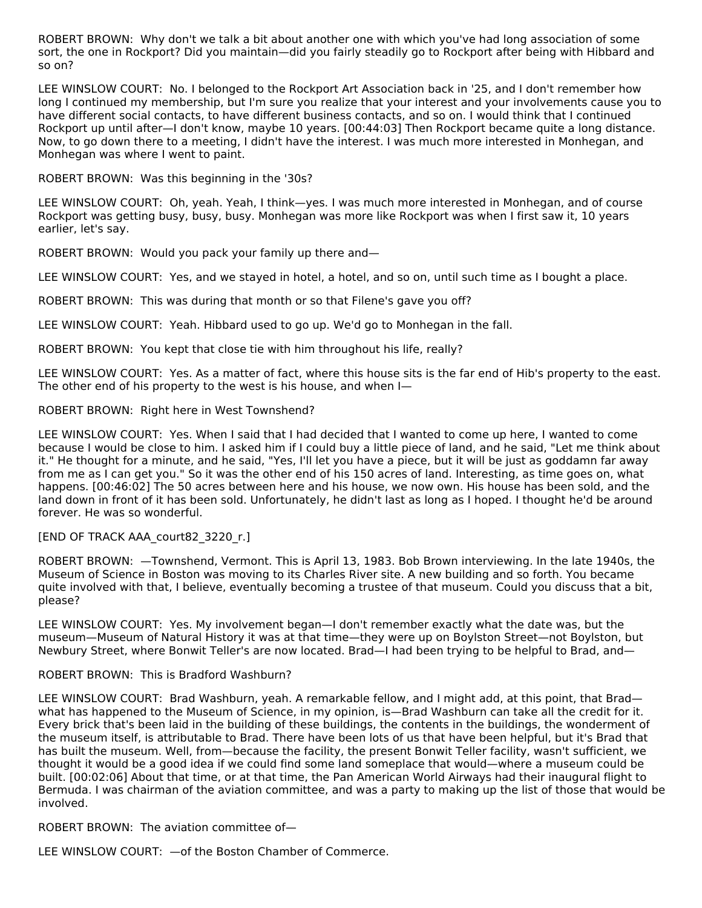ROBERT BROWN: Why don't we talk a bit about another one with which you've had long association of some sort, the one in Rockport? Did you maintain—did you fairly steadily go to Rockport after being with Hibbard and so on?

LEE WINSLOW COURT: No. I belonged to the Rockport Art Association back in '25, and I don't remember how long I continued my membership, but I'm sure you realize that your interest and your involvements cause you to have different social contacts, to have different business contacts, and so on. I would think that I continued Rockport up until after—I don't know, maybe 10 years. [00:44:03] Then Rockport became quite a long distance. Now, to go down there to a meeting, I didn't have the interest. I was much more interested in Monhegan, and Monhegan was where I went to paint.

ROBERT BROWN: Was this beginning in the '30s?

LEE WINSLOW COURT: Oh, yeah. Yeah, I think—yes. I was much more interested in Monhegan, and of course Rockport was getting busy, busy, busy. Monhegan was more like Rockport was when I first saw it, 10 years earlier, let's say.

ROBERT BROWN: Would you pack your family up there and—

LEE WINSLOW COURT: Yes, and we stayed in hotel, a hotel, and so on, until such time as I bought a place.

ROBERT BROWN: This was during that month or so that Filene's gave you off?

LEE WINSLOW COURT: Yeah. Hibbard used to go up. We'd go to Monhegan in the fall.

ROBERT BROWN: You kept that close tie with him throughout his life, really?

LEE WINSLOW COURT: Yes. As a matter of fact, where this house sits is the far end of Hib's property to the east. The other end of his property to the west is his house, and when I—

#### ROBERT BROWN: Right here in West Townshend?

LEE WINSLOW COURT: Yes. When I said that I had decided that I wanted to come up here, I wanted to come because I would be close to him. I asked him if I could buy a little piece of land, and he said, "Let me think about it." He thought for a minute, and he said, "Yes, I'll let you have a piece, but it will be just as goddamn far away from me as I can get you." So it was the other end of his 150 acres of land. Interesting, as time goes on, what happens. [00:46:02] The 50 acres between here and his house, we now own. His house has been sold, and the land down in front of it has been sold. Unfortunately, he didn't last as long as I hoped. I thought he'd be around forever. He was so wonderful.

#### [END OF TRACK AAA\_court82\_3220\_r.]

ROBERT BROWN: —Townshend, Vermont. This is April 13, 1983. Bob Brown interviewing. In the late 1940s, the Museum of Science in Boston was moving to its Charles River site. A new building and so forth. You became quite involved with that, I believe, eventually becoming a trustee of that museum. Could you discuss that a bit, please?

LEE WINSLOW COURT: Yes. My involvement began—I don't remember exactly what the date was, but the museum—Museum of Natural History it was at that time—they were up on Boylston Street—not Boylston, but Newbury Street, where Bonwit Teller's are now located. Brad—I had been trying to be helpful to Brad, and—

#### ROBERT BROWN: This is Bradford Washburn?

LEE WINSLOW COURT: Brad Washburn, yeah. A remarkable fellow, and I might add, at this point, that Brad what has happened to the Museum of Science, in my opinion, is—Brad Washburn can take all the credit for it. Every brick that's been laid in the building of these buildings, the contents in the buildings, the wonderment of the museum itself, is attributable to Brad. There have been lots of us that have been helpful, but it's Brad that has built the museum. Well, from—because the facility, the present Bonwit Teller facility, wasn't sufficient, we thought it would be a good idea if we could find some land someplace that would—where a museum could be built. [00:02:06] About that time, or at that time, the Pan American World Airways had their inaugural flight to Bermuda. I was chairman of the aviation committee, and was a party to making up the list of those that would be involved.

ROBERT BROWN: The aviation committee of—

LEE WINSLOW COURT: —of the Boston Chamber of Commerce.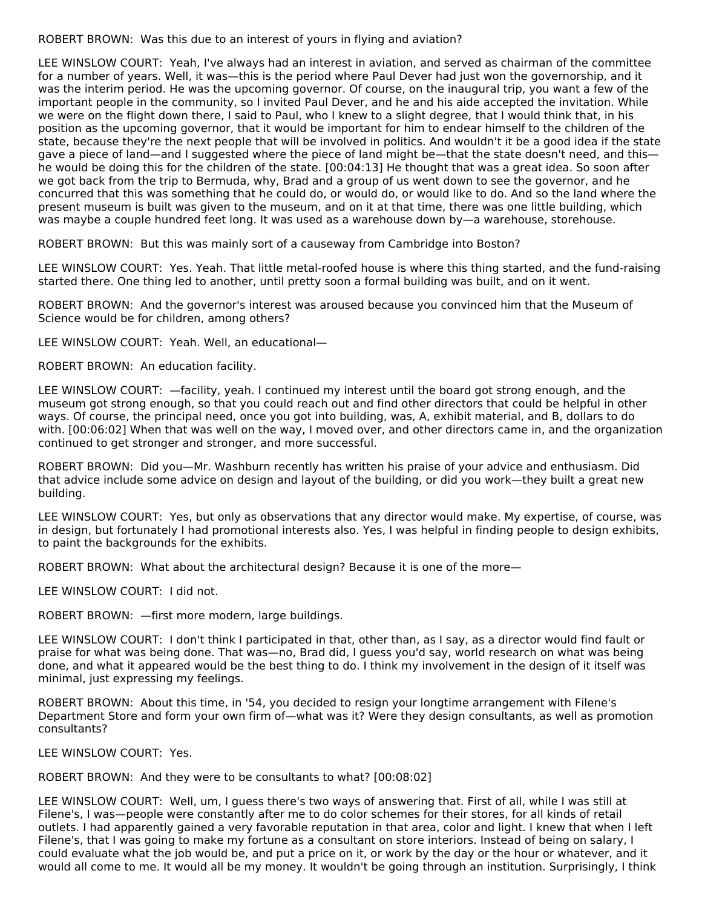ROBERT BROWN: Was this due to an interest of yours in flying and aviation?

LEE WINSLOW COURT: Yeah, I've always had an interest in aviation, and served as chairman of the committee for a number of years. Well, it was—this is the period where Paul Dever had just won the governorship, and it was the interim period. He was the upcoming governor. Of course, on the inaugural trip, you want a few of the important people in the community, so I invited Paul Dever, and he and his aide accepted the invitation. While we were on the flight down there, I said to Paul, who I knew to a slight degree, that I would think that, in his position as the upcoming governor, that it would be important for him to endear himself to the children of the state, because they're the next people that will be involved in politics. And wouldn't it be a good idea if the state gave a piece of land—and I suggested where the piece of land might be—that the state doesn't need, and this he would be doing this for the children of the state. [00:04:13] He thought that was a great idea. So soon after we got back from the trip to Bermuda, why, Brad and a group of us went down to see the governor, and he concurred that this was something that he could do, or would do, or would like to do. And so the land where the present museum is built was given to the museum, and on it at that time, there was one little building, which was maybe a couple hundred feet long. It was used as a warehouse down by—a warehouse, storehouse.

ROBERT BROWN: But this was mainly sort of a causeway from Cambridge into Boston?

LEE WINSLOW COURT: Yes. Yeah. That little metal-roofed house is where this thing started, and the fund-raising started there. One thing led to another, until pretty soon a formal building was built, and on it went.

ROBERT BROWN: And the governor's interest was aroused because you convinced him that the Museum of Science would be for children, among others?

LEE WINSLOW COURT: Yeah. Well, an educational—

ROBERT BROWN: An education facility.

LEE WINSLOW COURT: —facility, yeah. I continued my interest until the board got strong enough, and the museum got strong enough, so that you could reach out and find other directors that could be helpful in other ways. Of course, the principal need, once you got into building, was, A, exhibit material, and B, dollars to do with. [00:06:02] When that was well on the way, I moved over, and other directors came in, and the organization continued to get stronger and stronger, and more successful.

ROBERT BROWN: Did you—Mr. Washburn recently has written his praise of your advice and enthusiasm. Did that advice include some advice on design and layout of the building, or did you work—they built a great new building.

LEE WINSLOW COURT: Yes, but only as observations that any director would make. My expertise, of course, was in design, but fortunately I had promotional interests also. Yes, I was helpful in finding people to design exhibits, to paint the backgrounds for the exhibits.

ROBERT BROWN: What about the architectural design? Because it is one of the more—

LEE WINSLOW COURT: I did not.

ROBERT BROWN: —first more modern, large buildings.

LEE WINSLOW COURT: I don't think I participated in that, other than, as I say, as a director would find fault or praise for what was being done. That was—no, Brad did, I guess you'd say, world research on what was being done, and what it appeared would be the best thing to do. I think my involvement in the design of it itself was minimal, just expressing my feelings.

ROBERT BROWN: About this time, in '54, you decided to resign your longtime arrangement with Filene's Department Store and form your own firm of—what was it? Were they design consultants, as well as promotion consultants?

LEE WINSLOW COURT: Yes.

ROBERT BROWN: And they were to be consultants to what? [00:08:02]

LEE WINSLOW COURT: Well, um, I guess there's two ways of answering that. First of all, while I was still at Filene's, I was—people were constantly after me to do color schemes for their stores, for all kinds of retail outlets. I had apparently gained a very favorable reputation in that area, color and light. I knew that when I left Filene's, that I was going to make my fortune as a consultant on store interiors. Instead of being on salary, I could evaluate what the job would be, and put a price on it, or work by the day or the hour or whatever, and it would all come to me. It would all be my money. It wouldn't be going through an institution. Surprisingly, I think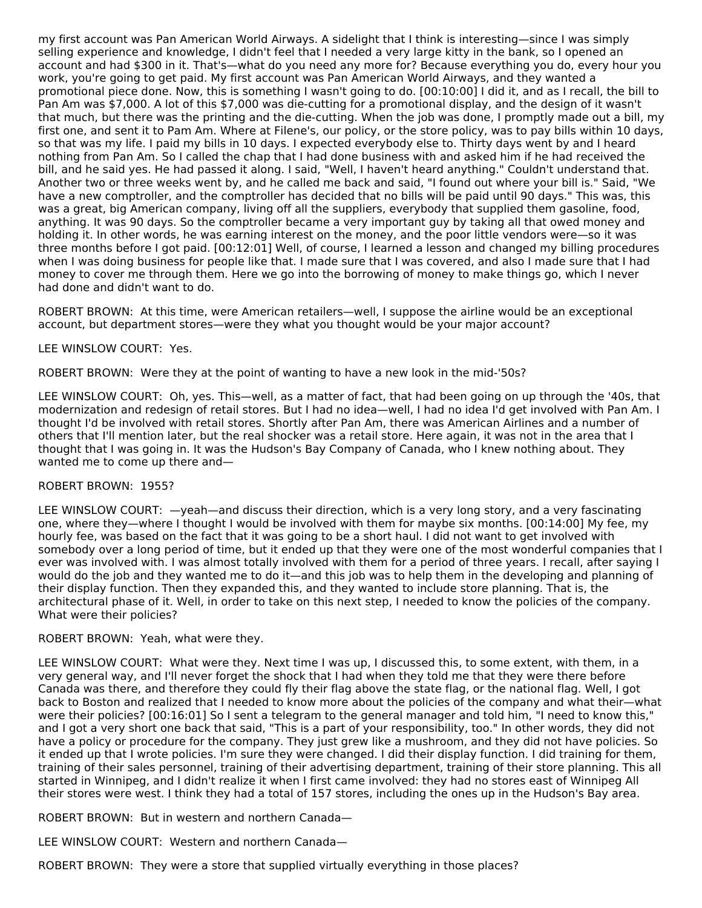my first account was Pan American World Airways. A sidelight that I think is interesting—since I was simply selling experience and knowledge, I didn't feel that I needed a very large kitty in the bank, so I opened an account and had \$300 in it. That's—what do you need any more for? Because everything you do, every hour you work, you're going to get paid. My first account was Pan American World Airways, and they wanted a promotional piece done. Now, this is something I wasn't going to do. [00:10:00] I did it, and as I recall, the bill to Pan Am was \$7,000. A lot of this \$7,000 was die-cutting for a promotional display, and the design of it wasn't that much, but there was the printing and the die-cutting. When the job was done, I promptly made out a bill, my first one, and sent it to Pam Am. Where at Filene's, our policy, or the store policy, was to pay bills within 10 days, so that was my life. I paid my bills in 10 days. I expected everybody else to. Thirty days went by and I heard nothing from Pan Am. So I called the chap that I had done business with and asked him if he had received the bill, and he said yes. He had passed it along. I said, "Well, I haven't heard anything." Couldn't understand that. Another two or three weeks went by, and he called me back and said, "I found out where your bill is." Said, "We have a new comptroller, and the comptroller has decided that no bills will be paid until 90 days." This was, this was a great, big American company, living off all the suppliers, everybody that supplied them gasoline, food, anything. It was 90 days. So the comptroller became a very important guy by taking all that owed money and holding it. In other words, he was earning interest on the money, and the poor little vendors were—so it was three months before I got paid. [00:12:01] Well, of course, I learned a lesson and changed my billing procedures when I was doing business for people like that. I made sure that I was covered, and also I made sure that I had money to cover me through them. Here we go into the borrowing of money to make things go, which I never had done and didn't want to do.

ROBERT BROWN: At this time, were American retailers—well, I suppose the airline would be an exceptional account, but department stores—were they what you thought would be your major account?

#### LEE WINSLOW COURT: Yes.

ROBERT BROWN: Were they at the point of wanting to have a new look in the mid-'50s?

LEE WINSLOW COURT: Oh, yes. This—well, as a matter of fact, that had been going on up through the '40s, that modernization and redesign of retail stores. But I had no idea—well, I had no idea I'd get involved with Pan Am. I thought I'd be involved with retail stores. Shortly after Pan Am, there was American Airlines and a number of others that I'll mention later, but the real shocker was a retail store. Here again, it was not in the area that I thought that I was going in. It was the Hudson's Bay Company of Canada, who I knew nothing about. They wanted me to come up there and—

#### ROBERT BROWN: 1955?

LEE WINSLOW COURT: —yeah—and discuss their direction, which is a very long story, and a very fascinating one, where they—where I thought I would be involved with them for maybe six months. [00:14:00] My fee, my hourly fee, was based on the fact that it was going to be a short haul. I did not want to get involved with somebody over a long period of time, but it ended up that they were one of the most wonderful companies that I ever was involved with. I was almost totally involved with them for a period of three years. I recall, after saying I would do the job and they wanted me to do it—and this job was to help them in the developing and planning of their display function. Then they expanded this, and they wanted to include store planning. That is, the architectural phase of it. Well, in order to take on this next step, I needed to know the policies of the company. What were their policies?

#### ROBERT BROWN: Yeah, what were they.

LEE WINSLOW COURT: What were they. Next time I was up, I discussed this, to some extent, with them, in a very general way, and I'll never forget the shock that I had when they told me that they were there before Canada was there, and therefore they could fly their flag above the state flag, or the national flag. Well, I got back to Boston and realized that I needed to know more about the policies of the company and what their—what were their policies? [00:16:01] So I sent a telegram to the general manager and told him, "I need to know this," and I got a very short one back that said, "This is a part of your responsibility, too." In other words, they did not have a policy or procedure for the company. They just grew like a mushroom, and they did not have policies. So it ended up that I wrote policies. I'm sure they were changed. I did their display function. I did training for them, training of their sales personnel, training of their advertising department, training of their store planning. This all started in Winnipeg, and I didn't realize it when I first came involved: they had no stores east of Winnipeg All their stores were west. I think they had a total of 157 stores, including the ones up in the Hudson's Bay area.

ROBERT BROWN: But in western and northern Canada—

LEE WINSLOW COURT: Western and northern Canada—

ROBERT BROWN: They were a store that supplied virtually everything in those places?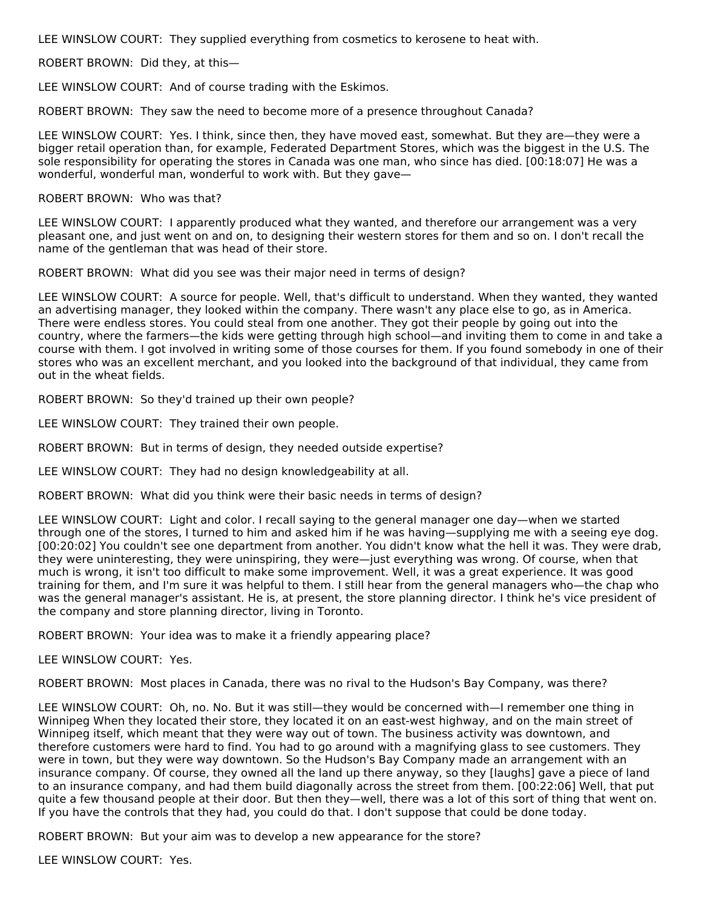LEE WINSLOW COURT: They supplied everything from cosmetics to kerosene to heat with.

ROBERT BROWN: Did they, at this—

LEE WINSLOW COURT: And of course trading with the Eskimos.

ROBERT BROWN: They saw the need to become more of a presence throughout Canada?

LEE WINSLOW COURT: Yes. I think, since then, they have moved east, somewhat. But they are—they were a bigger retail operation than, for example, Federated Department Stores, which was the biggest in the U.S. The sole responsibility for operating the stores in Canada was one man, who since has died. [00:18:07] He was a wonderful, wonderful man, wonderful to work with. But they gave—

#### ROBERT BROWN: Who was that?

LEE WINSLOW COURT: I apparently produced what they wanted, and therefore our arrangement was a very pleasant one, and just went on and on, to designing their western stores for them and so on. I don't recall the name of the gentleman that was head of their store.

ROBERT BROWN: What did you see was their major need in terms of design?

LEE WINSLOW COURT: A source for people. Well, that's difficult to understand. When they wanted, they wanted an advertising manager, they looked within the company. There wasn't any place else to go, as in America. There were endless stores. You could steal from one another. They got their people by going out into the country, where the farmers—the kids were getting through high school—and inviting them to come in and take a course with them. I got involved in writing some of those courses for them. If you found somebody in one of their stores who was an excellent merchant, and you looked into the background of that individual, they came from out in the wheat fields.

ROBERT BROWN: So they'd trained up their own people?

LEE WINSLOW COURT: They trained their own people.

ROBERT BROWN: But in terms of design, they needed outside expertise?

LEE WINSLOW COURT: They had no design knowledgeability at all.

ROBERT BROWN: What did you think were their basic needs in terms of design?

LEE WINSLOW COURT: Light and color. I recall saying to the general manager one day—when we started through one of the stores, I turned to him and asked him if he was having—supplying me with a seeing eye dog. [00:20:02] You couldn't see one department from another. You didn't know what the hell it was. They were drab, they were uninteresting, they were uninspiring, they were—just everything was wrong. Of course, when that much is wrong, it isn't too difficult to make some improvement. Well, it was a great experience. It was good training for them, and I'm sure it was helpful to them. I still hear from the general managers who—the chap who was the general manager's assistant. He is, at present, the store planning director. I think he's vice president of the company and store planning director, living in Toronto.

ROBERT BROWN: Your idea was to make it a friendly appearing place?

LEE WINSLOW COURT: Yes.

ROBERT BROWN: Most places in Canada, there was no rival to the Hudson's Bay Company, was there?

LEE WINSLOW COURT: Oh, no. No. But it was still—they would be concerned with—I remember one thing in Winnipeg When they located their store, they located it on an east-west highway, and on the main street of Winnipeg itself, which meant that they were way out of town. The business activity was downtown, and therefore customers were hard to find. You had to go around with a magnifying glass to see customers. They were in town, but they were way downtown. So the Hudson's Bay Company made an arrangement with an insurance company. Of course, they owned all the land up there anyway, so they [laughs] gave a piece of land to an insurance company, and had them build diagonally across the street from them. [00:22:06] Well, that put quite a few thousand people at their door. But then they—well, there was a lot of this sort of thing that went on. If you have the controls that they had, you could do that. I don't suppose that could be done today.

ROBERT BROWN: But your aim was to develop a new appearance for the store?

LEE WINSLOW COURT: Yes.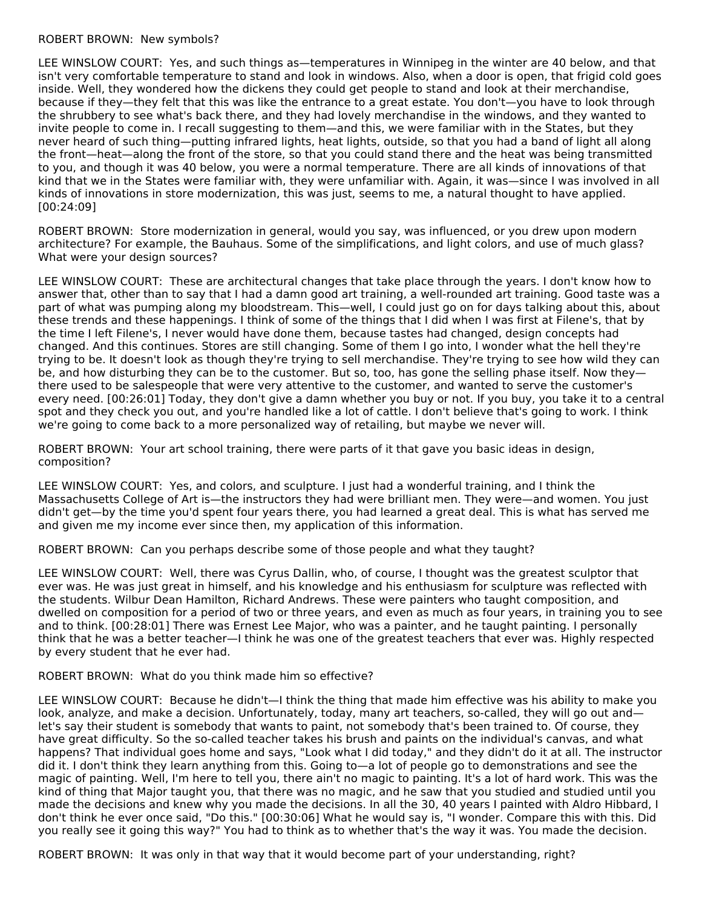#### ROBERT BROWN: New symbols?

LEE WINSLOW COURT: Yes, and such things as—temperatures in Winnipeg in the winter are 40 below, and that isn't very comfortable temperature to stand and look in windows. Also, when a door is open, that frigid cold goes inside. Well, they wondered how the dickens they could get people to stand and look at their merchandise, because if they—they felt that this was like the entrance to a great estate. You don't—you have to look through the shrubbery to see what's back there, and they had lovely merchandise in the windows, and they wanted to invite people to come in. I recall suggesting to them—and this, we were familiar with in the States, but they never heard of such thing—putting infrared lights, heat lights, outside, so that you had a band of light all along the front—heat—along the front of the store, so that you could stand there and the heat was being transmitted to you, and though it was 40 below, you were a normal temperature. There are all kinds of innovations of that kind that we in the States were familiar with, they were unfamiliar with. Again, it was—since I was involved in all kinds of innovations in store modernization, this was just, seems to me, a natural thought to have applied. [00:24:09]

ROBERT BROWN: Store modernization in general, would you say, was influenced, or you drew upon modern architecture? For example, the Bauhaus. Some of the simplifications, and light colors, and use of much glass? What were your design sources?

LEE WINSLOW COURT: These are architectural changes that take place through the years. I don't know how to answer that, other than to say that I had a damn good art training, a well-rounded art training. Good taste was a part of what was pumping along my bloodstream. This—well, I could just go on for days talking about this, about these trends and these happenings. I think of some of the things that I did when I was first at Filene's, that by the time I left Filene's, I never would have done them, because tastes had changed, design concepts had changed. And this continues. Stores are still changing. Some of them I go into, I wonder what the hell they're trying to be. It doesn't look as though they're trying to sell merchandise. They're trying to see how wild they can be, and how disturbing they can be to the customer. But so, too, has gone the selling phase itself. Now theythere used to be salespeople that were very attentive to the customer, and wanted to serve the customer's every need. [00:26:01] Today, they don't give a damn whether you buy or not. If you buy, you take it to a central spot and they check you out, and you're handled like a lot of cattle. I don't believe that's going to work. I think we're going to come back to a more personalized way of retailing, but maybe we never will.

ROBERT BROWN: Your art school training, there were parts of it that gave you basic ideas in design, composition?

LEE WINSLOW COURT: Yes, and colors, and sculpture. I just had a wonderful training, and I think the Massachusetts College of Art is—the instructors they had were brilliant men. They were—and women. You just didn't get—by the time you'd spent four years there, you had learned a great deal. This is what has served me and given me my income ever since then, my application of this information.

ROBERT BROWN: Can you perhaps describe some of those people and what they taught?

LEE WINSLOW COURT: Well, there was Cyrus Dallin, who, of course, I thought was the greatest sculptor that ever was. He was just great in himself, and his knowledge and his enthusiasm for sculpture was reflected with the students. Wilbur Dean Hamilton, Richard Andrews. These were painters who taught composition, and dwelled on composition for a period of two or three years, and even as much as four years, in training you to see and to think. [00:28:01] There was Ernest Lee Major, who was a painter, and he taught painting. I personally think that he was a better teacher—I think he was one of the greatest teachers that ever was. Highly respected by every student that he ever had.

#### ROBERT BROWN: What do you think made him so effective?

LEE WINSLOW COURT: Because he didn't—I think the thing that made him effective was his ability to make you look, analyze, and make a decision. Unfortunately, today, many art teachers, so-called, they will go out and let's say their student is somebody that wants to paint, not somebody that's been trained to. Of course, they have great difficulty. So the so-called teacher takes his brush and paints on the individual's canvas, and what happens? That individual goes home and says, "Look what I did today," and they didn't do it at all. The instructor did it. I don't think they learn anything from this. Going to—a lot of people go to demonstrations and see the magic of painting. Well, I'm here to tell you, there ain't no magic to painting. It's a lot of hard work. This was the kind of thing that Major taught you, that there was no magic, and he saw that you studied and studied until you made the decisions and knew why you made the decisions. In all the 30, 40 years I painted with Aldro Hibbard, I don't think he ever once said, "Do this." [00:30:06] What he would say is, "I wonder. Compare this with this. Did you really see it going this way?" You had to think as to whether that's the way it was. You made the decision.

ROBERT BROWN: It was only in that way that it would become part of your understanding, right?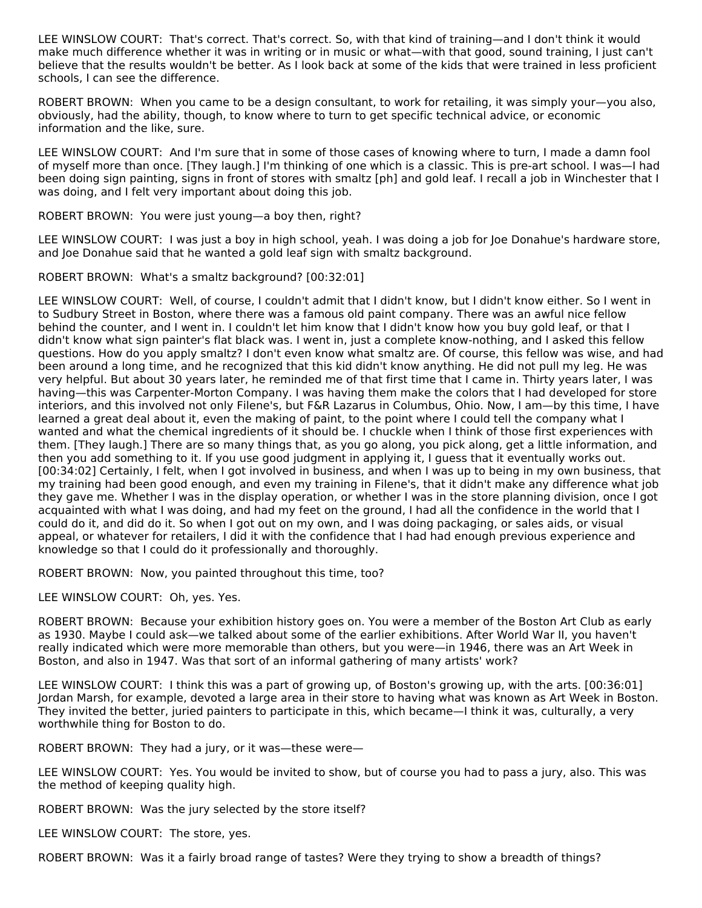LEE WINSLOW COURT: That's correct. That's correct. So, with that kind of training—and I don't think it would make much difference whether it was in writing or in music or what—with that good, sound training, I just can't believe that the results wouldn't be better. As I look back at some of the kids that were trained in less proficient schools, I can see the difference.

ROBERT BROWN: When you came to be a design consultant, to work for retailing, it was simply your—you also, obviously, had the ability, though, to know where to turn to get specific technical advice, or economic information and the like, sure.

LEE WINSLOW COURT: And I'm sure that in some of those cases of knowing where to turn, I made a damn fool of myself more than once. [They laugh.] I'm thinking of one which is a classic. This is pre-art school. I was—I had been doing sign painting, signs in front of stores with smaltz [ph] and gold leaf. I recall a job in Winchester that I was doing, and I felt very important about doing this job.

#### ROBERT BROWN: You were just young—a boy then, right?

LEE WINSLOW COURT: I was just a boy in high school, yeah. I was doing a job for Joe Donahue's hardware store, and Joe Donahue said that he wanted a gold leaf sign with smaltz background.

# ROBERT BROWN: What's a smaltz background? [00:32:01]

LEE WINSLOW COURT: Well, of course, I couldn't admit that I didn't know, but I didn't know either. So I went in to Sudbury Street in Boston, where there was a famous old paint company. There was an awful nice fellow behind the counter, and I went in. I couldn't let him know that I didn't know how you buy gold leaf, or that I didn't know what sign painter's flat black was. I went in, just a complete know-nothing, and I asked this fellow questions. How do you apply smaltz? I don't even know what smaltz are. Of course, this fellow was wise, and had been around a long time, and he recognized that this kid didn't know anything. He did not pull my leg. He was very helpful. But about 30 years later, he reminded me of that first time that I came in. Thirty years later, I was having—this was Carpenter-Morton Company. I was having them make the colors that I had developed for store interiors, and this involved not only Filene's, but F&R Lazarus in Columbus, Ohio. Now, I am—by this time, I have learned a great deal about it, even the making of paint, to the point where I could tell the company what I wanted and what the chemical ingredients of it should be. I chuckle when I think of those first experiences with them. [They laugh.] There are so many things that, as you go along, you pick along, get a little information, and then you add something to it. If you use good judgment in applying it, I guess that it eventually works out. [00:34:02] Certainly, I felt, when I got involved in business, and when I was up to being in my own business, that my training had been good enough, and even my training in Filene's, that it didn't make any difference what job they gave me. Whether I was in the display operation, or whether I was in the store planning division, once I got acquainted with what I was doing, and had my feet on the ground, I had all the confidence in the world that I could do it, and did do it. So when I got out on my own, and I was doing packaging, or sales aids, or visual appeal, or whatever for retailers, I did it with the confidence that I had had enough previous experience and knowledge so that I could do it professionally and thoroughly.

ROBERT BROWN: Now, you painted throughout this time, too?

LEE WINSLOW COURT: Oh, yes. Yes.

ROBERT BROWN: Because your exhibition history goes on. You were a member of the Boston Art Club as early as 1930. Maybe I could ask—we talked about some of the earlier exhibitions. After World War II, you haven't really indicated which were more memorable than others, but you were—in 1946, there was an Art Week in Boston, and also in 1947. Was that sort of an informal gathering of many artists' work?

LEE WINSLOW COURT: I think this was a part of growing up, of Boston's growing up, with the arts. [00:36:01] Jordan Marsh, for example, devoted a large area in their store to having what was known as Art Week in Boston. They invited the better, juried painters to participate in this, which became—I think it was, culturally, a very worthwhile thing for Boston to do.

ROBERT BROWN: They had a jury, or it was—these were—

LEE WINSLOW COURT: Yes. You would be invited to show, but of course you had to pass a jury, also. This was the method of keeping quality high.

ROBERT BROWN: Was the jury selected by the store itself?

LEE WINSLOW COURT: The store, yes.

ROBERT BROWN: Was it a fairly broad range of tastes? Were they trying to show a breadth of things?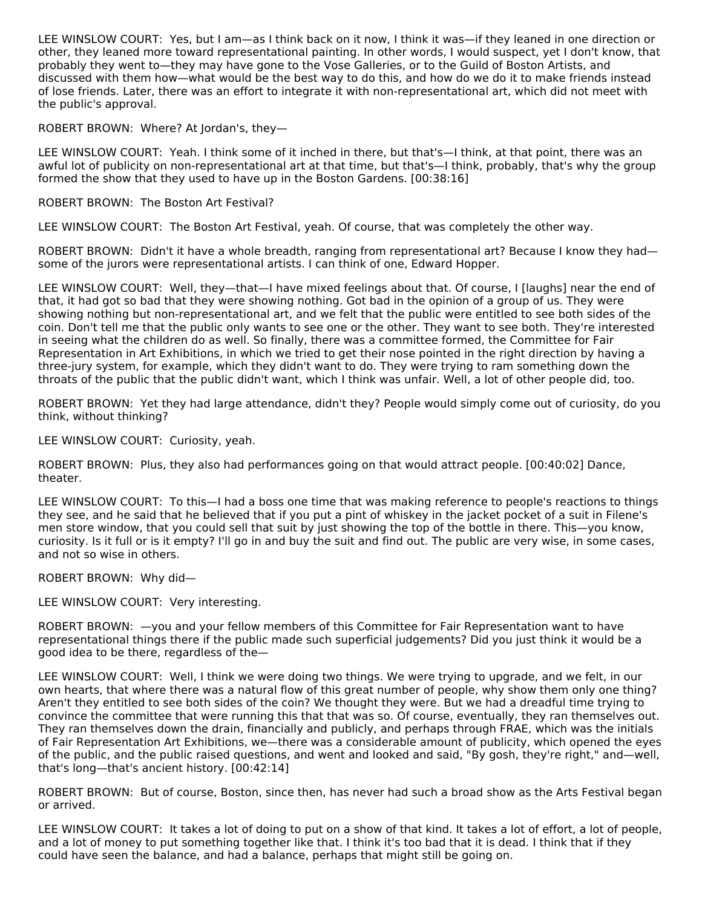LEE WINSLOW COURT: Yes, but I am—as I think back on it now, I think it was—if they leaned in one direction or other, they leaned more toward representational painting. In other words, I would suspect, yet I don't know, that probably they went to—they may have gone to the Vose Galleries, or to the Guild of Boston Artists, and discussed with them how—what would be the best way to do this, and how do we do it to make friends instead of lose friends. Later, there was an effort to integrate it with non-representational art, which did not meet with the public's approval.

# ROBERT BROWN: Where? At Jordan's, they—

LEE WINSLOW COURT: Yeah. I think some of it inched in there, but that's—I think, at that point, there was an awful lot of publicity on non-representational art at that time, but that's—I think, probably, that's why the group formed the show that they used to have up in the Boston Gardens. [00:38:16]

#### ROBERT BROWN: The Boston Art Festival?

LEE WINSLOW COURT: The Boston Art Festival, yeah. Of course, that was completely the other way.

ROBERT BROWN: Didn't it have a whole breadth, ranging from representational art? Because I know they had some of the jurors were representational artists. I can think of one, Edward Hopper.

LEE WINSLOW COURT: Well, they—that—I have mixed feelings about that. Of course, I [laughs] near the end of that, it had got so bad that they were showing nothing. Got bad in the opinion of a group of us. They were showing nothing but non-representational art, and we felt that the public were entitled to see both sides of the coin. Don't tell me that the public only wants to see one or the other. They want to see both. They're interested in seeing what the children do as well. So finally, there was a committee formed, the Committee for Fair Representation in Art Exhibitions, in which we tried to get their nose pointed in the right direction by having a three-jury system, for example, which they didn't want to do. They were trying to ram something down the throats of the public that the public didn't want, which I think was unfair. Well, a lot of other people did, too.

ROBERT BROWN: Yet they had large attendance, didn't they? People would simply come out of curiosity, do you think, without thinking?

LEE WINSLOW COURT: Curiosity, yeah.

ROBERT BROWN: Plus, they also had performances going on that would attract people. [00:40:02] Dance, theater.

LEE WINSLOW COURT: To this—I had a boss one time that was making reference to people's reactions to things they see, and he said that he believed that if you put a pint of whiskey in the jacket pocket of a suit in Filene's men store window, that you could sell that suit by just showing the top of the bottle in there. This—you know, curiosity. Is it full or is it empty? I'll go in and buy the suit and find out. The public are very wise, in some cases, and not so wise in others.

ROBERT BROWN: Why did—

LEE WINSLOW COURT: Very interesting.

ROBERT BROWN: —you and your fellow members of this Committee for Fair Representation want to have representational things there if the public made such superficial judgements? Did you just think it would be a good idea to be there, regardless of the—

LEE WINSLOW COURT: Well, I think we were doing two things. We were trying to upgrade, and we felt, in our own hearts, that where there was a natural flow of this great number of people, why show them only one thing? Aren't they entitled to see both sides of the coin? We thought they were. But we had a dreadful time trying to convince the committee that were running this that that was so. Of course, eventually, they ran themselves out. They ran themselves down the drain, financially and publicly, and perhaps through FRAE, which was the initials of Fair Representation Art Exhibitions, we—there was a considerable amount of publicity, which opened the eyes of the public, and the public raised questions, and went and looked and said, "By gosh, they're right," and—well, that's long—that's ancient history. [00:42:14]

ROBERT BROWN: But of course, Boston, since then, has never had such a broad show as the Arts Festival began or arrived.

LEE WINSLOW COURT: It takes a lot of doing to put on a show of that kind. It takes a lot of effort, a lot of people, and a lot of money to put something together like that. I think it's too bad that it is dead. I think that if they could have seen the balance, and had a balance, perhaps that might still be going on.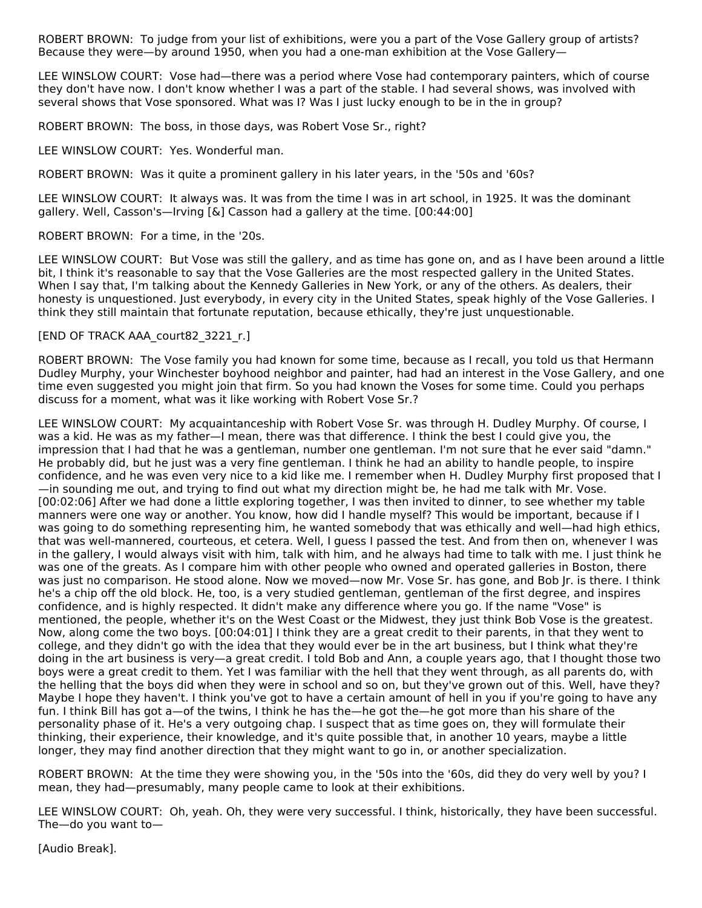ROBERT BROWN: To judge from your list of exhibitions, were you a part of the Vose Gallery group of artists? Because they were—by around 1950, when you had a one-man exhibition at the Vose Gallery—

LEE WINSLOW COURT: Vose had—there was a period where Vose had contemporary painters, which of course they don't have now. I don't know whether I was a part of the stable. I had several shows, was involved with several shows that Vose sponsored. What was I? Was I just lucky enough to be in the in group?

ROBERT BROWN: The boss, in those days, was Robert Vose Sr., right?

LEE WINSLOW COURT: Yes. Wonderful man.

ROBERT BROWN: Was it quite a prominent gallery in his later years, in the '50s and '60s?

LEE WINSLOW COURT: It always was. It was from the time I was in art school, in 1925. It was the dominant gallery. Well, Casson's—Irving [&] Casson had a gallery at the time. [00:44:00]

ROBERT BROWN: For a time, in the '20s.

LEE WINSLOW COURT: But Vose was still the gallery, and as time has gone on, and as I have been around a little bit, I think it's reasonable to say that the Vose Galleries are the most respected gallery in the United States. When I say that, I'm talking about the Kennedy Galleries in New York, or any of the others. As dealers, their honesty is unquestioned. Just everybody, in every city in the United States, speak highly of the Vose Galleries. I think they still maintain that fortunate reputation, because ethically, they're just unquestionable.

#### [END OF TRACK AAA\_court82\_3221\_r.]

ROBERT BROWN: The Vose family you had known for some time, because as I recall, you told us that Hermann Dudley Murphy, your Winchester boyhood neighbor and painter, had had an interest in the Vose Gallery, and one time even suggested you might join that firm. So you had known the Voses for some time. Could you perhaps discuss for a moment, what was it like working with Robert Vose Sr.?

LEE WINSLOW COURT: My acquaintanceship with Robert Vose Sr. was through H. Dudley Murphy. Of course, I was a kid. He was as my father—I mean, there was that difference. I think the best I could give you, the impression that I had that he was a gentleman, number one gentleman. I'm not sure that he ever said "damn." He probably did, but he just was a very fine gentleman. I think he had an ability to handle people, to inspire confidence, and he was even very nice to a kid like me. I remember when H. Dudley Murphy first proposed that I —in sounding me out, and trying to find out what my direction might be, he had me talk with Mr. Vose. [00:02:06] After we had done a little exploring together, I was then invited to dinner, to see whether my table manners were one way or another. You know, how did I handle myself? This would be important, because if I was going to do something representing him, he wanted somebody that was ethically and well—had high ethics, that was well-mannered, courteous, et cetera. Well, I guess I passed the test. And from then on, whenever I was in the gallery, I would always visit with him, talk with him, and he always had time to talk with me. I just think he was one of the greats. As I compare him with other people who owned and operated galleries in Boston, there was just no comparison. He stood alone. Now we moved—now Mr. Vose Sr. has gone, and Bob Jr. is there. I think he's a chip off the old block. He, too, is a very studied gentleman, gentleman of the first degree, and inspires confidence, and is highly respected. It didn't make any difference where you go. If the name "Vose" is mentioned, the people, whether it's on the West Coast or the Midwest, they just think Bob Vose is the greatest. Now, along come the two boys. [00:04:01] I think they are a great credit to their parents, in that they went to college, and they didn't go with the idea that they would ever be in the art business, but I think what they're doing in the art business is very—a great credit. I told Bob and Ann, a couple years ago, that I thought those two boys were a great credit to them. Yet I was familiar with the hell that they went through, as all parents do, with the helling that the boys did when they were in school and so on, but they've grown out of this. Well, have they? Maybe I hope they haven't. I think you've got to have a certain amount of hell in you if you're going to have any fun. I think Bill has got a—of the twins, I think he has the—he got the—he got more than his share of the personality phase of it. He's a very outgoing chap. I suspect that as time goes on, they will formulate their thinking, their experience, their knowledge, and it's quite possible that, in another 10 years, maybe a little longer, they may find another direction that they might want to go in, or another specialization.

ROBERT BROWN: At the time they were showing you, in the '50s into the '60s, did they do very well by you? I mean, they had—presumably, many people came to look at their exhibitions.

LEE WINSLOW COURT: Oh, yeah. Oh, they were very successful. I think, historically, they have been successful. The—do you want to—

[Audio Break].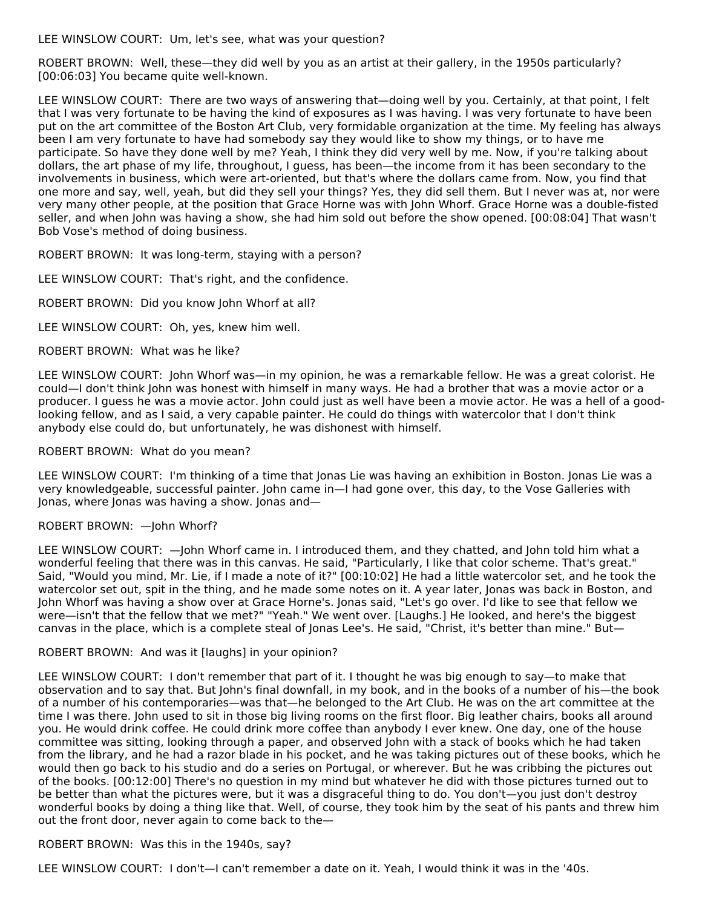LEE WINSLOW COURT: Um, let's see, what was your question?

ROBERT BROWN: Well, these—they did well by you as an artist at their gallery, in the 1950s particularly? [00:06:03] You became quite well-known.

LEE WINSLOW COURT: There are two ways of answering that—doing well by you. Certainly, at that point, I felt that I was very fortunate to be having the kind of exposures as I was having. I was very fortunate to have been put on the art committee of the Boston Art Club, very formidable organization at the time. My feeling has always been I am very fortunate to have had somebody say they would like to show my things, or to have me participate. So have they done well by me? Yeah, I think they did very well by me. Now, if you're talking about dollars, the art phase of my life, throughout, I guess, has been—the income from it has been secondary to the involvements in business, which were art-oriented, but that's where the dollars came from. Now, you find that one more and say, well, yeah, but did they sell your things? Yes, they did sell them. But I never was at, nor were very many other people, at the position that Grace Horne was with John Whorf. Grace Horne was a double-fisted seller, and when John was having a show, she had him sold out before the show opened. [00:08:04] That wasn't Bob Vose's method of doing business.

ROBERT BROWN: It was long-term, staying with a person?

LEE WINSLOW COURT: That's right, and the confidence.

ROBERT BROWN: Did you know John Whorf at all?

LEE WINSLOW COURT: Oh, yes, knew him well.

#### ROBERT BROWN: What was he like?

LEE WINSLOW COURT: John Whorf was—in my opinion, he was a remarkable fellow. He was a great colorist. He could—I don't think John was honest with himself in many ways. He had a brother that was a movie actor or a producer. I guess he was a movie actor. John could just as well have been a movie actor. He was a hell of a goodlooking fellow, and as I said, a very capable painter. He could do things with watercolor that I don't think anybody else could do, but unfortunately, he was dishonest with himself.

#### ROBERT BROWN: What do you mean?

LEE WINSLOW COURT: I'm thinking of a time that Jonas Lie was having an exhibition in Boston. Jonas Lie was a very knowledgeable, successful painter. John came in—I had gone over, this day, to the Vose Galleries with Jonas, where Jonas was having a show. Jonas and—

#### ROBERT BROWN: —John Whorf?

LEE WINSLOW COURT: —John Whorf came in. I introduced them, and they chatted, and John told him what a wonderful feeling that there was in this canvas. He said, "Particularly, I like that color scheme. That's great." Said, "Would you mind, Mr. Lie, if I made a note of it?" [00:10:02] He had a little watercolor set, and he took the watercolor set out, spit in the thing, and he made some notes on it. A year later, Jonas was back in Boston, and John Whorf was having a show over at Grace Horne's. Jonas said, "Let's go over. I'd like to see that fellow we were—isn't that the fellow that we met?" "Yeah." We went over. [Laughs.] He looked, and here's the biggest canvas in the place, which is a complete steal of Jonas Lee's. He said, "Christ, it's better than mine." But—

#### ROBERT BROWN: And was it [laughs] in your opinion?

LEE WINSLOW COURT: I don't remember that part of it. I thought he was big enough to say—to make that observation and to say that. But John's final downfall, in my book, and in the books of a number of his—the book of a number of his contemporaries—was that—he belonged to the Art Club. He was on the art committee at the time I was there. John used to sit in those big living rooms on the first floor. Big leather chairs, books all around you. He would drink coffee. He could drink more coffee than anybody I ever knew. One day, one of the house committee was sitting, looking through a paper, and observed John with a stack of books which he had taken from the library, and he had a razor blade in his pocket, and he was taking pictures out of these books, which he would then go back to his studio and do a series on Portugal, or wherever. But he was cribbing the pictures out of the books. [00:12:00] There's no question in my mind but whatever he did with those pictures turned out to be better than what the pictures were, but it was a disgraceful thing to do. You don't—you just don't destroy wonderful books by doing a thing like that. Well, of course, they took him by the seat of his pants and threw him out the front door, never again to come back to the—

#### ROBERT BROWN: Was this in the 1940s, say?

LEE WINSLOW COURT: I don't—I can't remember a date on it. Yeah, I would think it was in the '40s.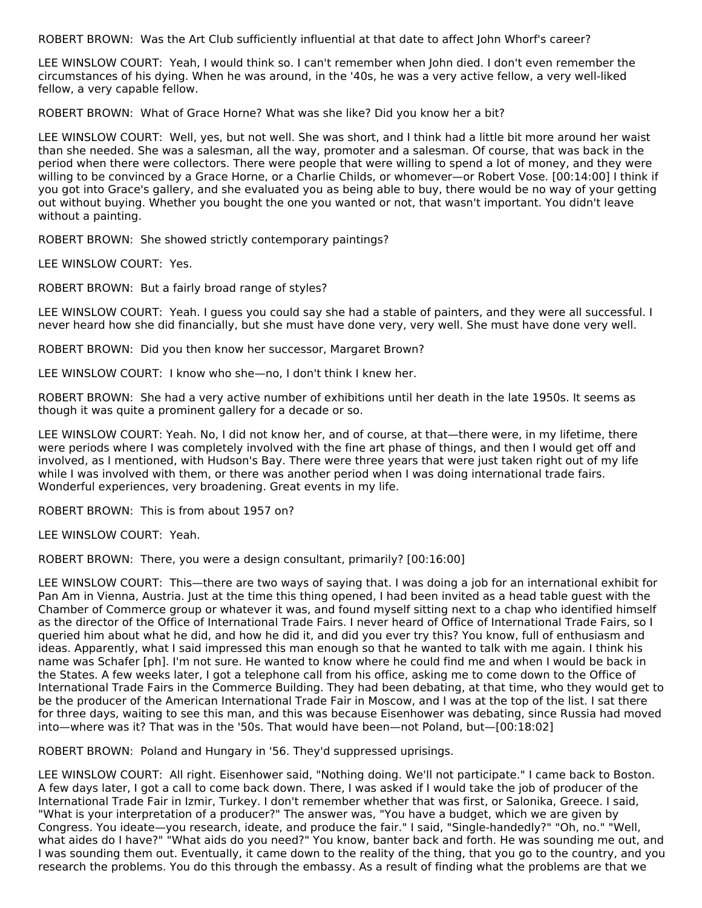ROBERT BROWN: Was the Art Club sufficiently influential at that date to affect John Whorf's career?

LEE WINSLOW COURT: Yeah, I would think so. I can't remember when John died. I don't even remember the circumstances of his dying. When he was around, in the '40s, he was a very active fellow, a very well-liked fellow, a very capable fellow.

ROBERT BROWN: What of Grace Horne? What was she like? Did you know her a bit?

LEE WINSLOW COURT: Well, yes, but not well. She was short, and I think had a little bit more around her waist than she needed. She was a salesman, all the way, promoter and a salesman. Of course, that was back in the period when there were collectors. There were people that were willing to spend a lot of money, and they were willing to be convinced by a Grace Horne, or a Charlie Childs, or whomever—or Robert Vose. [00:14:00] I think if you got into Grace's gallery, and she evaluated you as being able to buy, there would be no way of your getting out without buying. Whether you bought the one you wanted or not, that wasn't important. You didn't leave without a painting.

ROBERT BROWN: She showed strictly contemporary paintings?

LEE WINSLOW COURT: Yes.

ROBERT BROWN: But a fairly broad range of styles?

LEE WINSLOW COURT: Yeah. I guess you could say she had a stable of painters, and they were all successful. I never heard how she did financially, but she must have done very, very well. She must have done very well.

ROBERT BROWN: Did you then know her successor, Margaret Brown?

LEE WINSLOW COURT: I know who she—no, I don't think I knew her.

ROBERT BROWN: She had a very active number of exhibitions until her death in the late 1950s. It seems as though it was quite a prominent gallery for a decade or so.

LEE WINSLOW COURT: Yeah. No, I did not know her, and of course, at that—there were, in my lifetime, there were periods where I was completely involved with the fine art phase of things, and then I would get off and involved, as I mentioned, with Hudson's Bay. There were three years that were just taken right out of my life while I was involved with them, or there was another period when I was doing international trade fairs. Wonderful experiences, very broadening. Great events in my life.

ROBERT BROWN: This is from about 1957 on?

LEE WINSLOW COURT: Yeah.

ROBERT BROWN: There, you were a design consultant, primarily? [00:16:00]

LEE WINSLOW COURT: This—there are two ways of saying that. I was doing a job for an international exhibit for Pan Am in Vienna, Austria. Just at the time this thing opened, I had been invited as a head table guest with the Chamber of Commerce group or whatever it was, and found myself sitting next to a chap who identified himself as the director of the Office of International Trade Fairs. I never heard of Office of International Trade Fairs, so I queried him about what he did, and how he did it, and did you ever try this? You know, full of enthusiasm and ideas. Apparently, what I said impressed this man enough so that he wanted to talk with me again. I think his name was Schafer [ph]. I'm not sure. He wanted to know where he could find me and when I would be back in the States. A few weeks later, I got a telephone call from his office, asking me to come down to the Office of International Trade Fairs in the Commerce Building. They had been debating, at that time, who they would get to be the producer of the American International Trade Fair in Moscow, and I was at the top of the list. I sat there for three days, waiting to see this man, and this was because Eisenhower was debating, since Russia had moved into—where was it? That was in the '50s. That would have been—not Poland, but—[00:18:02]

ROBERT BROWN: Poland and Hungary in '56. They'd suppressed uprisings.

LEE WINSLOW COURT: All right. Eisenhower said, "Nothing doing. We'll not participate." I came back to Boston. A few days later, I got a call to come back down. There, I was asked if I would take the job of producer of the International Trade Fair in Izmir, Turkey. I don't remember whether that was first, or Salonika, Greece. I said, "What is your interpretation of a producer?" The answer was, "You have a budget, which we are given by Congress. You ideate—you research, ideate, and produce the fair." I said, "Single-handedly?" "Oh, no." "Well, what aides do I have?" "What aids do you need?" You know, banter back and forth. He was sounding me out, and I was sounding them out. Eventually, it came down to the reality of the thing, that you go to the country, and you research the problems. You do this through the embassy. As a result of finding what the problems are that we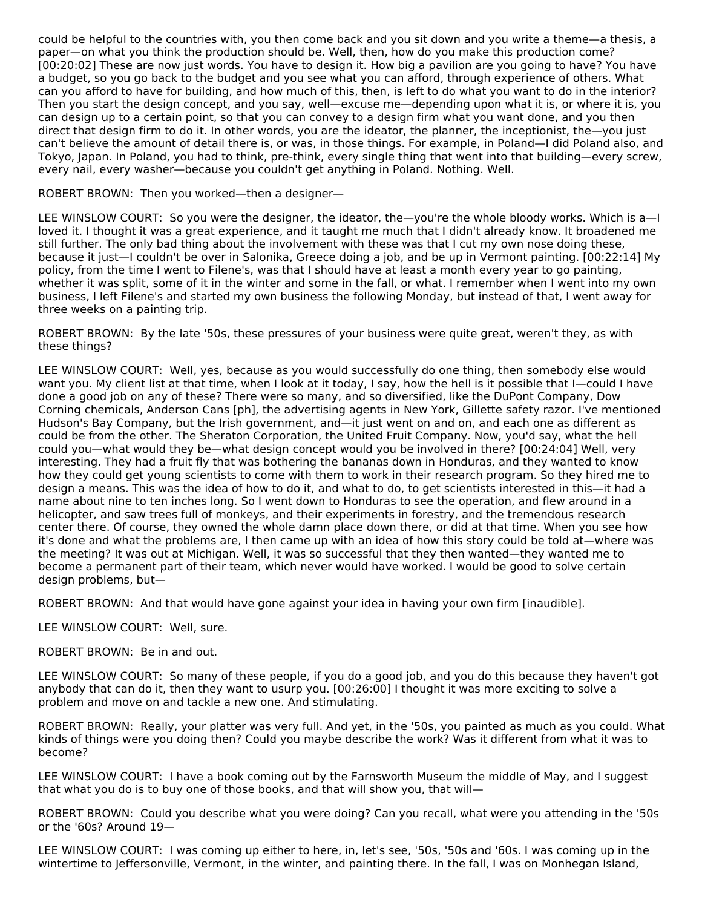could be helpful to the countries with, you then come back and you sit down and you write a theme—a thesis, a paper—on what you think the production should be. Well, then, how do you make this production come? [00:20:02] These are now just words. You have to design it. How big a pavilion are you going to have? You have a budget, so you go back to the budget and you see what you can afford, through experience of others. What can you afford to have for building, and how much of this, then, is left to do what you want to do in the interior? Then you start the design concept, and you say, well—excuse me—depending upon what it is, or where it is, you can design up to a certain point, so that you can convey to a design firm what you want done, and you then direct that design firm to do it. In other words, you are the ideator, the planner, the inceptionist, the—you just can't believe the amount of detail there is, or was, in those things. For example, in Poland—I did Poland also, and Tokyo, Japan. In Poland, you had to think, pre-think, every single thing that went into that building—every screw, every nail, every washer—because you couldn't get anything in Poland. Nothing. Well.

ROBERT BROWN: Then you worked—then a designer—

LEE WINSLOW COURT: So you were the designer, the ideator, the—you're the whole bloody works. Which is a—I loved it. I thought it was a great experience, and it taught me much that I didn't already know. It broadened me still further. The only bad thing about the involvement with these was that I cut my own nose doing these, because it just—I couldn't be over in Salonika, Greece doing a job, and be up in Vermont painting. [00:22:14] My policy, from the time I went to Filene's, was that I should have at least a month every year to go painting, whether it was split, some of it in the winter and some in the fall, or what. I remember when I went into my own business, I left Filene's and started my own business the following Monday, but instead of that, I went away for three weeks on a painting trip.

ROBERT BROWN: By the late '50s, these pressures of your business were quite great, weren't they, as with these things?

LEE WINSLOW COURT: Well, yes, because as you would successfully do one thing, then somebody else would want you. My client list at that time, when I look at it today, I say, how the hell is it possible that I—could I have done a good job on any of these? There were so many, and so diversified, like the DuPont Company, Dow Corning chemicals, Anderson Cans [ph], the advertising agents in New York, Gillette safety razor. I've mentioned Hudson's Bay Company, but the Irish government, and—it just went on and on, and each one as different as could be from the other. The Sheraton Corporation, the United Fruit Company. Now, you'd say, what the hell could you—what would they be—what design concept would you be involved in there? [00:24:04] Well, very interesting. They had a fruit fly that was bothering the bananas down in Honduras, and they wanted to know how they could get young scientists to come with them to work in their research program. So they hired me to design a means. This was the idea of how to do it, and what to do, to get scientists interested in this—it had a name about nine to ten inches long. So I went down to Honduras to see the operation, and flew around in a helicopter, and saw trees full of monkeys, and their experiments in forestry, and the tremendous research center there. Of course, they owned the whole damn place down there, or did at that time. When you see how it's done and what the problems are, I then came up with an idea of how this story could be told at—where was the meeting? It was out at Michigan. Well, it was so successful that they then wanted—they wanted me to become a permanent part of their team, which never would have worked. I would be good to solve certain design problems, but—

ROBERT BROWN: And that would have gone against your idea in having your own firm [inaudible].

LEE WINSLOW COURT: Well, sure.

ROBERT BROWN: Be in and out.

LEE WINSLOW COURT: So many of these people, if you do a good job, and you do this because they haven't got anybody that can do it, then they want to usurp you. [00:26:00] I thought it was more exciting to solve a problem and move on and tackle a new one. And stimulating.

ROBERT BROWN: Really, your platter was very full. And yet, in the '50s, you painted as much as you could. What kinds of things were you doing then? Could you maybe describe the work? Was it different from what it was to become?

LEE WINSLOW COURT: I have a book coming out by the Farnsworth Museum the middle of May, and I suggest that what you do is to buy one of those books, and that will show you, that will—

ROBERT BROWN: Could you describe what you were doing? Can you recall, what were you attending in the '50s or the '60s? Around 19—

LEE WINSLOW COURT: I was coming up either to here, in, let's see, '50s, '50s and '60s. I was coming up in the wintertime to Jeffersonville, Vermont, in the winter, and painting there. In the fall, I was on Monhegan Island,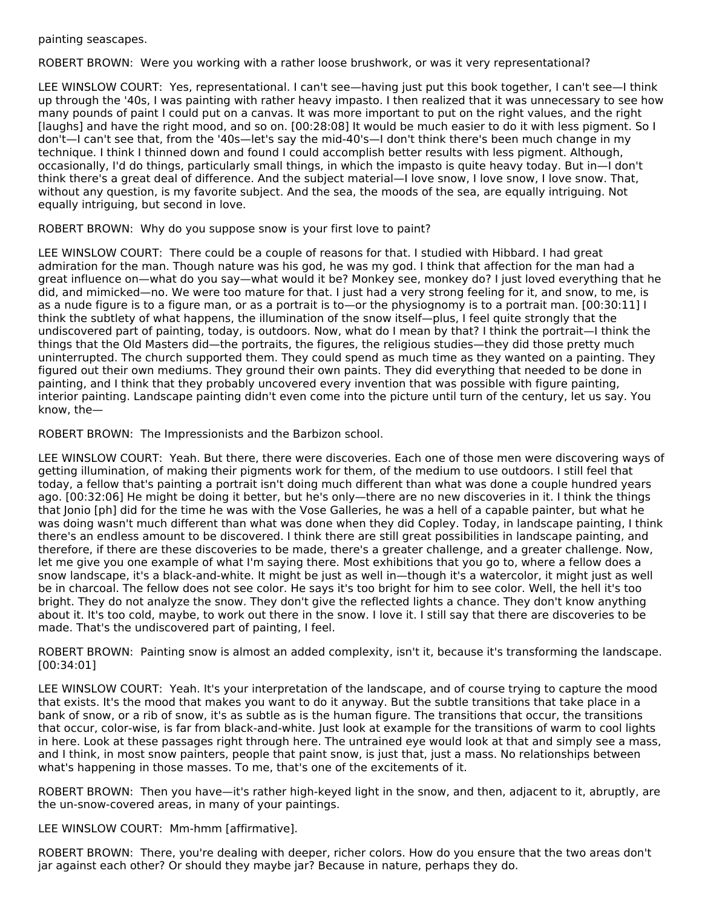painting seascapes.

ROBERT BROWN: Were you working with a rather loose brushwork, or was it very representational?

LEE WINSLOW COURT: Yes, representational. I can't see—having just put this book together, I can't see—I think up through the '40s, I was painting with rather heavy impasto. I then realized that it was unnecessary to see how many pounds of paint I could put on a canvas. It was more important to put on the right values, and the right [laughs] and have the right mood, and so on. [00:28:08] It would be much easier to do it with less pigment. So I don't—I can't see that, from the '40s—let's say the mid-40's—I don't think there's been much change in my technique. I think I thinned down and found I could accomplish better results with less pigment. Although, occasionally, I'd do things, particularly small things, in which the impasto is quite heavy today. But in—I don't think there's a great deal of difference. And the subject material—I love snow, I love snow, I love snow. That, without any question, is my favorite subject. And the sea, the moods of the sea, are equally intriguing. Not equally intriguing, but second in love.

ROBERT BROWN: Why do you suppose snow is your first love to paint?

LEE WINSLOW COURT: There could be a couple of reasons for that. I studied with Hibbard. I had great admiration for the man. Though nature was his god, he was my god. I think that affection for the man had a great influence on—what do you say—what would it be? Monkey see, monkey do? I just loved everything that he did, and mimicked—no. We were too mature for that. I just had a very strong feeling for it, and snow, to me, is as a nude figure is to a figure man, or as a portrait is to—or the physiognomy is to a portrait man. [00:30:11] I think the subtlety of what happens, the illumination of the snow itself—plus, I feel quite strongly that the undiscovered part of painting, today, is outdoors. Now, what do I mean by that? I think the portrait—I think the things that the Old Masters did—the portraits, the figures, the religious studies—they did those pretty much uninterrupted. The church supported them. They could spend as much time as they wanted on a painting. They figured out their own mediums. They ground their own paints. They did everything that needed to be done in painting, and I think that they probably uncovered every invention that was possible with figure painting, interior painting. Landscape painting didn't even come into the picture until turn of the century, let us say. You know, the—

ROBERT BROWN: The Impressionists and the Barbizon school.

LEE WINSLOW COURT: Yeah. But there, there were discoveries. Each one of those men were discovering ways of getting illumination, of making their pigments work for them, of the medium to use outdoors. I still feel that today, a fellow that's painting a portrait isn't doing much different than what was done a couple hundred years ago. [00:32:06] He might be doing it better, but he's only—there are no new discoveries in it. I think the things that Jonio [ph] did for the time he was with the Vose Galleries, he was a hell of a capable painter, but what he was doing wasn't much different than what was done when they did Copley. Today, in landscape painting, I think there's an endless amount to be discovered. I think there are still great possibilities in landscape painting, and therefore, if there are these discoveries to be made, there's a greater challenge, and a greater challenge. Now, let me give you one example of what I'm saying there. Most exhibitions that you go to, where a fellow does a snow landscape, it's a black-and-white. It might be just as well in—though it's a watercolor, it might just as well be in charcoal. The fellow does not see color. He says it's too bright for him to see color. Well, the hell it's too bright. They do not analyze the snow. They don't give the reflected lights a chance. They don't know anything about it. It's too cold, maybe, to work out there in the snow. I love it. I still say that there are discoveries to be made. That's the undiscovered part of painting, I feel.

ROBERT BROWN: Painting snow is almost an added complexity, isn't it, because it's transforming the landscape. [00:34:01]

LEE WINSLOW COURT: Yeah. It's your interpretation of the landscape, and of course trying to capture the mood that exists. It's the mood that makes you want to do it anyway. But the subtle transitions that take place in a bank of snow, or a rib of snow, it's as subtle as is the human figure. The transitions that occur, the transitions that occur, color-wise, is far from black-and-white. Just look at example for the transitions of warm to cool lights in here. Look at these passages right through here. The untrained eye would look at that and simply see a mass, and I think, in most snow painters, people that paint snow, is just that, just a mass. No relationships between what's happening in those masses. To me, that's one of the excitements of it.

ROBERT BROWN: Then you have—it's rather high-keyed light in the snow, and then, adjacent to it, abruptly, are the un-snow-covered areas, in many of your paintings.

LEE WINSLOW COURT: Mm-hmm [affirmative].

ROBERT BROWN: There, you're dealing with deeper, richer colors. How do you ensure that the two areas don't jar against each other? Or should they maybe jar? Because in nature, perhaps they do.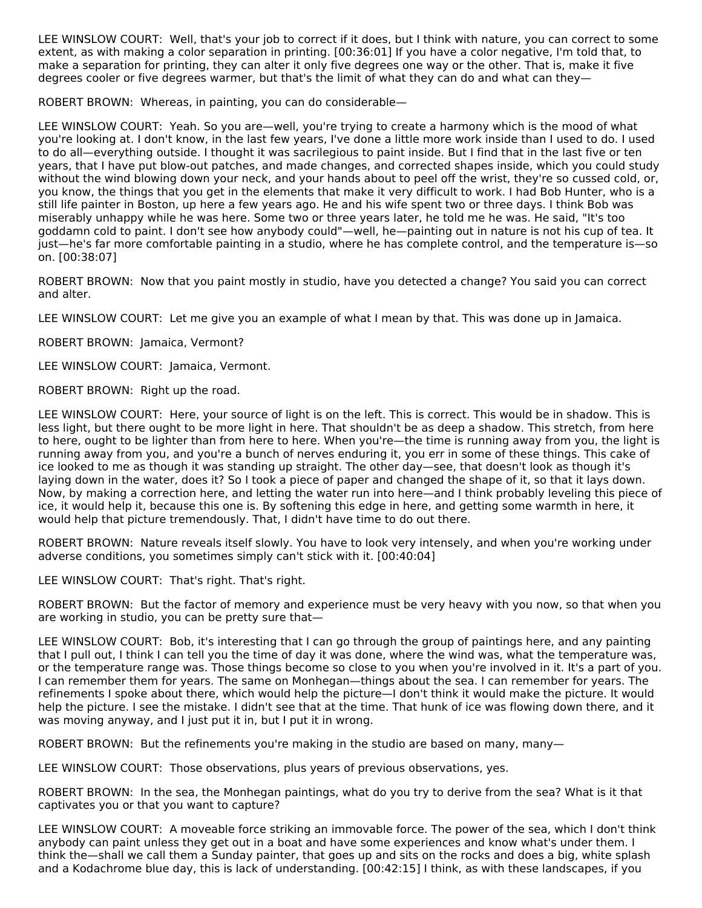LEE WINSLOW COURT: Well, that's your job to correct if it does, but I think with nature, you can correct to some extent, as with making a color separation in printing. [00:36:01] If you have a color negative, I'm told that, to make a separation for printing, they can alter it only five degrees one way or the other. That is, make it five degrees cooler or five degrees warmer, but that's the limit of what they can do and what can they—

ROBERT BROWN: Whereas, in painting, you can do considerable—

LEE WINSLOW COURT: Yeah. So you are—well, you're trying to create a harmony which is the mood of what you're looking at. I don't know, in the last few years, I've done a little more work inside than I used to do. I used to do all—everything outside. I thought it was sacrilegious to paint inside. But I find that in the last five or ten years, that I have put blow-out patches, and made changes, and corrected shapes inside, which you could study without the wind blowing down your neck, and your hands about to peel off the wrist, they're so cussed cold, or, you know, the things that you get in the elements that make it very difficult to work. I had Bob Hunter, who is a still life painter in Boston, up here a few years ago. He and his wife spent two or three days. I think Bob was miserably unhappy while he was here. Some two or three years later, he told me he was. He said, "It's too goddamn cold to paint. I don't see how anybody could"—well, he—painting out in nature is not his cup of tea. It just—he's far more comfortable painting in a studio, where he has complete control, and the temperature is—so on. [00:38:07]

ROBERT BROWN: Now that you paint mostly in studio, have you detected a change? You said you can correct and alter.

LEE WINSLOW COURT: Let me give you an example of what I mean by that. This was done up in Jamaica.

ROBERT BROWN: Jamaica, Vermont?

LEE WINSLOW COURT: Jamaica, Vermont.

ROBERT BROWN: Right up the road.

LEE WINSLOW COURT: Here, your source of light is on the left. This is correct. This would be in shadow. This is less light, but there ought to be more light in here. That shouldn't be as deep a shadow. This stretch, from here to here, ought to be lighter than from here to here. When you're—the time is running away from you, the light is running away from you, and you're a bunch of nerves enduring it, you err in some of these things. This cake of ice looked to me as though it was standing up straight. The other day—see, that doesn't look as though it's laying down in the water, does it? So I took a piece of paper and changed the shape of it, so that it lays down. Now, by making a correction here, and letting the water run into here—and I think probably leveling this piece of ice, it would help it, because this one is. By softening this edge in here, and getting some warmth in here, it would help that picture tremendously. That, I didn't have time to do out there.

ROBERT BROWN: Nature reveals itself slowly. You have to look very intensely, and when you're working under adverse conditions, you sometimes simply can't stick with it. [00:40:04]

LEE WINSLOW COURT: That's right. That's right.

ROBERT BROWN: But the factor of memory and experience must be very heavy with you now, so that when you are working in studio, you can be pretty sure that—

LEE WINSLOW COURT: Bob, it's interesting that I can go through the group of paintings here, and any painting that I pull out, I think I can tell you the time of day it was done, where the wind was, what the temperature was, or the temperature range was. Those things become so close to you when you're involved in it. It's a part of you. I can remember them for years. The same on Monhegan—things about the sea. I can remember for years. The refinements I spoke about there, which would help the picture—I don't think it would make the picture. It would help the picture. I see the mistake. I didn't see that at the time. That hunk of ice was flowing down there, and it was moving anyway, and I just put it in, but I put it in wrong.

ROBERT BROWN: But the refinements you're making in the studio are based on many, many-

LEE WINSLOW COURT: Those observations, plus years of previous observations, yes.

ROBERT BROWN: In the sea, the Monhegan paintings, what do you try to derive from the sea? What is it that captivates you or that you want to capture?

LEE WINSLOW COURT: A moveable force striking an immovable force. The power of the sea, which I don't think anybody can paint unless they get out in a boat and have some experiences and know what's under them. I think the—shall we call them a Sunday painter, that goes up and sits on the rocks and does a big, white splash and a Kodachrome blue day, this is lack of understanding. [00:42:15] I think, as with these landscapes, if you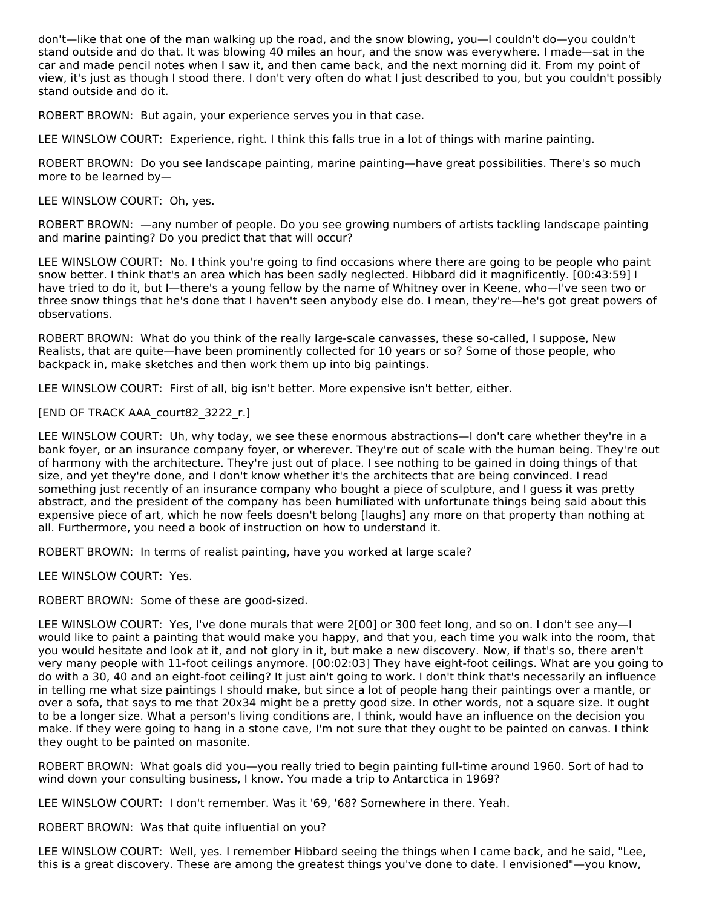don't—like that one of the man walking up the road, and the snow blowing, you—I couldn't do—you couldn't stand outside and do that. It was blowing 40 miles an hour, and the snow was everywhere. I made—sat in the car and made pencil notes when I saw it, and then came back, and the next morning did it. From my point of view, it's just as though I stood there. I don't very often do what I just described to you, but you couldn't possibly stand outside and do it.

ROBERT BROWN: But again, your experience serves you in that case.

LEE WINSLOW COURT: Experience, right. I think this falls true in a lot of things with marine painting.

ROBERT BROWN: Do you see landscape painting, marine painting—have great possibilities. There's so much more to be learned by—

LEE WINSLOW COURT: Oh, yes.

ROBERT BROWN: —any number of people. Do you see growing numbers of artists tackling landscape painting and marine painting? Do you predict that that will occur?

LEE WINSLOW COURT: No. I think you're going to find occasions where there are going to be people who paint snow better. I think that's an area which has been sadly neglected. Hibbard did it magnificently. [00:43:59] I have tried to do it, but I—there's a young fellow by the name of Whitney over in Keene, who—I've seen two or three snow things that he's done that I haven't seen anybody else do. I mean, they're—he's got great powers of observations.

ROBERT BROWN: What do you think of the really large-scale canvasses, these so-called, I suppose, New Realists, that are quite—have been prominently collected for 10 years or so? Some of those people, who backpack in, make sketches and then work them up into big paintings.

LEE WINSLOW COURT: First of all, big isn't better. More expensive isn't better, either.

[END OF TRACK AAA\_court82\_3222\_r.]

LEE WINSLOW COURT: Uh, why today, we see these enormous abstractions—I don't care whether they're in a bank foyer, or an insurance company foyer, or wherever. They're out of scale with the human being. They're out of harmony with the architecture. They're just out of place. I see nothing to be gained in doing things of that size, and yet they're done, and I don't know whether it's the architects that are being convinced. I read something just recently of an insurance company who bought a piece of sculpture, and I guess it was pretty abstract, and the president of the company has been humiliated with unfortunate things being said about this expensive piece of art, which he now feels doesn't belong [laughs] any more on that property than nothing at all. Furthermore, you need a book of instruction on how to understand it.

ROBERT BROWN: In terms of realist painting, have you worked at large scale?

LEE WINSLOW COURT: Yes.

ROBERT BROWN: Some of these are good-sized.

LEE WINSLOW COURT: Yes, I've done murals that were 2[00] or 300 feet long, and so on. I don't see any—I would like to paint a painting that would make you happy, and that you, each time you walk into the room, that you would hesitate and look at it, and not glory in it, but make a new discovery. Now, if that's so, there aren't very many people with 11-foot ceilings anymore. [00:02:03] They have eight-foot ceilings. What are you going to do with a 30, 40 and an eight-foot ceiling? It just ain't going to work. I don't think that's necessarily an influence in telling me what size paintings I should make, but since a lot of people hang their paintings over a mantle, or over a sofa, that says to me that 20x34 might be a pretty good size. In other words, not a square size. It ought to be a longer size. What a person's living conditions are, I think, would have an influence on the decision you make. If they were going to hang in a stone cave, I'm not sure that they ought to be painted on canvas. I think they ought to be painted on masonite.

ROBERT BROWN: What goals did you—you really tried to begin painting full-time around 1960. Sort of had to wind down your consulting business, I know. You made a trip to Antarctica in 1969?

LEE WINSLOW COURT: I don't remember. Was it '69, '68? Somewhere in there. Yeah.

ROBERT BROWN: Was that quite influential on you?

LEE WINSLOW COURT: Well, yes. I remember Hibbard seeing the things when I came back, and he said, "Lee, this is a great discovery. These are among the greatest things you've done to date. I envisioned"—you know,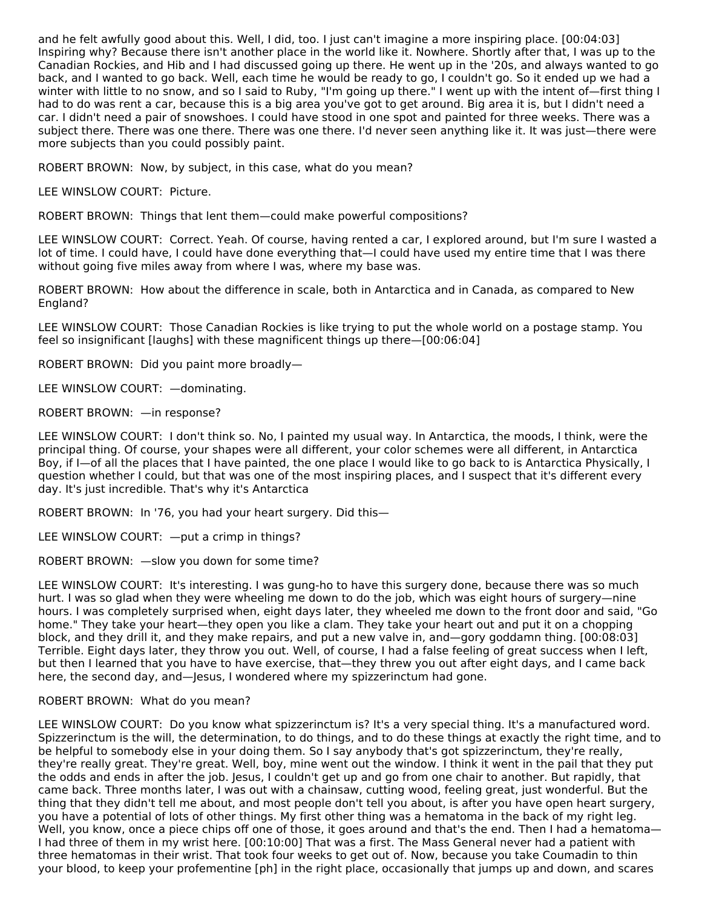and he felt awfully good about this. Well, I did, too. I just can't imagine a more inspiring place. [00:04:03] Inspiring why? Because there isn't another place in the world like it. Nowhere. Shortly after that, I was up to the Canadian Rockies, and Hib and I had discussed going up there. He went up in the '20s, and always wanted to go back, and I wanted to go back. Well, each time he would be ready to go, I couldn't go. So it ended up we had a winter with little to no snow, and so I said to Ruby, "I'm going up there." I went up with the intent of—first thing I had to do was rent a car, because this is a big area you've got to get around. Big area it is, but I didn't need a car. I didn't need a pair of snowshoes. I could have stood in one spot and painted for three weeks. There was a subject there. There was one there. There was one there. I'd never seen anything like it. It was just—there were more subjects than you could possibly paint.

ROBERT BROWN: Now, by subject, in this case, what do you mean?

LEE WINSLOW COURT: Picture.

ROBERT BROWN: Things that lent them—could make powerful compositions?

LEE WINSLOW COURT: Correct. Yeah. Of course, having rented a car, I explored around, but I'm sure I wasted a lot of time. I could have, I could have done everything that—I could have used my entire time that I was there without going five miles away from where I was, where my base was.

ROBERT BROWN: How about the difference in scale, both in Antarctica and in Canada, as compared to New England?

LEE WINSLOW COURT: Those Canadian Rockies is like trying to put the whole world on a postage stamp. You feel so insignificant [laughs] with these magnificent things up there—[00:06:04]

ROBERT BROWN: Did you paint more broadly—

LEE WINSLOW COURT: —dominating.

ROBERT BROWN: —in response?

LEE WINSLOW COURT: I don't think so. No, I painted my usual way. In Antarctica, the moods, I think, were the principal thing. Of course, your shapes were all different, your color schemes were all different, in Antarctica Boy, if I—of all the places that I have painted, the one place I would like to go back to is Antarctica Physically, I question whether I could, but that was one of the most inspiring places, and I suspect that it's different every day. It's just incredible. That's why it's Antarctica

ROBERT BROWN: In '76, you had your heart surgery. Did this—

LEE WINSLOW COURT: —put a crimp in things?

ROBERT BROWN: —slow you down for some time?

LEE WINSLOW COURT: It's interesting. I was gung-ho to have this surgery done, because there was so much hurt. I was so glad when they were wheeling me down to do the job, which was eight hours of surgery—nine hours. I was completely surprised when, eight days later, they wheeled me down to the front door and said, "Go home." They take your heart—they open you like a clam. They take your heart out and put it on a chopping block, and they drill it, and they make repairs, and put a new valve in, and—gory goddamn thing. [00:08:03] Terrible. Eight days later, they throw you out. Well, of course, I had a false feeling of great success when I left, but then I learned that you have to have exercise, that—they threw you out after eight days, and I came back here, the second day, and—Jesus, I wondered where my spizzerinctum had gone.

# ROBERT BROWN: What do you mean?

LEE WINSLOW COURT: Do you know what spizzerinctum is? It's a very special thing. It's a manufactured word. Spizzerinctum is the will, the determination, to do things, and to do these things at exactly the right time, and to be helpful to somebody else in your doing them. So I say anybody that's got spizzerinctum, they're really, they're really great. They're great. Well, boy, mine went out the window. I think it went in the pail that they put the odds and ends in after the job. Jesus, I couldn't get up and go from one chair to another. But rapidly, that came back. Three months later, I was out with a chainsaw, cutting wood, feeling great, just wonderful. But the thing that they didn't tell me about, and most people don't tell you about, is after you have open heart surgery, you have a potential of lots of other things. My first other thing was a hematoma in the back of my right leg. Well, you know, once a piece chips off one of those, it goes around and that's the end. Then I had a hematoma— I had three of them in my wrist here. [00:10:00] That was a first. The Mass General never had a patient with three hematomas in their wrist. That took four weeks to get out of. Now, because you take Coumadin to thin your blood, to keep your profementine [ph] in the right place, occasionally that jumps up and down, and scares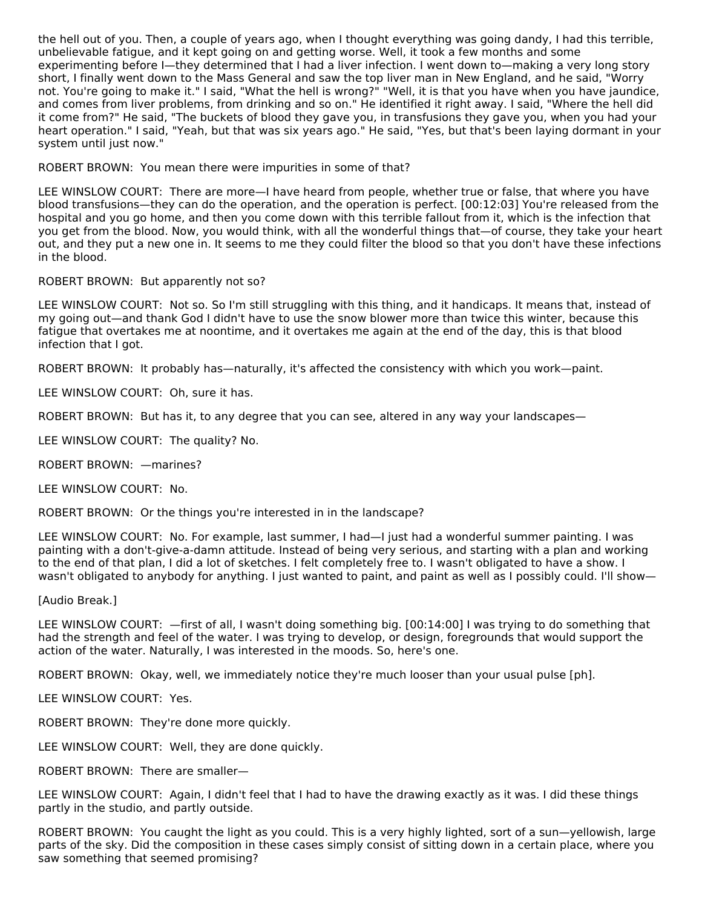the hell out of you. Then, a couple of years ago, when I thought everything was going dandy, I had this terrible, unbelievable fatigue, and it kept going on and getting worse. Well, it took a few months and some experimenting before I—they determined that I had a liver infection. I went down to—making a very long story short, I finally went down to the Mass General and saw the top liver man in New England, and he said, "Worry not. You're going to make it." I said, "What the hell is wrong?" "Well, it is that you have when you have jaundice, and comes from liver problems, from drinking and so on." He identified it right away. I said, "Where the hell did it come from?" He said, "The buckets of blood they gave you, in transfusions they gave you, when you had your heart operation." I said, "Yeah, but that was six years ago." He said, "Yes, but that's been laying dormant in your system until just now."

ROBERT BROWN: You mean there were impurities in some of that?

LEE WINSLOW COURT: There are more—I have heard from people, whether true or false, that where you have blood transfusions—they can do the operation, and the operation is perfect. [00:12:03] You're released from the hospital and you go home, and then you come down with this terrible fallout from it, which is the infection that you get from the blood. Now, you would think, with all the wonderful things that—of course, they take your heart out, and they put a new one in. It seems to me they could filter the blood so that you don't have these infections in the blood.

# ROBERT BROWN: But apparently not so?

LEE WINSLOW COURT: Not so. So I'm still struggling with this thing, and it handicaps. It means that, instead of my going out—and thank God I didn't have to use the snow blower more than twice this winter, because this fatigue that overtakes me at noontime, and it overtakes me again at the end of the day, this is that blood infection that I got.

ROBERT BROWN: It probably has—naturally, it's affected the consistency with which you work—paint.

LEE WINSLOW COURT: Oh, sure it has.

ROBERT BROWN: But has it, to any degree that you can see, altered in any way your landscapes—

LEE WINSLOW COURT: The quality? No.

ROBERT BROWN: —marines?

LEE WINSLOW COURT: No.

ROBERT BROWN: Or the things you're interested in in the landscape?

LEE WINSLOW COURT: No. For example, last summer, I had—I just had a wonderful summer painting. I was painting with a don't-give-a-damn attitude. Instead of being very serious, and starting with a plan and working to the end of that plan, I did a lot of sketches. I felt completely free to. I wasn't obligated to have a show. I wasn't obligated to anybody for anything. I just wanted to paint, and paint as well as I possibly could. I'll show—

[Audio Break.]

LEE WINSLOW COURT: —first of all, I wasn't doing something big. [00:14:00] I was trying to do something that had the strength and feel of the water. I was trying to develop, or design, foregrounds that would support the action of the water. Naturally, I was interested in the moods. So, here's one.

ROBERT BROWN: Okay, well, we immediately notice they're much looser than your usual pulse [ph].

LEE WINSLOW COURT: Yes.

ROBERT BROWN: They're done more quickly.

LEE WINSLOW COURT: Well, they are done quickly.

ROBERT BROWN: There are smaller—

LEE WINSLOW COURT: Again, I didn't feel that I had to have the drawing exactly as it was. I did these things partly in the studio, and partly outside.

ROBERT BROWN: You caught the light as you could. This is a very highly lighted, sort of a sun—yellowish, large parts of the sky. Did the composition in these cases simply consist of sitting down in a certain place, where you saw something that seemed promising?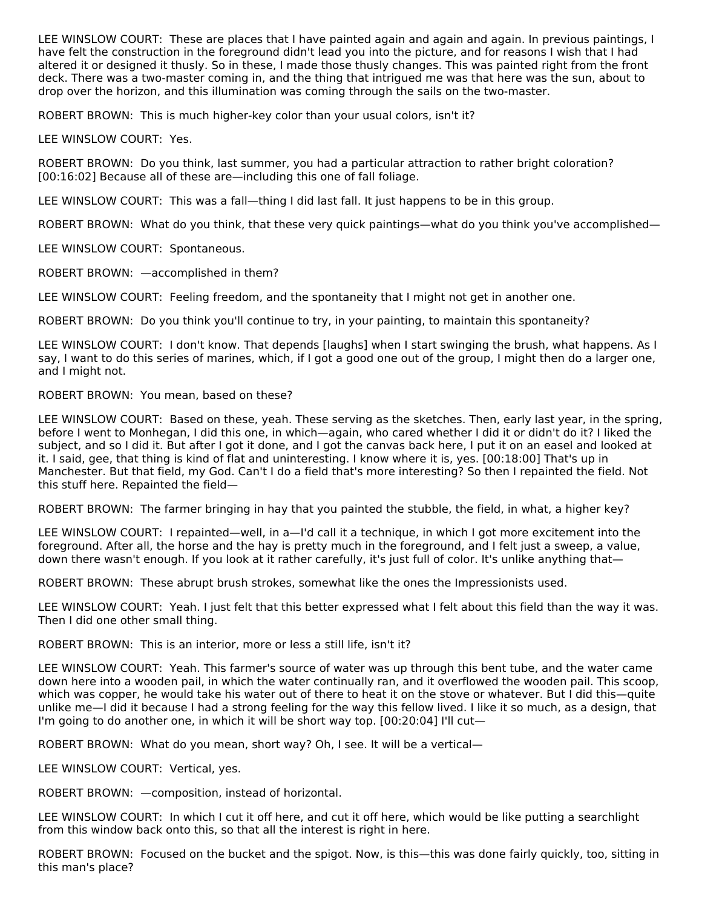LEE WINSLOW COURT: These are places that I have painted again and again and again. In previous paintings, I have felt the construction in the foreground didn't lead you into the picture, and for reasons I wish that I had altered it or designed it thusly. So in these, I made those thusly changes. This was painted right from the front deck. There was a two-master coming in, and the thing that intrigued me was that here was the sun, about to drop over the horizon, and this illumination was coming through the sails on the two-master.

ROBERT BROWN: This is much higher-key color than your usual colors, isn't it?

LEE WINSLOW COURT: Yes.

ROBERT BROWN: Do you think, last summer, you had a particular attraction to rather bright coloration? [00:16:02] Because all of these are—including this one of fall foliage.

LEE WINSLOW COURT: This was a fall—thing I did last fall. It just happens to be in this group.

ROBERT BROWN: What do you think, that these very quick paintings—what do you think you've accomplished—

LEE WINSLOW COURT: Spontaneous.

ROBERT BROWN: —accomplished in them?

LEE WINSLOW COURT: Feeling freedom, and the spontaneity that I might not get in another one.

ROBERT BROWN: Do you think you'll continue to try, in your painting, to maintain this spontaneity?

LEE WINSLOW COURT: I don't know. That depends [laughs] when I start swinging the brush, what happens. As I say, I want to do this series of marines, which, if I got a good one out of the group, I might then do a larger one, and I might not.

# ROBERT BROWN: You mean, based on these?

LEE WINSLOW COURT: Based on these, yeah. These serving as the sketches. Then, early last year, in the spring, before I went to Monhegan, I did this one, in which—again, who cared whether I did it or didn't do it? I liked the subject, and so I did it. But after I got it done, and I got the canvas back here, I put it on an easel and looked at it. I said, gee, that thing is kind of flat and uninteresting. I know where it is, yes. [00:18:00] That's up in Manchester. But that field, my God. Can't I do a field that's more interesting? So then I repainted the field. Not this stuff here. Repainted the field—

ROBERT BROWN: The farmer bringing in hay that you painted the stubble, the field, in what, a higher key?

LEE WINSLOW COURT: I repainted—well, in a—I'd call it a technique, in which I got more excitement into the foreground. After all, the horse and the hay is pretty much in the foreground, and I felt just a sweep, a value, down there wasn't enough. If you look at it rather carefully, it's just full of color. It's unlike anything that—

ROBERT BROWN: These abrupt brush strokes, somewhat like the ones the Impressionists used.

LEE WINSLOW COURT: Yeah. I just felt that this better expressed what I felt about this field than the way it was. Then I did one other small thing.

ROBERT BROWN: This is an interior, more or less a still life, isn't it?

LEE WINSLOW COURT: Yeah. This farmer's source of water was up through this bent tube, and the water came down here into a wooden pail, in which the water continually ran, and it overflowed the wooden pail. This scoop, which was copper, he would take his water out of there to heat it on the stove or whatever. But I did this—quite unlike me—I did it because I had a strong feeling for the way this fellow lived. I like it so much, as a design, that I'm going to do another one, in which it will be short way top. [00:20:04] I'll cut—

ROBERT BROWN: What do you mean, short way? Oh, I see. It will be a vertical—

LEE WINSLOW COURT: Vertical, yes.

ROBERT BROWN: —composition, instead of horizontal.

LEE WINSLOW COURT: In which I cut it off here, and cut it off here, which would be like putting a searchlight from this window back onto this, so that all the interest is right in here.

ROBERT BROWN: Focused on the bucket and the spigot. Now, is this—this was done fairly quickly, too, sitting in this man's place?